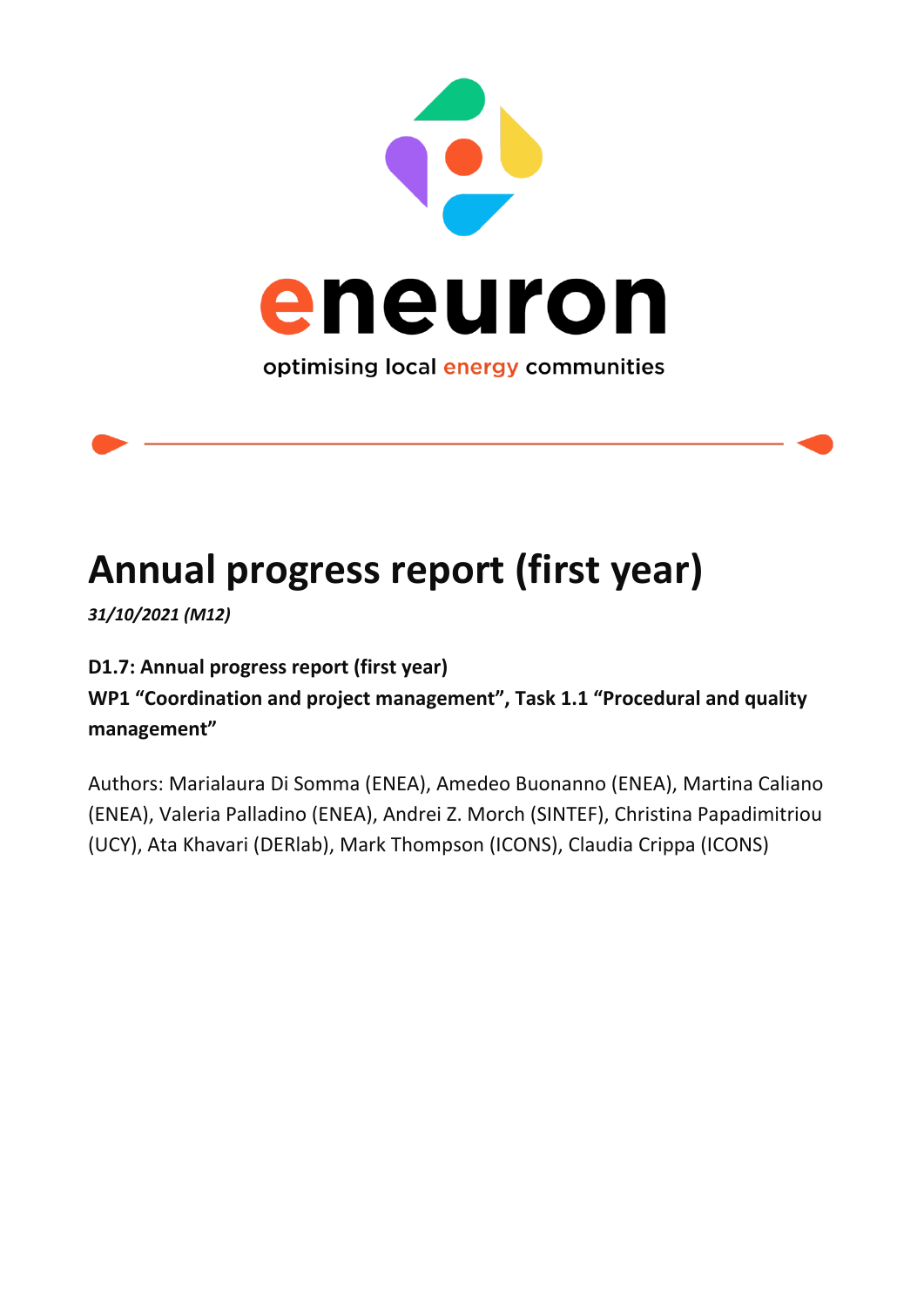

# **Annual progress report (first year)**

*31/10/2021 (M12)*

**D1.7: Annual progress report (first year)**

**WP1 "Coordination and project management", Task 1.1 "Procedural and quality management"**

Authors: Marialaura Di Somma (ENEA), Amedeo Buonanno (ENEA), Martina Caliano (ENEA), Valeria Palladino (ENEA), Andrei Z. Morch (SINTEF), Christina Papadimitriou (UCY), Ata Khavari (DERlab), Mark Thompson (ICONS), Claudia Crippa (ICONS)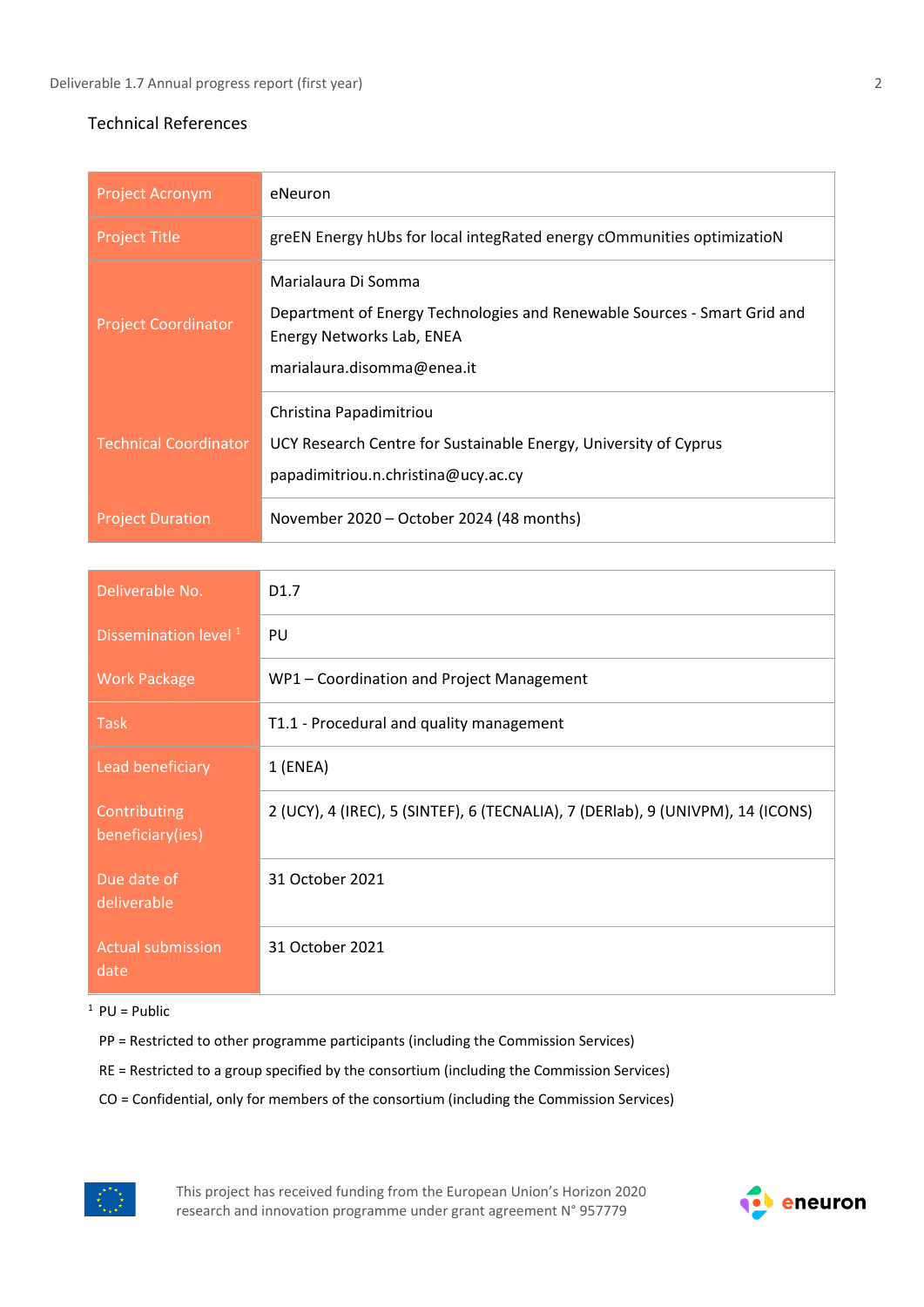#### Technical References

| <b>Project Acronym</b>       | eNeuron                                                                                                                                                    |
|------------------------------|------------------------------------------------------------------------------------------------------------------------------------------------------------|
| <b>Project Title</b>         | greEN Energy hUbs for local integRated energy cOmmunities optimizatioN                                                                                     |
| <b>Project Coordinator</b>   | Marialaura Di Somma<br>Department of Energy Technologies and Renewable Sources - Smart Grid and<br>Energy Networks Lab, ENEA<br>marialaura.disomma@enea.it |
| <b>Technical Coordinator</b> | Christina Papadimitriou<br>UCY Research Centre for Sustainable Energy, University of Cyprus<br>papadimitriou.n.christina@ucy.ac.cy                         |
| <b>Project Duration</b>      | November 2020 – October 2024 (48 months)                                                                                                                   |

| Deliverable No.                  | D <sub>1.7</sub>                                                                |
|----------------------------------|---------------------------------------------------------------------------------|
| Dissemination level <sup>1</sup> | PU                                                                              |
| <b>Work Package</b>              | WP1 - Coordination and Project Management                                       |
| <b>Task</b>                      | T1.1 - Procedural and quality management                                        |
| Lead beneficiary                 | $1$ (ENEA)                                                                      |
| Contributing<br>beneficiary(ies) | 2 (UCY), 4 (IREC), 5 (SINTEF), 6 (TECNALIA), 7 (DERIab), 9 (UNIVPM), 14 (ICONS) |
| Due date of<br>deliverable       | 31 October 2021                                                                 |
| <b>Actual submission</b><br>date | 31 October 2021                                                                 |

 $1$  PU = Public

- PP = Restricted to other programme participants (including the Commission Services)
- RE = Restricted to a group specified by the consortium (including the Commission Services)
- CO = Confidential, only for members of the consortium (including the Commission Services)



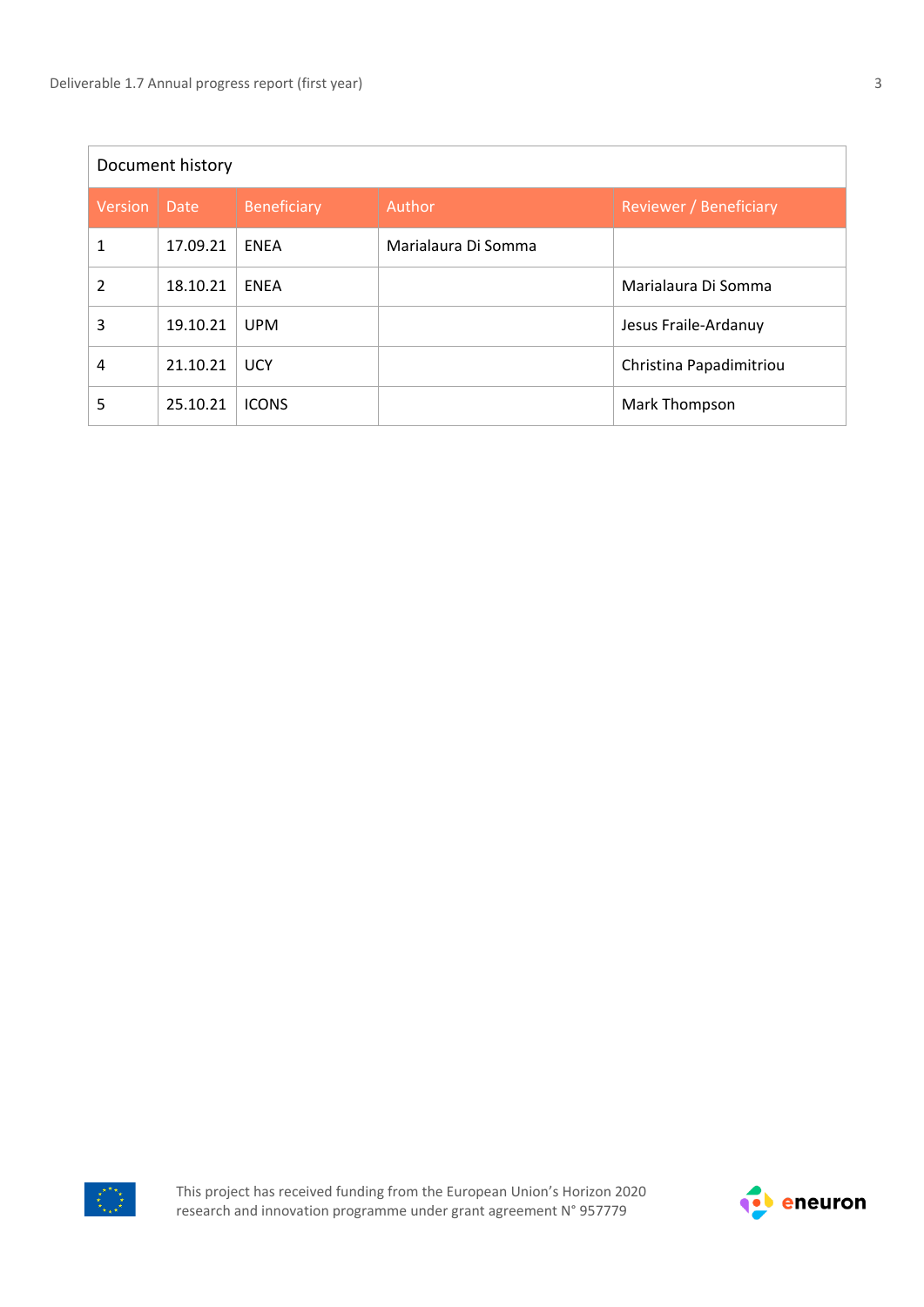| Document history |          |                    |                     |                         |  |  |  |  |  |
|------------------|----------|--------------------|---------------------|-------------------------|--|--|--|--|--|
| <b>Version</b>   | Date     | <b>Beneficiary</b> | Author              | Reviewer / Beneficiary  |  |  |  |  |  |
| 1                | 17.09.21 | <b>ENEA</b>        | Marialaura Di Somma |                         |  |  |  |  |  |
| $\mathfrak{p}$   | 18.10.21 | <b>ENEA</b>        |                     | Marialaura Di Somma     |  |  |  |  |  |
| 3                | 19.10.21 | <b>UPM</b>         |                     | Jesus Fraile-Ardanuy    |  |  |  |  |  |
| 4                | 21.10.21 | <b>UCY</b>         |                     | Christina Papadimitriou |  |  |  |  |  |
| 5                | 25.10.21 | <b>ICONS</b>       |                     | Mark Thompson           |  |  |  |  |  |



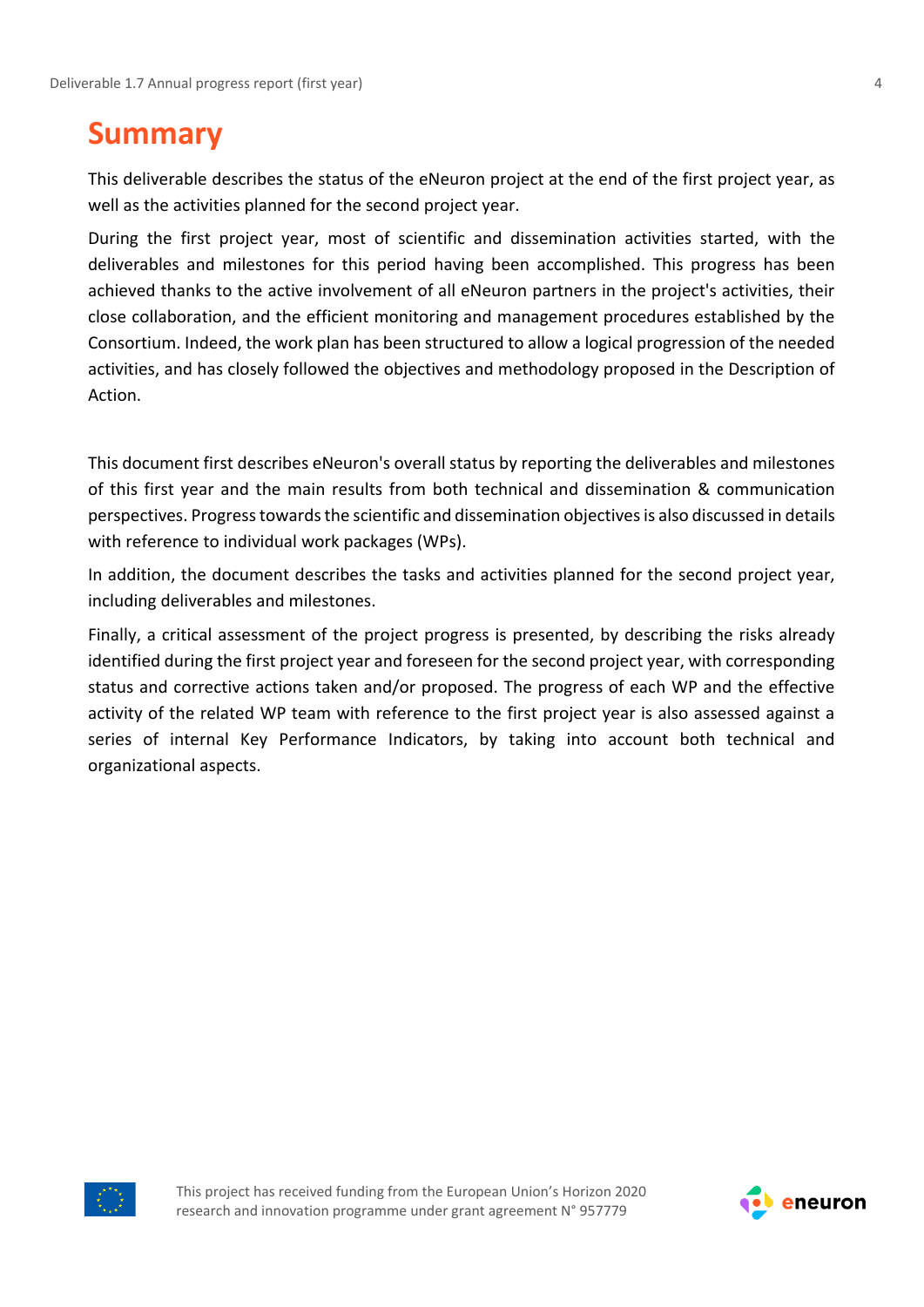### <span id="page-3-0"></span>**Summary**

This deliverable describes the status of the eNeuron project at the end of the first project year, as well as the activities planned for the second project year.

During the first project year, most of scientific and dissemination activities started, with the deliverables and milestones for this period having been accomplished. This progress has been achieved thanks to the active involvement of all eNeuron partners in the project's activities, their close collaboration, and the efficient monitoring and management procedures established by the Consortium. Indeed, the work plan has been structured to allow a logical progression of the needed activities, and has closely followed the objectives and methodology proposed in the Description of Action.

This document first describes eNeuron's overall status by reporting the deliverables and milestones of this first year and the main results from both technical and dissemination & communication perspectives. Progress towards the scientific and dissemination objectives is also discussed in details with reference to individual work packages (WPs).

In addition, the document describes the tasks and activities planned for the second project year, including deliverables and milestones.

Finally, a critical assessment of the project progress is presented, by describing the risks already identified during the first project year and foreseen for the second project year, with corresponding status and corrective actions taken and/or proposed. The progress of each WP and the effective activity of the related WP team with reference to the first project year is also assessed against a series of internal Key Performance Indicators, by taking into account both technical and organizational aspects.



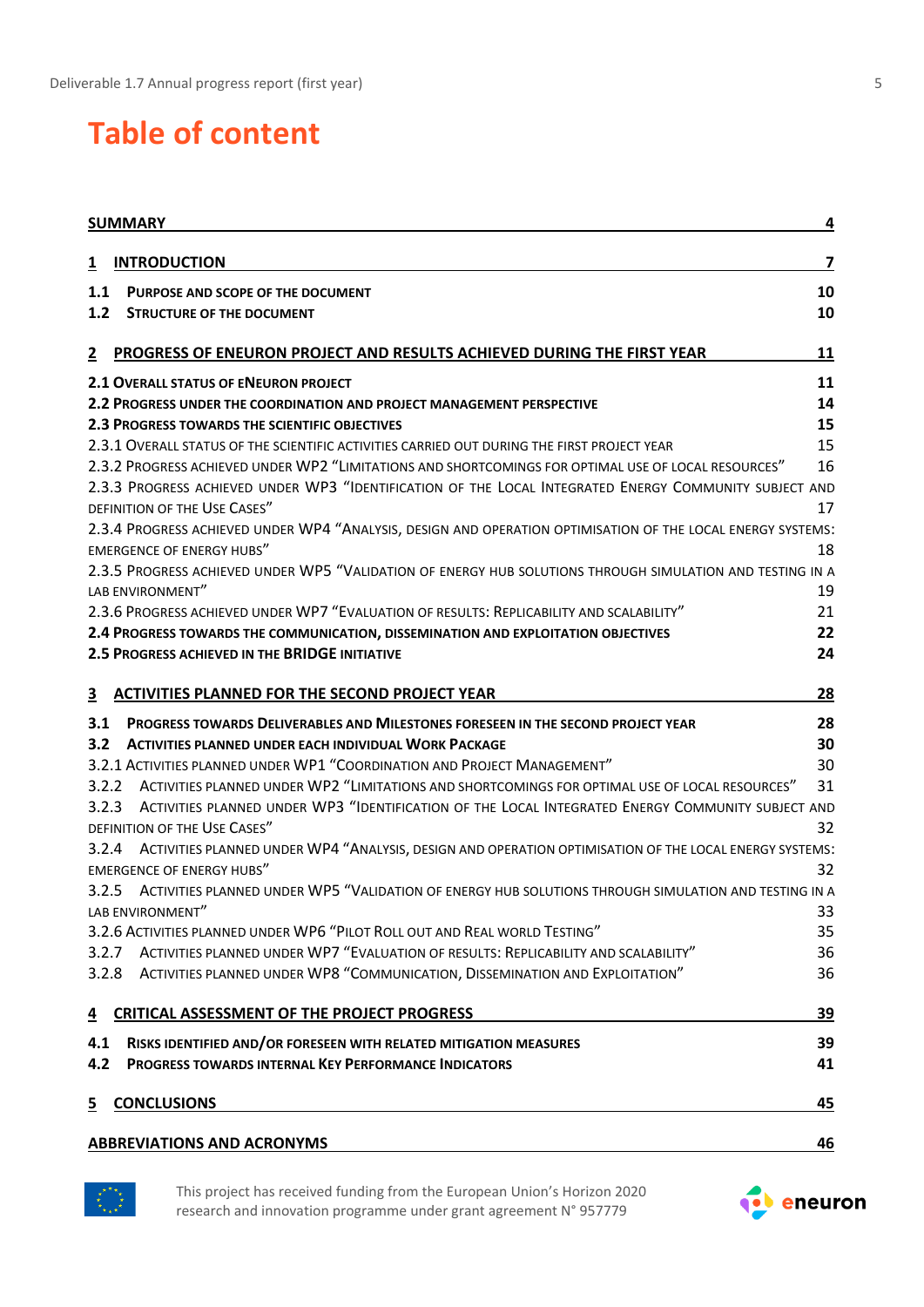# **Table of content**

|                         | <b>SUMMARY</b>                                                                                                                | 4                       |
|-------------------------|-------------------------------------------------------------------------------------------------------------------------------|-------------------------|
| $\overline{\mathbf{1}}$ | <b>INTRODUCTION</b>                                                                                                           | $\overline{\mathbf{z}}$ |
| 1.1                     | PURPOSE AND SCOPE OF THE DOCUMENT                                                                                             | 10                      |
| 1.2                     | <b>STRUCTURE OF THE DOCUMENT</b>                                                                                              | 10                      |
| $\overline{2}$          | PROGRESS OF ENEURON PROJECT AND RESULTS ACHIEVED DURING THE FIRST YEAR                                                        | 11                      |
|                         | 2.1 OVERALL STATUS OF ENEURON PROJECT                                                                                         | 11                      |
|                         | <b>2.2 PROGRESS UNDER THE COORDINATION AND PROJECT MANAGEMENT PERSPECTIVE</b>                                                 | 14                      |
|                         | <b>2.3 PROGRESS TOWARDS THE SCIENTIFIC OBJECTIVES</b>                                                                         | 15                      |
|                         | 2.3.1 OVERALL STATUS OF THE SCIENTIFIC ACTIVITIES CARRIED OUT DURING THE FIRST PROJECT YEAR                                   | 15                      |
|                         | 2.3.2 PROGRESS ACHIEVED UNDER WP2 "LIMITATIONS AND SHORTCOMINGS FOR OPTIMAL USE OF LOCAL RESOURCES"                           | 16                      |
|                         | 2.3.3 PROGRESS ACHIEVED UNDER WP3 "IDENTIFICATION OF THE LOCAL INTEGRATED ENERGY COMMUNITY SUBJECT AND                        |                         |
|                         | DEFINITION OF THE USE CASES"                                                                                                  | 17                      |
|                         | 2.3.4 PROGRESS ACHIEVED UNDER WP4 "ANALYSIS, DESIGN AND OPERATION OPTIMISATION OF THE LOCAL ENERGY SYSTEMS:                   |                         |
|                         | <b>EMERGENCE OF ENERGY HUBS"</b>                                                                                              | 18                      |
|                         | 2.3.5 PROGRESS ACHIEVED UNDER WP5 "VALIDATION OF ENERGY HUB SOLUTIONS THROUGH SIMULATION AND TESTING IN A<br>LAB ENVIRONMENT" |                         |
|                         | 2.3.6 PROGRESS ACHIEVED UNDER WP7 "EVALUATION OF RESULTS: REPLICABILITY AND SCALABILITY"                                      | 19<br>21                |
|                         | 2.4 PROGRESS TOWARDS THE COMMUNICATION, DISSEMINATION AND EXPLOITATION OBJECTIVES                                             | 22                      |
|                         | <b>2.5 PROGRESS ACHIEVED IN THE BRIDGE INITIATIVE</b>                                                                         | 24                      |
|                         |                                                                                                                               |                         |
| <u>3</u>                | <b>ACTIVITIES PLANNED FOR THE SECOND PROJECT YEAR</b>                                                                         | 28                      |
| 3.1                     | <b>PROGRESS TOWARDS DELIVERABLES AND MILESTONES FORESEEN IN THE SECOND PROJECT YEAR</b>                                       | 28                      |
| 3.2                     | <b>ACTIVITIES PLANNED UNDER EACH INDIVIDUAL WORK PACKAGE</b>                                                                  | 30                      |
|                         | 3.2.1 ACTIVITIES PLANNED UNDER WP1 "COORDINATION AND PROJECT MANAGEMENT"                                                      | 30                      |
| 3.2.2                   | ACTIVITIES PLANNED UNDER WP2 "LIMITATIONS AND SHORTCOMINGS FOR OPTIMAL USE OF LOCAL RESOURCES"                                | 31                      |
| 3.2.3                   | ACTIVITIES PLANNED UNDER WP3 "IDENTIFICATION OF THE LOCAL INTEGRATED ENERGY COMMUNITY SUBJECT AND                             |                         |
|                         | DEFINITION OF THE USE CASES"                                                                                                  | 32                      |
| 3.2.4                   | ACTIVITIES PLANNED UNDER WP4 "ANALYSIS, DESIGN AND OPERATION OPTIMISATION OF THE LOCAL ENERGY SYSTEMS:                        |                         |
|                         | <b>EMERGENCE OF ENERGY HUBS"</b>                                                                                              | 32                      |
|                         | 3.2.5 ACTIVITIES PLANNED UNDER WP5 "VALIDATION OF ENERGY HUB SOLUTIONS THROUGH SIMULATION AND TESTING IN A                    |                         |
|                         | LAB ENVIRONMENT"                                                                                                              | 33                      |
|                         | 3.2.6 ACTIVITIES PLANNED UNDER WP6 "PILOT ROLL OUT AND REAL WORLD TESTING"                                                    | 35                      |
| 3.2.7                   | ACTIVITIES PLANNED UNDER WP7 "EVALUATION OF RESULTS: REPLICABILITY AND SCALABILITY"                                           | 36                      |
| 3.2.8                   | ACTIVITIES PLANNED UNDER WP8 "COMMUNICATION, DISSEMINATION AND EXPLOITATION"                                                  | 36                      |
| $\overline{4}$          | <b>CRITICAL ASSESSMENT OF THE PROJECT PROGRESS</b>                                                                            | 39                      |
| 4.1                     | RISKS IDENTIFIED AND/OR FORESEEN WITH RELATED MITIGATION MEASURES                                                             | 39                      |
| 4.2                     | <b>PROGRESS TOWARDS INTERNAL KEY PERFORMANCE INDICATORS</b>                                                                   | 41                      |
| $\overline{5}$          | <b>CONCLUSIONS</b>                                                                                                            | 45                      |
|                         | <b>ABBREVIATIONS AND ACRONYMS</b>                                                                                             | <u>46</u>               |
|                         |                                                                                                                               |                         |



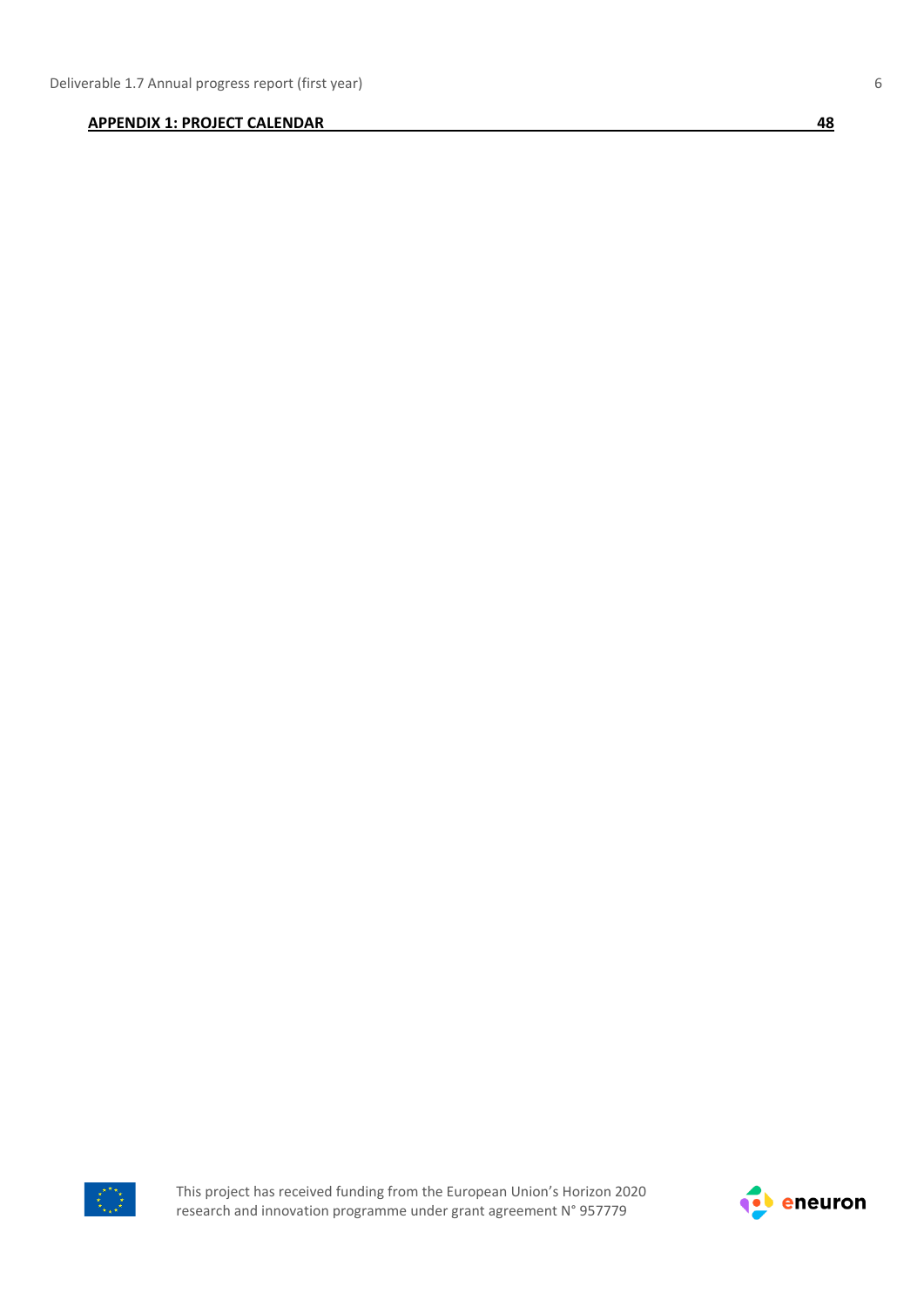#### **[APPENDIX 1: PROJECT CALENDAR](#page-47-0) 48**



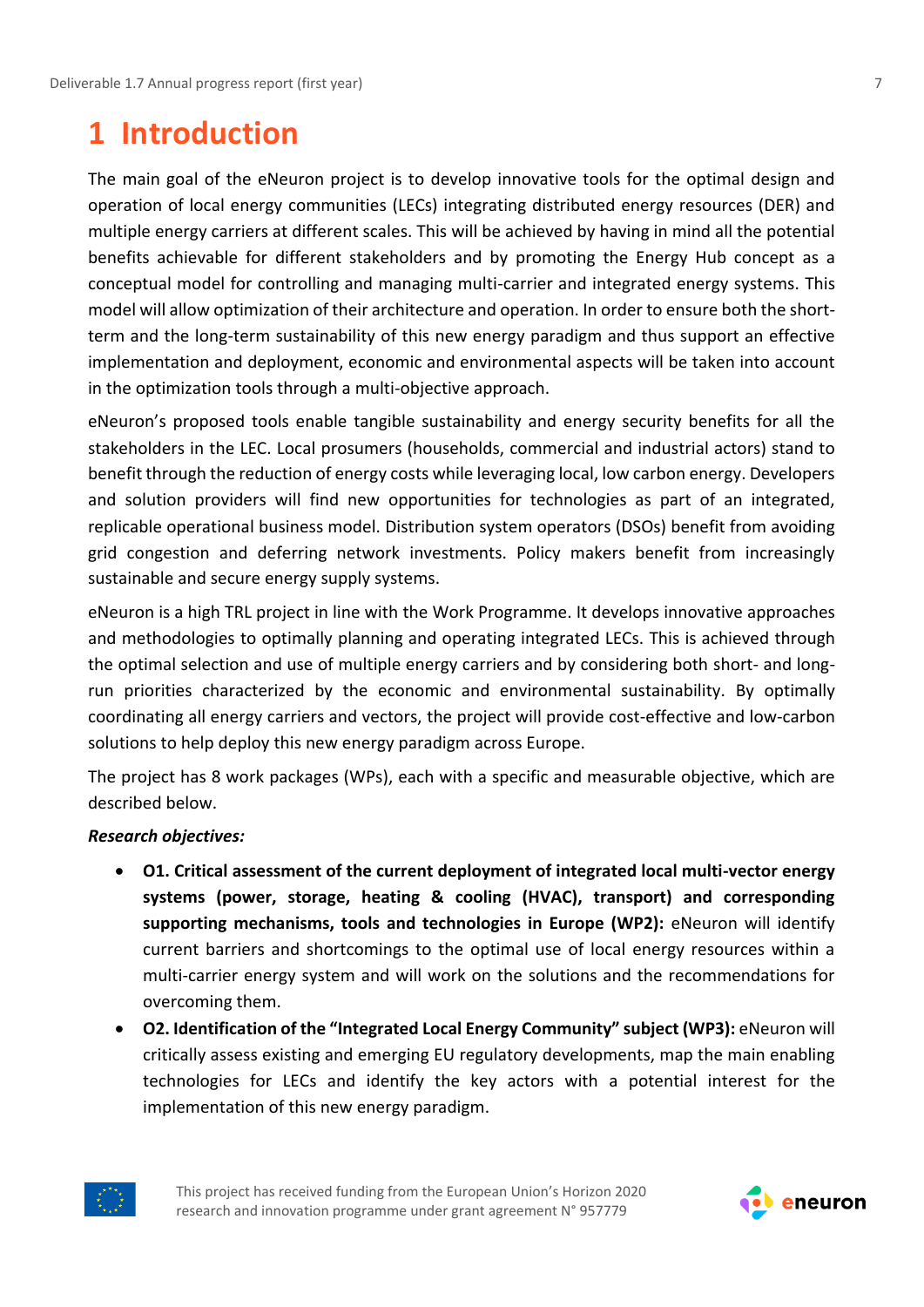### <span id="page-6-0"></span>**1 Introduction**

The main goal of the eNeuron project is to develop innovative tools for the optimal design and operation of local energy communities (LECs) integrating distributed energy resources (DER) and multiple energy carriers at different scales. This will be achieved by having in mind all the potential benefits achievable for different stakeholders and by promoting the Energy Hub concept as a conceptual model for controlling and managing multi-carrier and integrated energy systems. This model will allow optimization of their architecture and operation. In order to ensure both the shortterm and the long-term sustainability of this new energy paradigm and thus support an effective implementation and deployment, economic and environmental aspects will be taken into account in the optimization tools through a multi-objective approach.

eNeuron's proposed tools enable tangible sustainability and energy security benefits for all the stakeholders in the LEC. Local prosumers (households, commercial and industrial actors) stand to benefit through the reduction of energy costs while leveraging local, low carbon energy. Developers and solution providers will find new opportunities for technologies as part of an integrated, replicable operational business model. Distribution system operators (DSOs) benefit from avoiding grid congestion and deferring network investments. Policy makers benefit from increasingly sustainable and secure energy supply systems.

eNeuron is a high TRL project in line with the Work Programme. It develops innovative approaches and methodologies to optimally planning and operating integrated LECs. This is achieved through the optimal selection and use of multiple energy carriers and by considering both short- and longrun priorities characterized by the economic and environmental sustainability. By optimally coordinating all energy carriers and vectors, the project will provide cost-effective and low-carbon solutions to help deploy this new energy paradigm across Europe.

The project has 8 work packages (WPs), each with a specific and measurable objective, which are described below.

### *Research objectives:*

- **O1. Critical assessment of the current deployment of integrated local multi-vector energy systems (power, storage, heating & cooling (HVAC), transport) and corresponding supporting mechanisms, tools and technologies in Europe (WP2):** eNeuron will identify current barriers and shortcomings to the optimal use of local energy resources within a multi-carrier energy system and will work on the solutions and the recommendations for overcoming them.
- **O2. Identification of the "Integrated Local Energy Community" subject (WP3):** eNeuron will critically assess existing and emerging EU regulatory developments, map the main enabling technologies for LECs and identify the key actors with a potential interest for the implementation of this new energy paradigm.



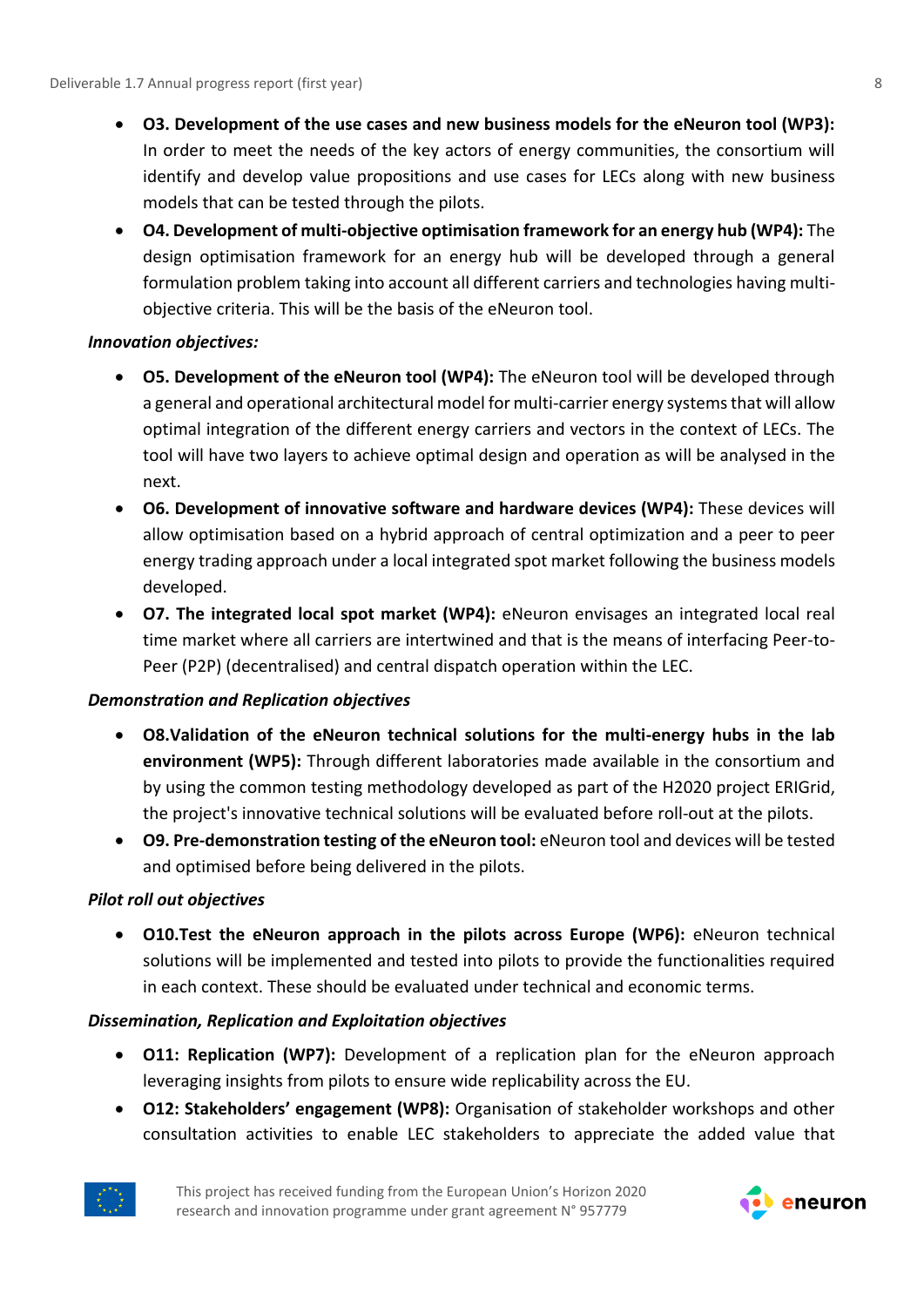- **O3. Development of the use cases and new business models for the eNeuron tool (WP3):**  In order to meet the needs of the key actors of energy communities, the consortium will identify and develop value propositions and use cases for LECs along with new business models that can be tested through the pilots.
- **O4. Development of multi-objective optimisation framework for an energy hub (WP4):** The design optimisation framework for an energy hub will be developed through a general formulation problem taking into account all different carriers and technologies having multiobjective criteria. This will be the basis of the eNeuron tool.

### *Innovation objectives:*

- **O5. Development of the eNeuron tool (WP4):** The eNeuron tool will be developed through a general and operational architectural model for multi-carrier energy systems that will allow optimal integration of the different energy carriers and vectors in the context of LECs. The tool will have two layers to achieve optimal design and operation as will be analysed in the next.
- **O6. Development of innovative software and hardware devices (WP4):** These devices will allow optimisation based on a hybrid approach of central optimization and a peer to peer energy trading approach under a local integrated spot market following the business models developed.
- **O7. The integrated local spot market (WP4):** eNeuron envisages an integrated local real time market where all carriers are intertwined and that is the means of interfacing Peer-to-Peer (P2P) (decentralised) and central dispatch operation within the LEC.

### *Demonstration and Replication objectives*

- **O8.Validation of the eNeuron technical solutions for the multi-energy hubs in the lab environment (WP5):** Through different laboratories made available in the consortium and by using the common testing methodology developed as part of the H2020 project ERIGrid, the project's innovative technical solutions will be evaluated before roll-out at the pilots.
- **O9. Pre-demonstration testing of the eNeuron tool:** eNeuron tool and devices will be tested and optimised before being delivered in the pilots.

#### *Pilot roll out objectives*

• **O10.Test the eNeuron approach in the pilots across Europe (WP6):** eNeuron technical solutions will be implemented and tested into pilots to provide the functionalities required in each context. These should be evaluated under technical and economic terms.

#### *Dissemination, Replication and Exploitation objectives*

- **O11: Replication (WP7):** Development of a replication plan for the eNeuron approach leveraging insights from pilots to ensure wide replicability across the EU.
- **O12: Stakeholders' engagement (WP8):** Organisation of stakeholder workshops and other consultation activities to enable LEC stakeholders to appreciate the added value that



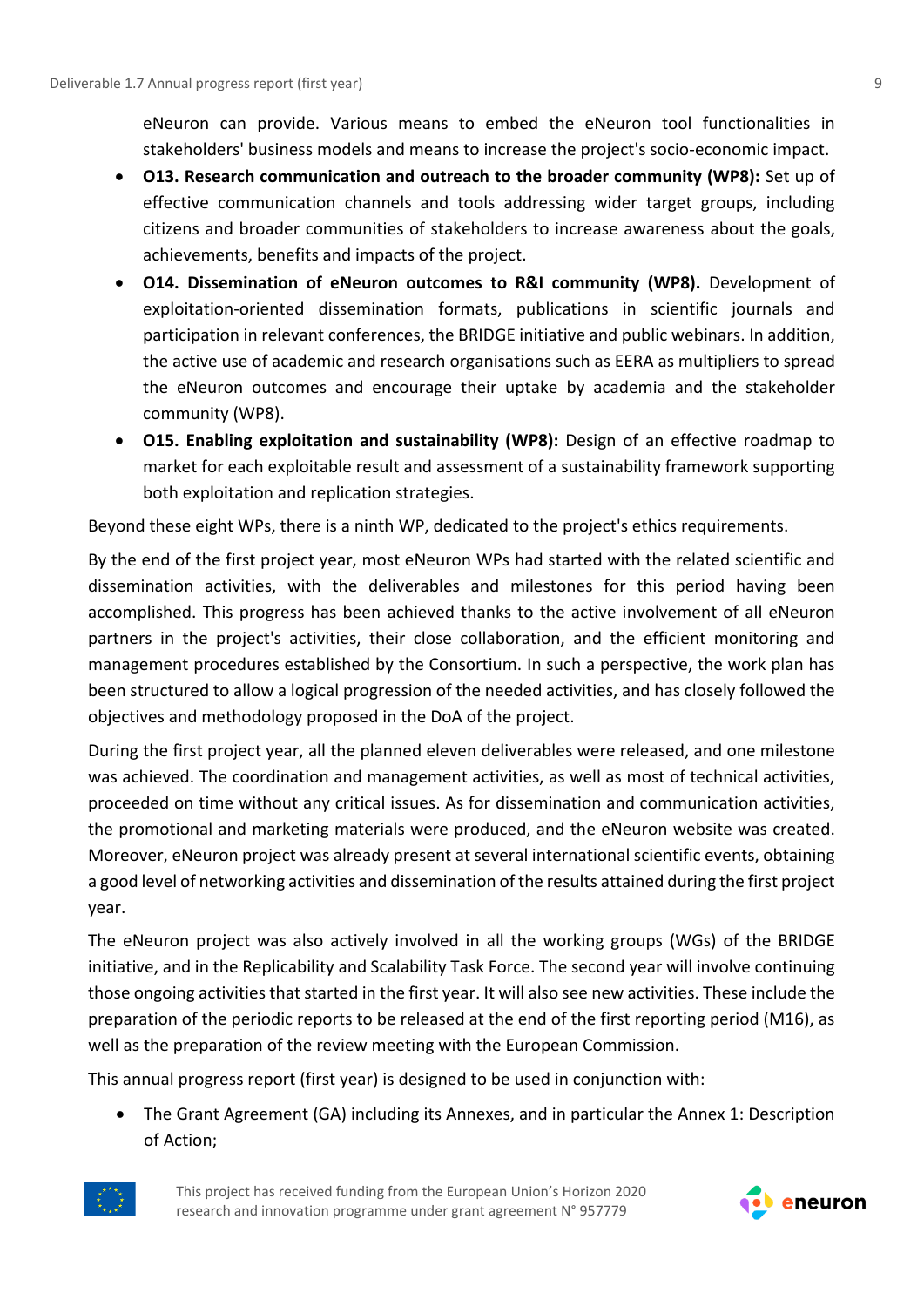eNeuron can provide. Various means to embed the eNeuron tool functionalities in stakeholders' business models and means to increase the project's socio-economic impact.

- **O13. Research communication and outreach to the broader community (WP8):** Set up of effective communication channels and tools addressing wider target groups, including citizens and broader communities of stakeholders to increase awareness about the goals, achievements, benefits and impacts of the project.
- **O14. Dissemination of eNeuron outcomes to R&I community (WP8).** Development of exploitation-oriented dissemination formats, publications in scientific journals and participation in relevant conferences, the BRIDGE initiative and public webinars. In addition, the active use of academic and research organisations such as EERA as multipliers to spread the eNeuron outcomes and encourage their uptake by academia and the stakeholder community (WP8).
- **O15. Enabling exploitation and sustainability (WP8):** Design of an effective roadmap to market for each exploitable result and assessment of a sustainability framework supporting both exploitation and replication strategies.

Beyond these eight WPs, there is a ninth WP, dedicated to the project's ethics requirements.

By the end of the first project year, most eNeuron WPs had started with the related scientific and dissemination activities, with the deliverables and milestones for this period having been accomplished. This progress has been achieved thanks to the active involvement of all eNeuron partners in the project's activities, their close collaboration, and the efficient monitoring and management procedures established by the Consortium. In such a perspective, the work plan has been structured to allow a logical progression of the needed activities, and has closely followed the objectives and methodology proposed in the DoA of the project.

During the first project year, all the planned eleven deliverables were released, and one milestone was achieved. The coordination and management activities, as well as most of technical activities, proceeded on time without any critical issues. As for dissemination and communication activities, the promotional and marketing materials were produced, and the eNeuron website was created. Moreover, eNeuron project was already present at several international scientific events, obtaining a good level of networking activities and dissemination of the results attained during the first project year.

The eNeuron project was also actively involved in all the working groups (WGs) of the BRIDGE initiative, and in the Replicability and Scalability Task Force. The second year will involve continuing those ongoing activities that started in the first year. It will also see new activities. These include the preparation of the periodic reports to be released at the end of the first reporting period (M16), as well as the preparation of the review meeting with the European Commission.

This annual progress report (first year) is designed to be used in conjunction with:

• The Grant Agreement (GA) including its Annexes, and in particular the Annex 1: Description of Action;



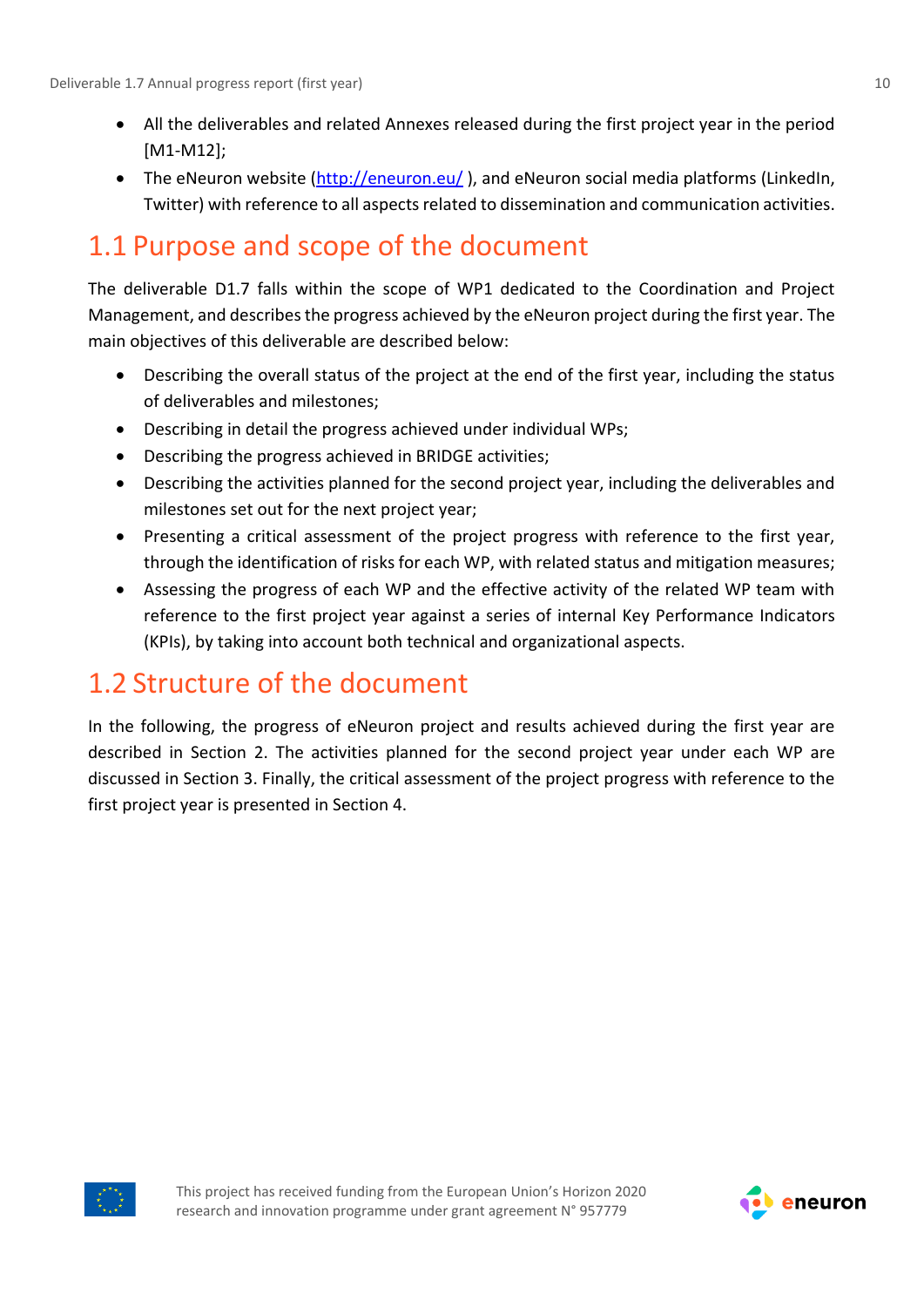- All the deliverables and related Annexes released during the first project year in the period [M1-M12];
- The eNeuron website [\(http://eneuron.eu/](http://eneuron.eu/)), and eNeuron social media platforms (LinkedIn, Twitter) with reference to all aspects related to dissemination and communication activities.

### <span id="page-9-0"></span>1.1 Purpose and scope of the document

The deliverable D1.7 falls within the scope of WP1 dedicated to the Coordination and Project Management, and describes the progress achieved by the eNeuron project during the first year. The main objectives of this deliverable are described below:

- Describing the overall status of the project at the end of the first year, including the status of deliverables and milestones;
- Describing in detail the progress achieved under individual WPs;
- Describing the progress achieved in BRIDGE activities;
- Describing the activities planned for the second project year, including the deliverables and milestones set out for the next project year;
- Presenting a critical assessment of the project progress with reference to the first year, through the identification of risks for each WP, with related status and mitigation measures;
- Assessing the progress of each WP and the effective activity of the related WP team with reference to the first project year against a series of internal Key Performance Indicators (KPIs), by taking into account both technical and organizational aspects.

### <span id="page-9-1"></span>1.2 Structure of the document

In the following, the progress of eNeuron project and results achieved during the first year are described in Section 2. The activities planned for the second project year under each WP are discussed in Section 3. Finally, the critical assessment of the project progress with reference to the first project year is presented in Section 4.



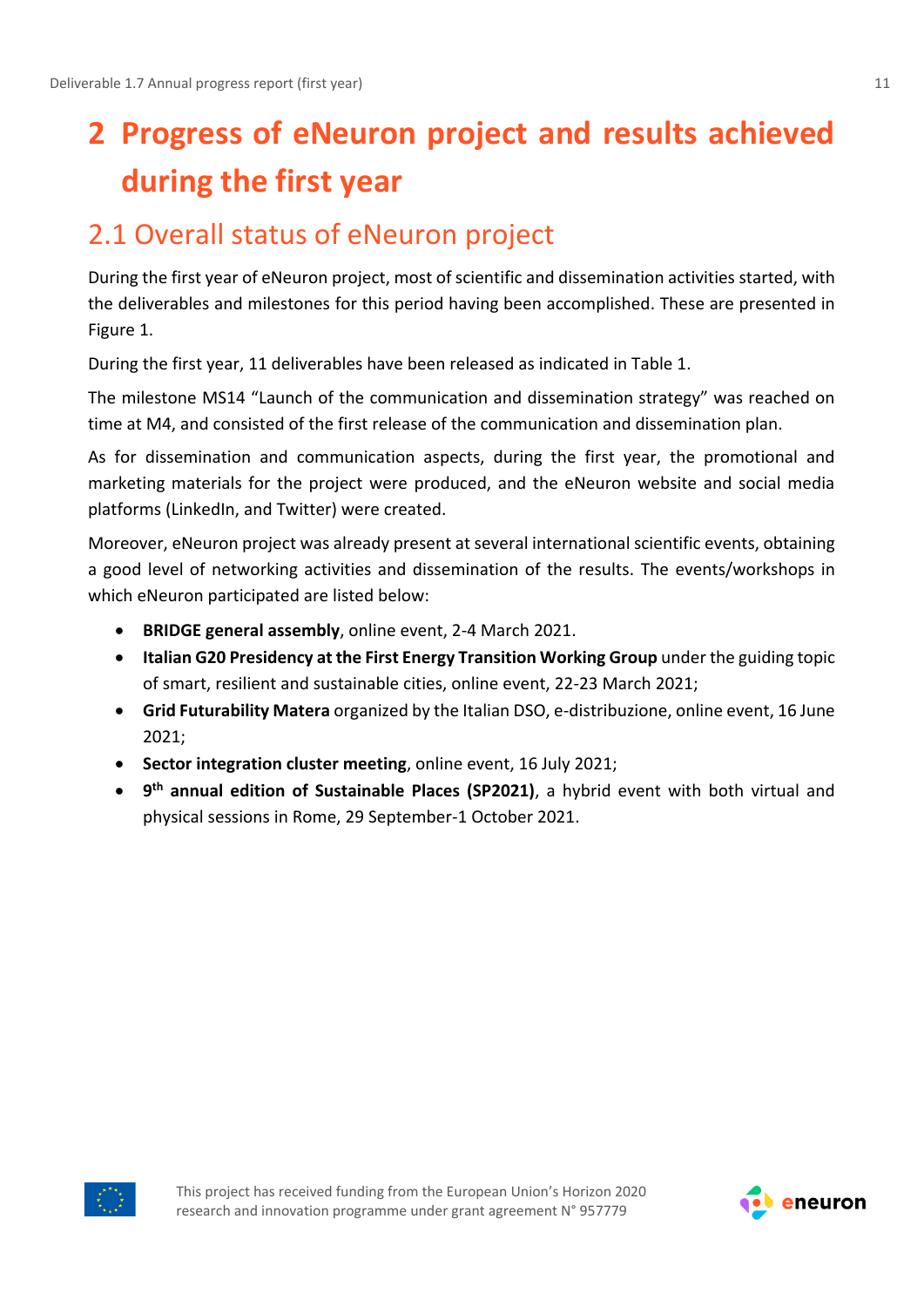# <span id="page-10-0"></span>**2 Progress of eNeuron project and results achieved during the first year**

### <span id="page-10-1"></span>2.1 Overall status of eNeuron project

During the first year of eNeuron project, most of scientific and dissemination activities started, with the deliverables and milestones for this period having been accomplished. These are presented in Figure 1.

During the first year, 11 deliverables have been released as indicated in Table 1.

The milestone MS14 "Launch of the communication and dissemination strategy" was reached on time at M4, and consisted of the first release of the communication and dissemination plan.

As for dissemination and communication aspects, during the first year, the promotional and marketing materials for the project were produced, and the eNeuron website and social media platforms (LinkedIn, and Twitter) were created.

Moreover, eNeuron project was already present at several international scientific events, obtaining a good level of networking activities and dissemination of the results. The events/workshops in which eNeuron participated are listed below:

- **BRIDGE general assembly**, online event, 2-4 March 2021.
- **Italian G20 Presidency at the First Energy Transition Working Group** under the guiding topic of smart, resilient and sustainable cities, online event, 22-23 March 2021;
- **Grid Futurability Matera** organized by the Italian DSO, e-distribuzione, online event, 16 June 2021;
- **Sector integration cluster meeting**, online event, 16 July 2021;
- **9 th annual edition of Sustainable Places (SP2021)**, a hybrid event with both virtual and physical sessions in Rome, 29 September-1 October 2021.



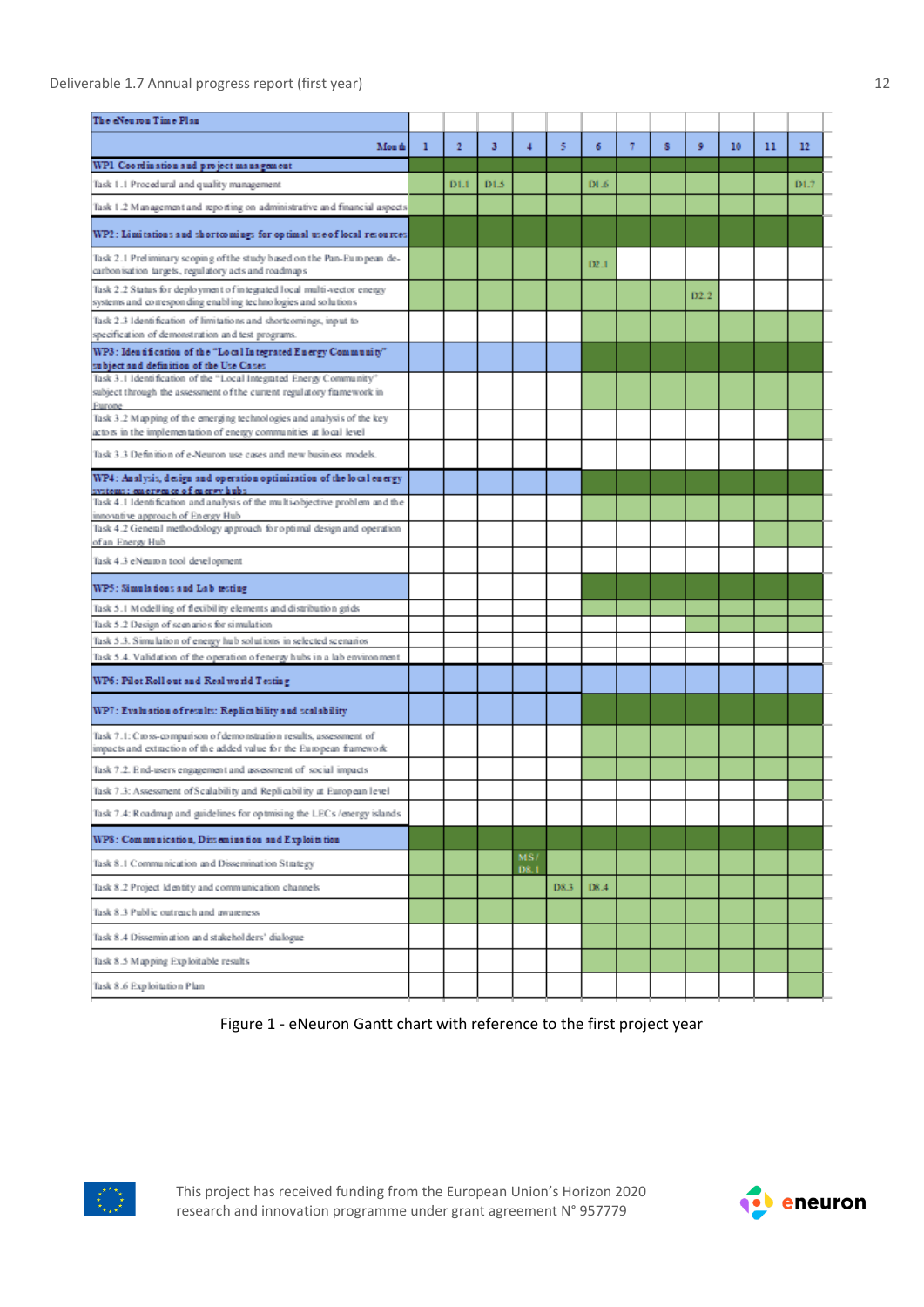#### Deliverable 1.7 Annual progress report (first year) 12

| The eNeuron Time Plan                                                                                                                                |   |              |      |                |      |       |   |   |      |    |    |      |
|------------------------------------------------------------------------------------------------------------------------------------------------------|---|--------------|------|----------------|------|-------|---|---|------|----|----|------|
| Mon th                                                                                                                                               | 1 | $\mathbf{2}$ | 3    | $\overline{4}$ | 5    | 6     | 7 | 8 | 9    | 10 | 11 | 12   |
| WP1 Coordination and project management                                                                                                              |   |              |      |                |      |       |   |   |      |    |    |      |
| Task 1.1 Procedural and quality management                                                                                                           |   | D1.1         | D1.5 |                |      | DI .6 |   |   |      |    |    | D1.7 |
| Task 1.2 Management and reporting on administrative and financial aspects                                                                            |   |              |      |                |      |       |   |   |      |    |    |      |
| WP2 : Limitations and shortcomings for optimal use of local resources                                                                                |   |              |      |                |      |       |   |   |      |    |    |      |
| Task 2.1 Preliminary scoping of the study based on the Pan-European de-<br>carbon isation targets, regulatory acts and roadmaps                      |   |              |      |                |      | D2.1  |   |   |      |    |    |      |
| Task 2.2 Status for deployment of integrated local multi-vector energy<br>systems and corresponding enabling technologies and solutions              |   |              |      |                |      |       |   |   | D2.2 |    |    |      |
| Task 2.3 Identification of limitations and shortcomings, input to<br>specification of demonstration and test programs.                               |   |              |      |                |      |       |   |   |      |    |    |      |
| WP3: Idea tification of the "Local Integrated Energy Community"<br>subject and definition of the Use Cases.                                          |   |              |      |                |      |       |   |   |      |    |    |      |
| Task 3.1 Identification of the "Local Integrated Energy Community"<br>subject through the assessment of the current regulatory fiamework in          |   |              |      |                |      |       |   |   |      |    |    |      |
| Europe<br>Task 3.2 Mapping of the emerging technologies and analysis of the key<br>actors in the implementation of energy communities at local level |   |              |      |                |      |       |   |   |      |    |    |      |
| Task 3.3 Definition of e-Neuron use cases and new business models.                                                                                   |   |              |      |                |      |       |   |   |      |    |    |      |
| WP4: Analysis, design and operation optimization of the local energy<br>systems; emergence of energy hubs.                                           |   |              |      |                |      |       |   |   |      |    |    |      |
| Task 4.1 Identification and analysis of the multi-objective problem and the<br>inno vative approach of Energy Hub                                    |   |              |      |                |      |       |   |   |      |    |    |      |
| Task 4.2 General methodology approach for optimal design and operation<br>of an Energy Hub                                                           |   |              |      |                |      |       |   |   |      |    |    |      |
| Task 4.3 eNeuron tool development                                                                                                                    |   |              |      |                |      |       |   |   |      |    |    |      |
| WP5: Simulations and Lab testing                                                                                                                     |   |              |      |                |      |       |   |   |      |    |    |      |
| Task 5.1 Modelling of flexibility elements and distribution grids                                                                                    |   |              |      |                |      |       |   |   |      |    |    |      |
| Task 5.2 Design of scenarios for simulation                                                                                                          |   |              |      |                |      |       |   |   |      |    |    |      |
| Task 5.3. Simulation of energy hub solutions in selected scenarios                                                                                   |   |              |      |                |      |       |   |   |      |    |    |      |
| Task 5.4. Validation of the operation of energy hubs in a lab environment                                                                            |   |              |      |                |      |       |   |   |      |    |    |      |
| WP6: Pilot Roll out and Real world Testing                                                                                                           |   |              |      |                |      |       |   |   |      |    |    |      |
| WP7: Evaluation of results: Replicability and scalability                                                                                            |   |              |      |                |      |       |   |   |      |    |    |      |
| Task 7.1: C to ss-comparison of demonstration results, assessment of<br>impacts and extraction of the added value for the European framework         |   |              |      |                |      |       |   |   |      |    |    |      |
| Task 7.2. End-users engagement and assessment of social impacts                                                                                      |   |              |      |                |      |       |   |   |      |    |    |      |
| Task 7.3: Assessment of Scalability and Replicability at European level                                                                              |   |              |      |                |      |       |   |   |      |    |    |      |
| Task 7.4: Roadmap and guidelines for optmising the LECs / energy islands                                                                             |   |              |      |                |      |       |   |   |      |    |    |      |
| WP8: Communication, Dissemination and Exploits tion                                                                                                  |   |              |      |                |      |       |   |   |      |    |    |      |
| Task 8.1 Communication and Dissemination Strategy                                                                                                    |   |              |      | MS/<br>D8.1    |      |       |   |   |      |    |    |      |
| Task 8.2 Project Identity and communication channels                                                                                                 |   |              |      |                | D8.3 | DS.4  |   |   |      |    |    |      |
| Task 8.3 Public outreach and awareness                                                                                                               |   |              |      |                |      |       |   |   |      |    |    |      |
| Task 8.4 Dissemination and stakeholders' dialogue                                                                                                    |   |              |      |                |      |       |   |   |      |    |    |      |
| Task 8.5 Mapping Exploitable results                                                                                                                 |   |              |      |                |      |       |   |   |      |    |    |      |
| Task 8.6 Exploitation Plan                                                                                                                           |   |              |      |                |      |       |   |   |      |    |    |      |

Figure 1 - eNeuron Gantt chart with reference to the first project year



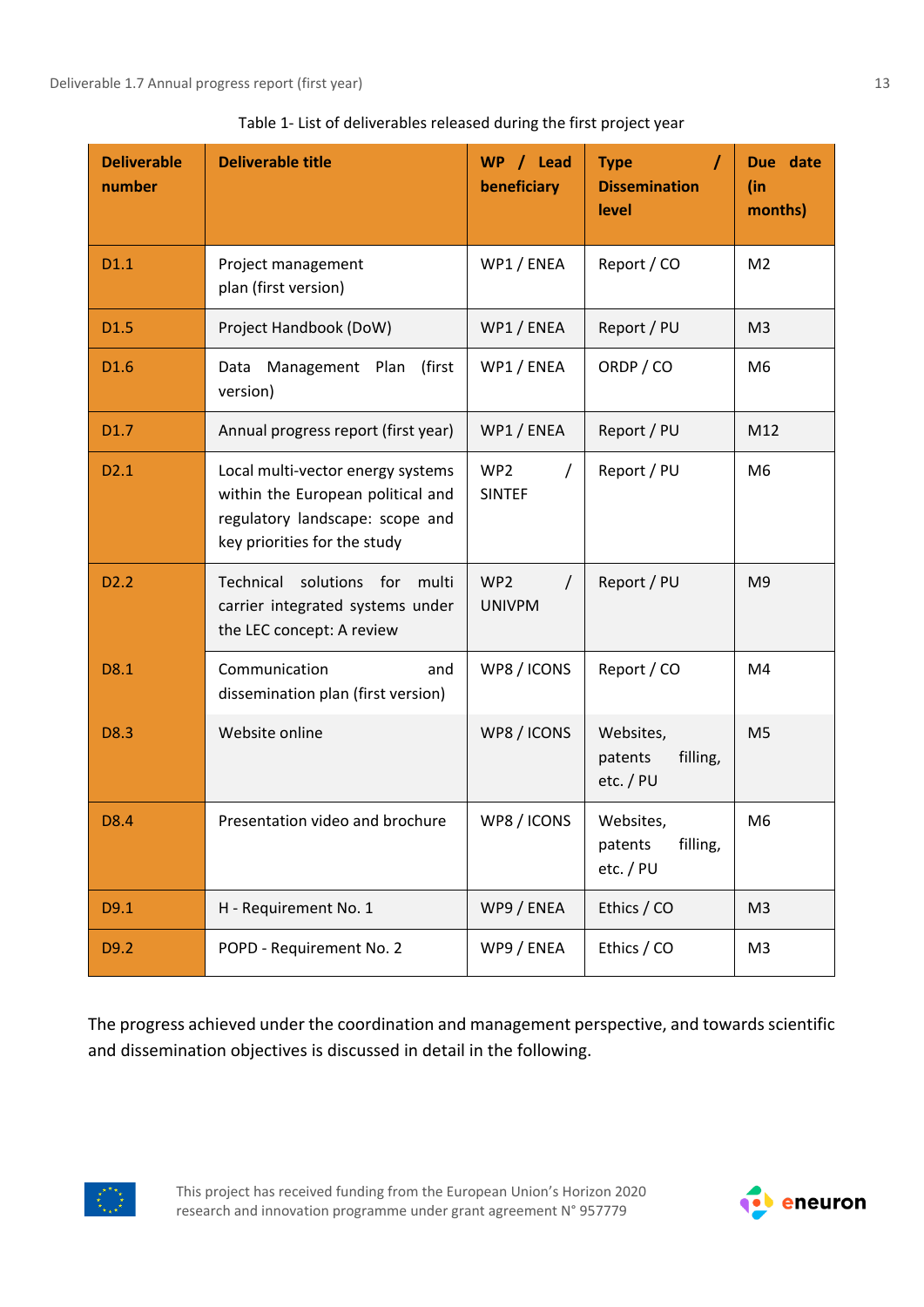| <b>Deliverable</b><br>number | <b>Deliverable title</b>                                                                                                                  | WP / Lead<br>beneficiary                     | <b>Type</b><br><b>Dissemination</b><br>level  | Due date<br>(in<br>months) |
|------------------------------|-------------------------------------------------------------------------------------------------------------------------------------------|----------------------------------------------|-----------------------------------------------|----------------------------|
| D1.1                         | Project management<br>plan (first version)                                                                                                | WP1 / ENEA                                   | Report / CO                                   | M <sub>2</sub>             |
| D <sub>1.5</sub>             | Project Handbook (DoW)                                                                                                                    | WP1 / ENEA                                   | Report / PU                                   | M <sub>3</sub>             |
| D <sub>1.6</sub>             | (first<br>Management Plan<br>Data<br>version)                                                                                             | WP1 / ENEA                                   | ORDP / CO                                     | M6                         |
| D1.7                         | Annual progress report (first year)                                                                                                       | WP1 / ENEA                                   | Report / PU                                   | M12                        |
| D <sub>2.1</sub>             | Local multi-vector energy systems<br>within the European political and<br>regulatory landscape: scope and<br>key priorities for the study | WP <sub>2</sub><br>T<br><b>SINTEF</b>        | Report / PU                                   | M <sub>6</sub>             |
| D <sub>2.2</sub>             | Technical solutions for<br>multi<br>carrier integrated systems under<br>the LEC concept: A review                                         | WP <sub>2</sub><br>$\prime$<br><b>UNIVPM</b> | Report / PU                                   | M <sub>9</sub>             |
| D8.1                         | Communication<br>and<br>dissemination plan (first version)                                                                                | WP8 / ICONS                                  | Report / CO                                   | M4                         |
| D8.3                         | Website online                                                                                                                            | WP8 / ICONS                                  | Websites,<br>filling,<br>patents<br>etc. / PU | M <sub>5</sub>             |
| D8.4                         | Presentation video and brochure                                                                                                           | WP8 / ICONS                                  | Websites,<br>patents<br>filling,<br>etc. / PU | M6                         |
| D9.1                         | H - Requirement No. 1                                                                                                                     | WP9 / ENEA                                   | Ethics / CO                                   | M <sub>3</sub>             |
| D9.2                         | POPD - Requirement No. 2                                                                                                                  | WP9 / ENEA                                   | Ethics / CO                                   | M <sub>3</sub>             |

Table 1- List of deliverables released during the first project year

The progress achieved under the coordination and management perspective, and towards scientific and dissemination objectives is discussed in detail in the following.

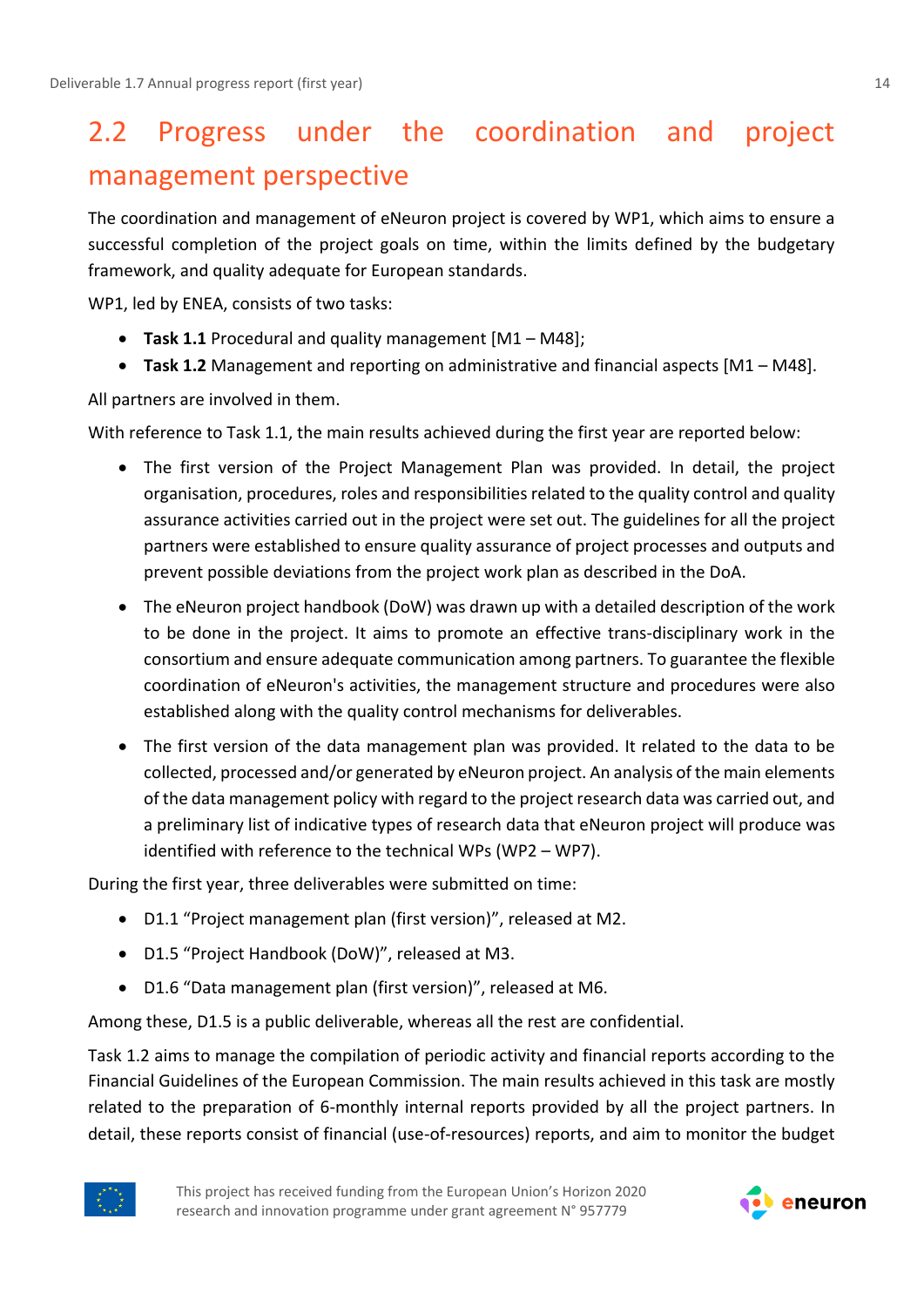# <span id="page-13-0"></span>2.2 Progress under the coordination and project management perspective

The coordination and management of eNeuron project is covered by WP1, which aims to ensure a successful completion of the project goals on time, within the limits defined by the budgetary framework, and quality adequate for European standards.

WP1, led by ENEA, consists of two tasks:

- **Task 1.1** Procedural and quality management [M1 M48];
- **Task 1.2** Management and reporting on administrative and financial aspects [M1 M48].

All partners are involved in them.

With reference to Task 1.1, the main results achieved during the first year are reported below:

- The first version of the Project Management Plan was provided. In detail, the project organisation, procedures, roles and responsibilities related to the quality control and quality assurance activities carried out in the project were set out. The guidelines for all the project partners were established to ensure quality assurance of project processes and outputs and prevent possible deviations from the project work plan as described in the DoA.
- The eNeuron project handbook (DoW) was drawn up with a detailed description of the work to be done in the project. It aims to promote an effective trans-disciplinary work in the consortium and ensure adequate communication among partners. To guarantee the flexible coordination of eNeuron's activities, the management structure and procedures were also established along with the quality control mechanisms for deliverables.
- The first version of the data management plan was provided. It related to the data to be collected, processed and/or generated by eNeuron project. An analysis of the main elements of the data management policy with regard to the project research data was carried out, and a preliminary list of indicative types of research data that eNeuron project will produce was identified with reference to the technical WPs (WP2 – WP7).

During the first year, three deliverables were submitted on time:

- D1.1 "Project management plan (first version)", released at M2.
- D1.5 "Project Handbook (DoW)", released at M3.
- D1.6 "Data management plan (first version)", released at M6.

Among these, D1.5 is a public deliverable, whereas all the rest are confidential.

Task 1.2 aims to manage the compilation of periodic activity and financial reports according to the Financial Guidelines of the European Commission. The main results achieved in this task are mostly related to the preparation of 6-monthly internal reports provided by all the project partners. In detail, these reports consist of financial (use-of-resources) reports, and aim to monitor the budget



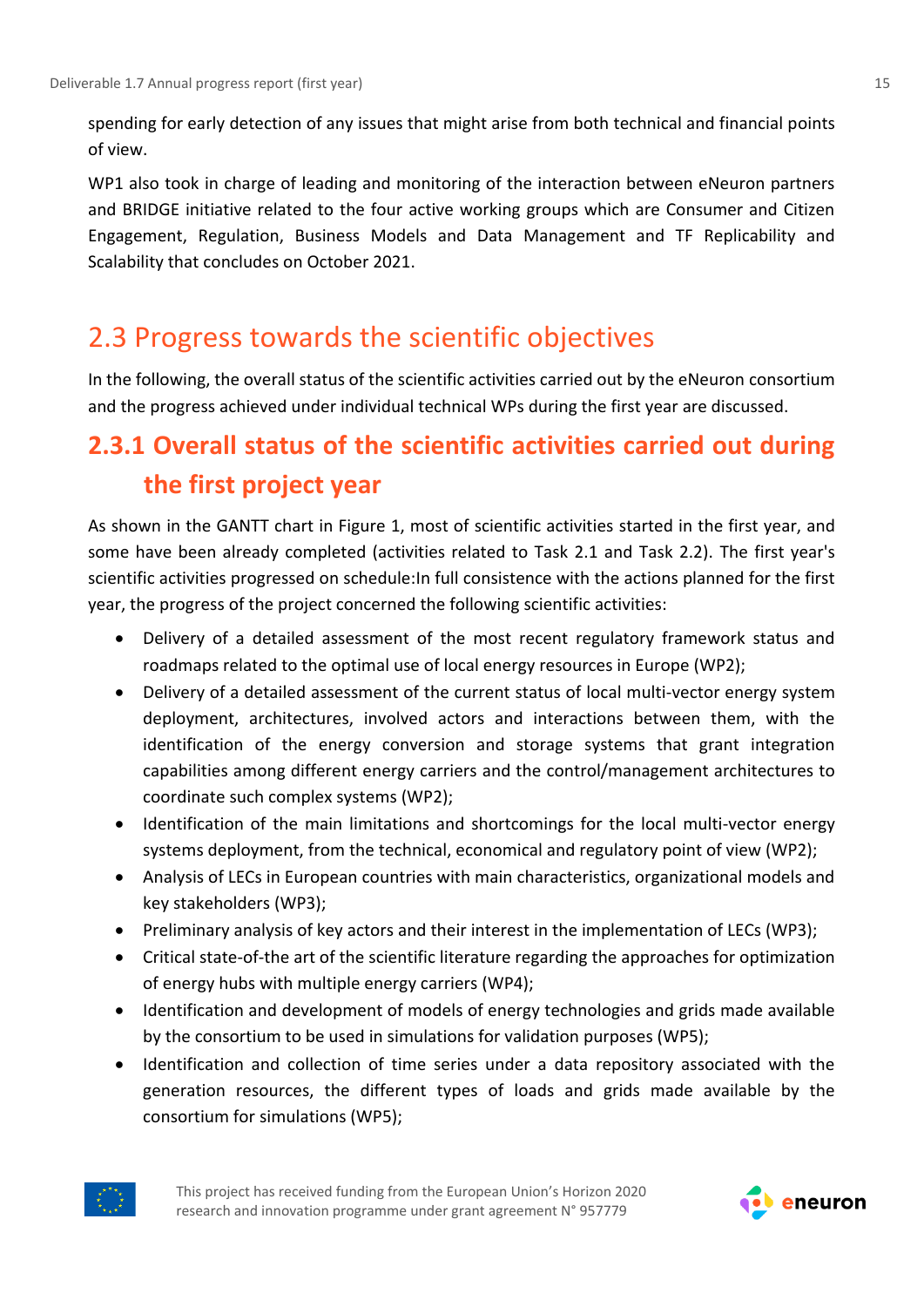spending for early detection of any issues that might arise from both technical and financial points of view.

WP1 also took in charge of leading and monitoring of the interaction between eNeuron partners and BRIDGE initiative related to the four active working groups which are Consumer and Citizen Engagement, Regulation, Business Models and Data Management and TF Replicability and Scalability that concludes on October 2021.

### <span id="page-14-0"></span>2.3 Progress towards the scientific objectives

In the following, the overall status of the scientific activities carried out by the eNeuron consortium and the progress achieved under individual technical WPs during the first year are discussed.

### <span id="page-14-1"></span>**2.3.1 Overall status of the scientific activities carried out during the first project year**

As shown in the GANTT chart in Figure 1, most of scientific activities started in the first year, and some have been already completed (activities related to Task 2.1 and Task 2.2). The first year's scientific activities progressed on schedule:In full consistence with the actions planned for the first year, the progress of the project concerned the following scientific activities:

- Delivery of a detailed assessment of the most recent regulatory framework status and roadmaps related to the optimal use of local energy resources in Europe (WP2);
- Delivery of a detailed assessment of the current status of local multi-vector energy system deployment, architectures, involved actors and interactions between them, with the identification of the energy conversion and storage systems that grant integration capabilities among different energy carriers and the control/management architectures to coordinate such complex systems (WP2);
- Identification of the main limitations and shortcomings for the local multi-vector energy systems deployment, from the technical, economical and regulatory point of view (WP2);
- Analysis of LECs in European countries with main characteristics, organizational models and key stakeholders (WP3);
- Preliminary analysis of key actors and their interest in the implementation of LECs (WP3);
- Critical state-of-the art of the scientific literature regarding the approaches for optimization of energy hubs with multiple energy carriers (WP4);
- Identification and development of models of energy technologies and grids made available by the consortium to be used in simulations for validation purposes (WP5);
- Identification and collection of time series under a data repository associated with the generation resources, the different types of loads and grids made available by the consortium for simulations (WP5);



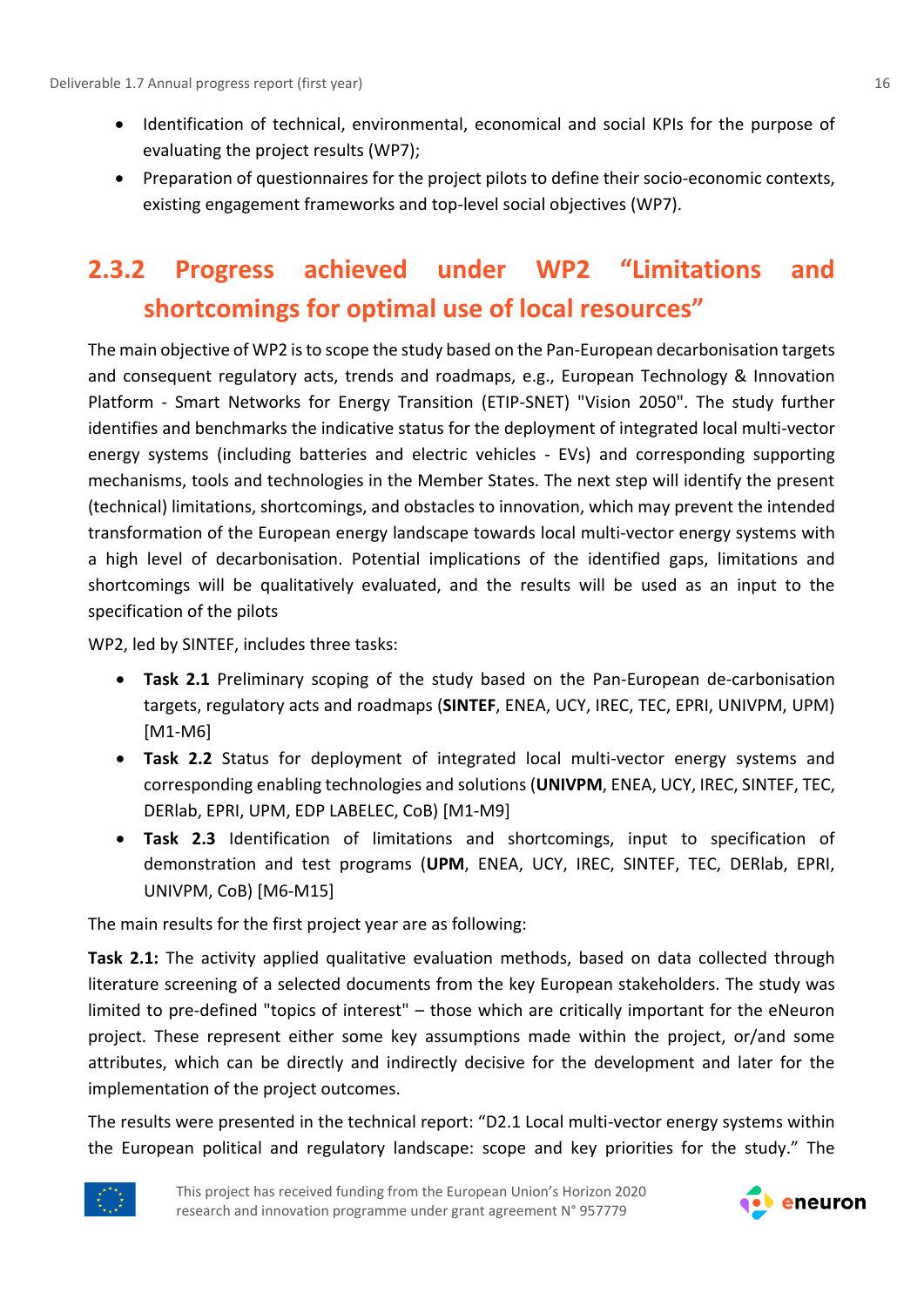- Identification of technical, environmental, economical and social KPIs for the purpose of evaluating the project results (WP7);
- Preparation of questionnaires for the project pilots to define their socio-economic contexts, existing engagement frameworks and top-level social objectives (WP7).

## <span id="page-15-0"></span>**2.3.2 Progress achieved under WP2 "Limitations and shortcomings for optimal use of local resources"**

The main objective of WP2 is to scope the study based on the Pan-European decarbonisation targets and consequent regulatory acts, trends and roadmaps, e.g., European Technology & Innovation Platform - Smart Networks for Energy Transition (ETIP-SNET) "Vision 2050". The study further identifies and benchmarks the indicative status for the deployment of integrated local multi-vector energy systems (including batteries and electric vehicles - EVs) and corresponding supporting mechanisms, tools and technologies in the Member States. The next step will identify the present (technical) limitations, shortcomings, and obstacles to innovation, which may prevent the intended transformation of the European energy landscape towards local multi-vector energy systems with a high level of decarbonisation. Potential implications of the identified gaps, limitations and shortcomings will be qualitatively evaluated, and the results will be used as an input to the specification of the pilots

WP2, led by SINTEF, includes three tasks:

- **Task 2.1** Preliminary scoping of the study based on the Pan-European de-carbonisation targets, regulatory acts and roadmaps (**SINTEF**, ENEA, UCY, IREC, TEC, EPRI, UNIVPM, UPM) [M1-M6]
- **Task 2.2** Status for deployment of integrated local multi-vector energy systems and corresponding enabling technologies and solutions (**UNIVPM**, ENEA, UCY, IREC, SINTEF, TEC, DERlab, EPRI, UPM, EDP LABELEC, CoB) [M1-M9]
- **Task 2.3** Identification of limitations and shortcomings, input to specification of demonstration and test programs (**UPM**, ENEA, UCY, IREC, SINTEF, TEC, DERlab, EPRI, UNIVPM, CoB) [M6-M15]

The main results for the first project year are as following:

**Task 2.1:** The activity applied qualitative evaluation methods, based on data collected through literature screening of a selected documents from the key European stakeholders. The study was limited to pre-defined "topics of interest" – those which are critically important for the eNeuron project. These represent either some key assumptions made within the project, or/and some attributes, which can be directly and indirectly decisive for the development and later for the implementation of the project outcomes.

The results were presented in the technical report: "D2.1 Local multi-vector energy systems within the European political and regulatory landscape: scope and key priorities for the study." The



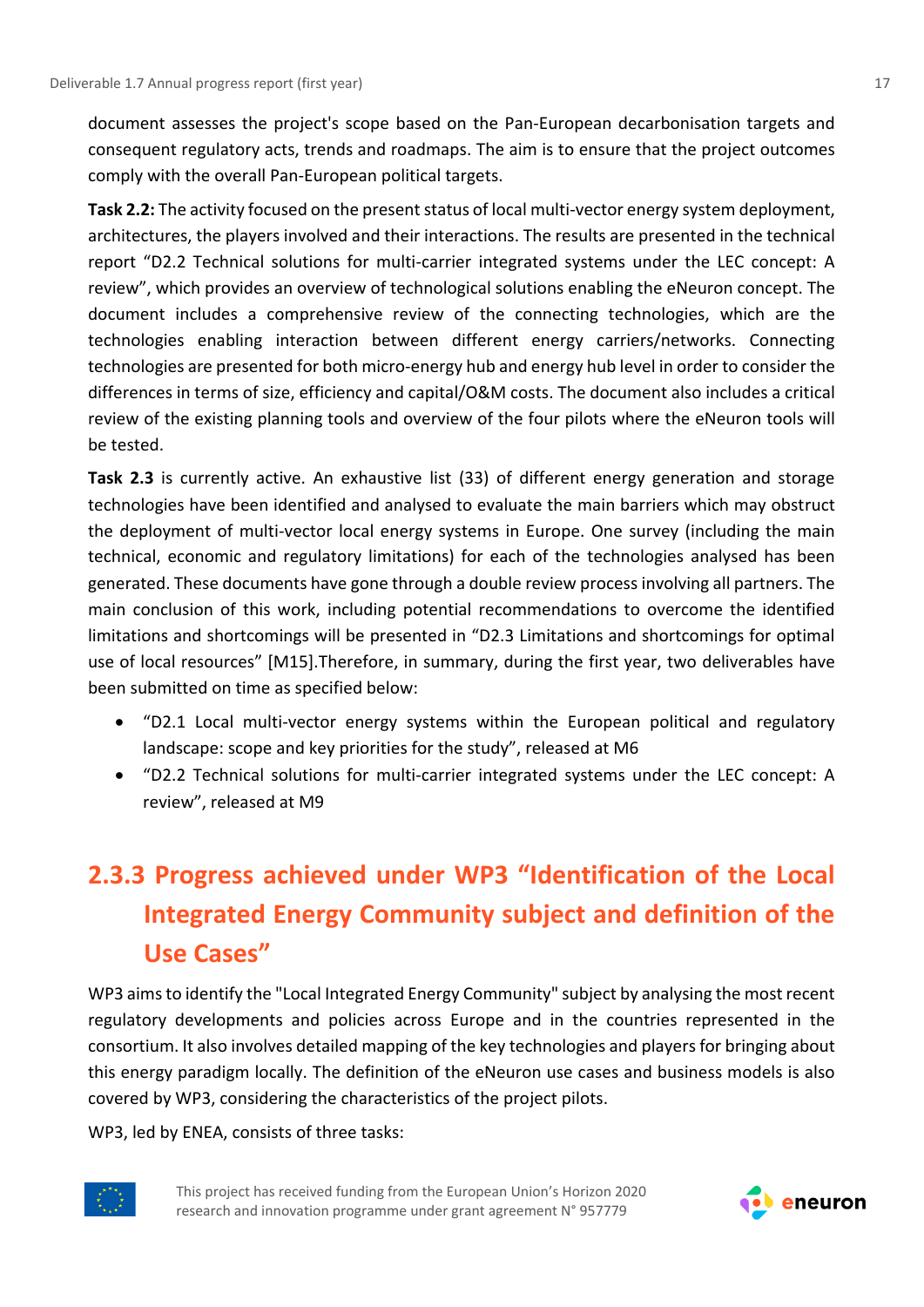document assesses the project's scope based on the Pan-European decarbonisation targets and consequent regulatory acts, trends and roadmaps. The aim is to ensure that the project outcomes comply with the overall Pan-European political targets.

**Task 2.2:** The activity focused on the present status of local multi-vector energy system deployment, architectures, the players involved and their interactions. The results are presented in the technical report "D2.2 Technical solutions for multi-carrier integrated systems under the LEC concept: A review", which provides an overview of technological solutions enabling the eNeuron concept. The document includes a comprehensive review of the connecting technologies, which are the technologies enabling interaction between different energy carriers/networks. Connecting technologies are presented for both micro‐energy hub and energy hub level in order to consider the differences in terms of size, efficiency and capital/O&M costs. The document also includes a critical review of the existing planning tools and overview of the four pilots where the eNeuron tools will be tested.

**Task 2.3** is currently active. An exhaustive list (33) of different energy generation and storage technologies have been identified and analysed to evaluate the main barriers which may obstruct the deployment of multi-vector local energy systems in Europe. One survey (including the main technical, economic and regulatory limitations) for each of the technologies analysed has been generated. These documents have gone through a double review process involving all partners. The main conclusion of this work, including potential recommendations to overcome the identified limitations and shortcomings will be presented in "D2.3 Limitations and shortcomings for optimal use of local resources" [M15].Therefore, in summary, during the first year, two deliverables have been submitted on time as specified below:

- "D2.1 Local multi-vector energy systems within the European political and regulatory landscape: scope and key priorities for the study", released at M6
- "D2.2 Technical solutions for multi-carrier integrated systems under the LEC concept: A review", released at M9

# <span id="page-16-0"></span>**2.3.3 Progress achieved under WP3 "Identification of the Local Integrated Energy Community subject and definition of the Use Cases"**

WP3 aims to identify the "Local Integrated Energy Community" subject by analysing the most recent regulatory developments and policies across Europe and in the countries represented in the consortium. It also involves detailed mapping of the key technologies and players for bringing about this energy paradigm locally. The definition of the eNeuron use cases and business models is also covered by WP3, considering the characteristics of the project pilots.

WP3, led by ENEA, consists of three tasks:



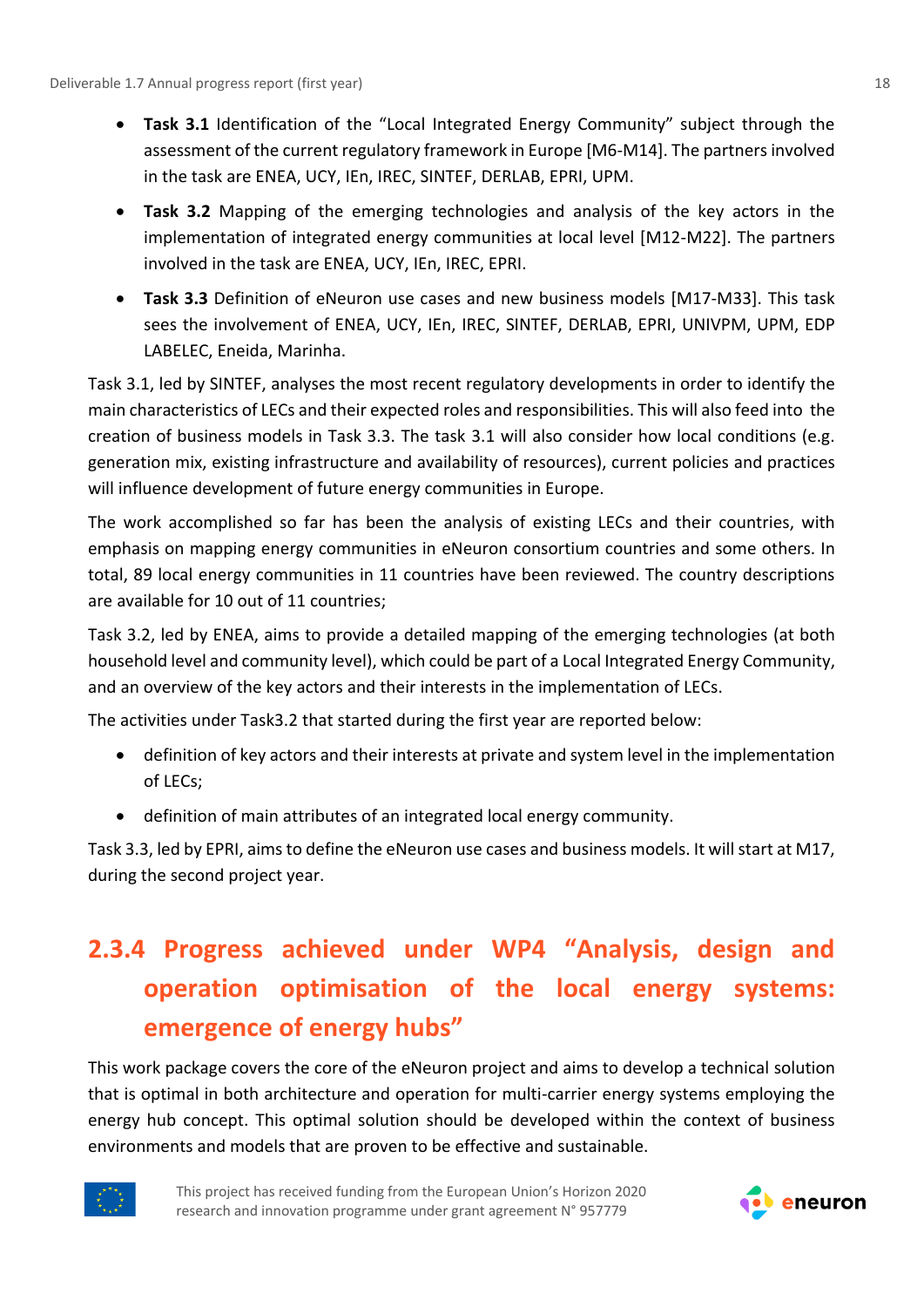- **Task 3.1** Identification of the "Local Integrated Energy Community" subject through the assessment of the current regulatory framework in Europe [M6-M14]. The partners involved in the task are ENEA, UCY, IEn, IREC, SINTEF, DERLAB, EPRI, UPM.
- **Task 3.2** Mapping of the emerging technologies and analysis of the key actors in the implementation of integrated energy communities at local level [M12-M22]. The partners involved in the task are ENEA, UCY, IEn, IREC, EPRI.
- **Task 3.3** Definition of eNeuron use cases and new business models [M17-M33]. This task sees the involvement of ENEA, UCY, IEn, IREC, SINTEF, DERLAB, EPRI, UNIVPM, UPM, EDP LABELEC, Eneida, Marinha.

Task 3.1, led by SINTEF, analyses the most recent regulatory developments in order to identify the main characteristics of LECs and their expected roles and responsibilities. This will also feed into the creation of business models in Task 3.3. The task 3.1 will also consider how local conditions (e.g. generation mix, existing infrastructure and availability of resources), current policies and practices will influence development of future energy communities in Europe.

The work accomplished so far has been the analysis of existing LECs and their countries, with emphasis on mapping energy communities in eNeuron consortium countries and some others. In total, 89 local energy communities in 11 countries have been reviewed. The country descriptions are available for 10 out of 11 countries;

Task 3.2, led by ENEA, aims to provide a detailed mapping of the emerging technologies (at both household level and community level), which could be part of a Local Integrated Energy Community, and an overview of the key actors and their interests in the implementation of LECs.

The activities under Task3.2 that started during the first year are reported below:

- definition of key actors and their interests at private and system level in the implementation of LECs;
- definition of main attributes of an integrated local energy community.

Task 3.3, led by EPRI, aims to define the eNeuron use cases and business models. It will start at M17, during the second project year.

# <span id="page-17-0"></span>**2.3.4 Progress achieved under WP4 "Analysis, design and operation optimisation of the local energy systems: emergence of energy hubs"**

This work package covers the core of the eNeuron project and aims to develop a technical solution that is optimal in both architecture and operation for multi-carrier energy systems employing the energy hub concept. This optimal solution should be developed within the context of business environments and models that are proven to be effective and sustainable.



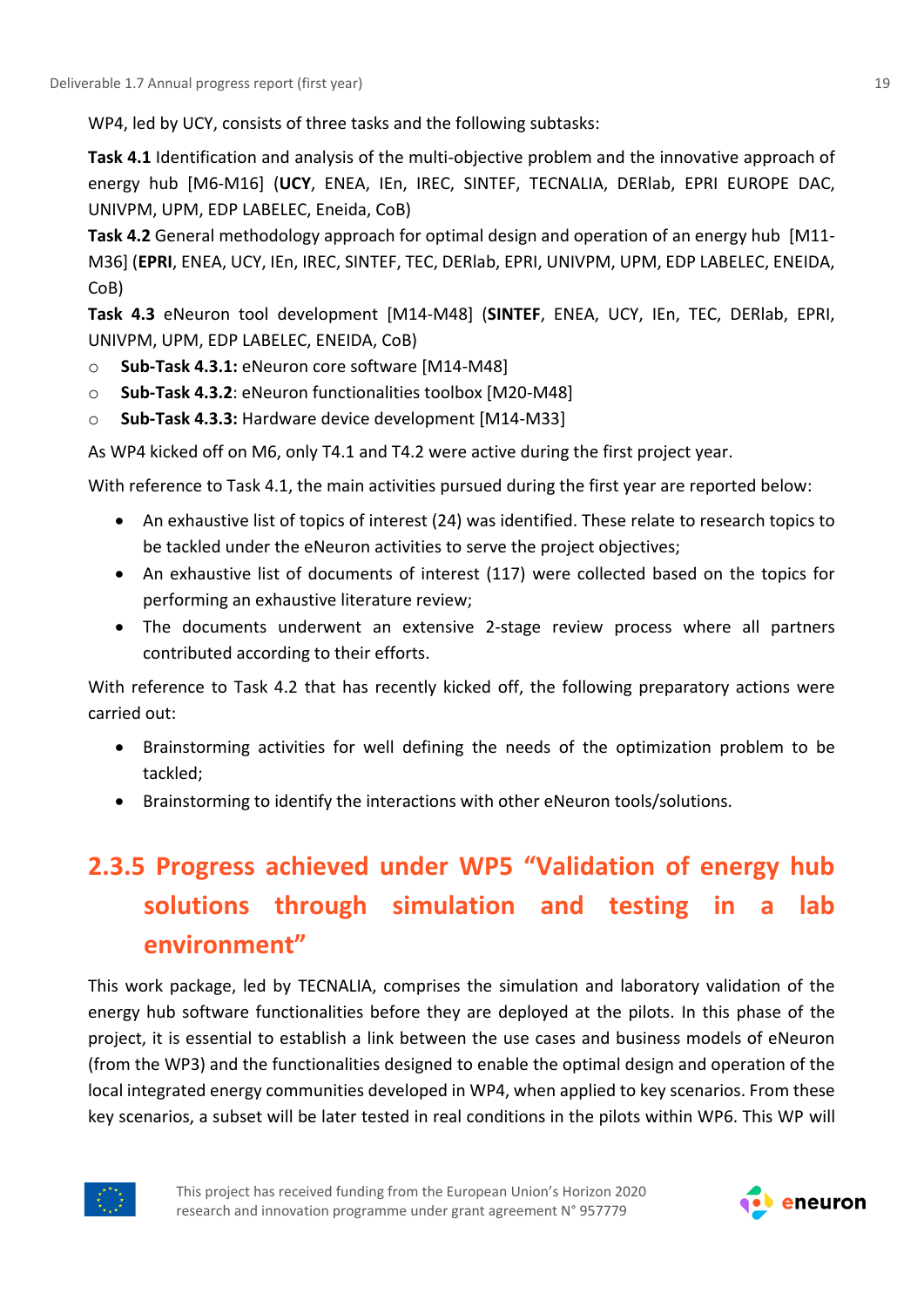WP4, led by UCY, consists of three tasks and the following subtasks:

**Task 4.1** Identification and analysis of the multi-objective problem and the innovative approach of energy hub [M6-M16] (**UCY**, ENEA, IEn, IREC, SINTEF, TECNALIA, DERlab, EPRI EUROPE DAC, UNIVPM, UPM, EDP LABELEC, Eneida, CoB)

**Task 4.2** General methodology approach for optimal design and operation of an energy hub [Μ11- M36] (**EPRI**, ENEA, UCY, IEn, IREC, SINTEF, TEC, DERlab, EPRI, UNIVPM, UPM, EDP LABELEC, ENEIDA, CoB)

**Task 4.3** eNeuron tool development [M14-M48] (**SINTEF**, ENEA, UCY, IEn, TEC, DERlab, EPRI, UNIVPM, UPM, EDP LABELEC, ENEIDA, CoB)

- o **Sub-Task 4.3.1:** eNeuron core software [M14-M48]
- o **Sub-Task 4.3.2**: eNeuron functionalities toolbox [M20-M48]
- o **Sub-Task 4.3.3:** Hardware device development [M14-M33]

As WP4 kicked off on M6, only T4.1 and T4.2 were active during the first project year.

With reference to Task 4.1, the main activities pursued during the first year are reported below:

- An exhaustive list of topics of interest (24) was identified. These relate to research topics to be tackled under the eNeuron activities to serve the project objectives;
- An exhaustive list of documents of interest (117) were collected based on the topics for performing an exhaustive literature review;
- The documents underwent an extensive 2-stage review process where all partners contributed according to their efforts.

With reference to Task 4.2 that has recently kicked off, the following preparatory actions were carried out:

- Brainstorming activities for well defining the needs of the optimization problem to be tackled;
- Brainstorming to identify the interactions with other eNeuron tools/solutions.

# <span id="page-18-0"></span>**2.3.5 Progress achieved under WP5 "Validation of energy hub solutions through simulation and testing in a lab environment"**

This work package, led by TECNALIA, comprises the simulation and laboratory validation of the energy hub software functionalities before they are deployed at the pilots. In this phase of the project, it is essential to establish a link between the use cases and business models of eNeuron (from the WP3) and the functionalities designed to enable the optimal design and operation of the local integrated energy communities developed in WP4, when applied to key scenarios. From these key scenarios, a subset will be later tested in real conditions in the pilots within WP6. This WP will



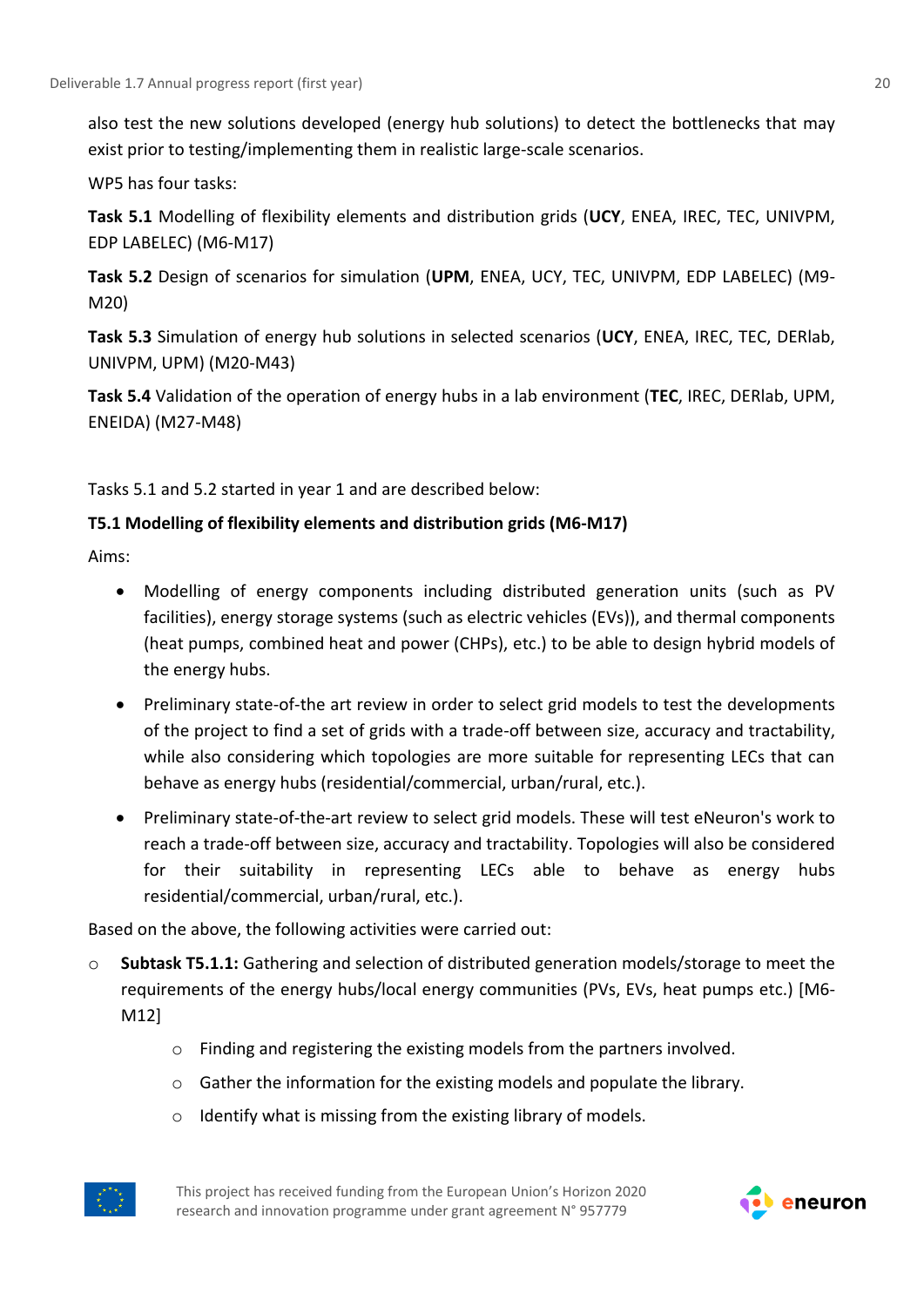also test the new solutions developed (energy hub solutions) to detect the bottlenecks that may exist prior to testing/implementing them in realistic large-scale scenarios.

WP5 has four tasks:

**Task 5.1** Modelling of flexibility elements and distribution grids (**UCY**, ENEA, IREC, TEC, UNIVPM, EDP LABELEC) (M6-M17)

**Task 5.2** Design of scenarios for simulation (**UPM**, ENEA, UCY, TEC, UNIVPM, EDP LABELEC) (M9- M20)

**Task 5.3** Simulation of energy hub solutions in selected scenarios (**UCY**, ENEA, IREC, TEC, DERlab, UNIVPM, UPM) (M20-M43)

**Task 5.4** Validation of the operation of energy hubs in a lab environment (**TEC**, IREC, DERlab, UPM, ENEIDA) (M27-M48)

Tasks 5.1 and 5.2 started in year 1 and are described below:

### **T5.1 Modelling of flexibility elements and distribution grids (M6-M17)**

Aims:

- Modelling of energy components including distributed generation units (such as PV facilities), energy storage systems (such as electric vehicles (EVs)), and thermal components (heat pumps, combined heat and power (CHPs), etc.) to be able to design hybrid models of the energy hubs.
- Preliminary state-of-the art review in order to select grid models to test the developments of the project to find a set of grids with a trade-off between size, accuracy and tractability, while also considering which topologies are more suitable for representing LECs that can behave as energy hubs (residential/commercial, urban/rural, etc.).
- Preliminary state-of-the-art review to select grid models. These will test eNeuron's work to reach a trade-off between size, accuracy and tractability. Topologies will also be considered for their suitability in representing LECs able to behave as energy hubs residential/commercial, urban/rural, etc.).

Based on the above, the following activities were carried out:

- o **Subtask T5.1.1:** Gathering and selection of distributed generation models/storage to meet the requirements of the energy hubs/local energy communities (PVs, EVs, heat pumps etc.) [M6- M12]
	- o Finding and registering the existing models from the partners involved.
	- o Gather the information for the existing models and populate the library.
	- o Identify what is missing from the existing library of models.



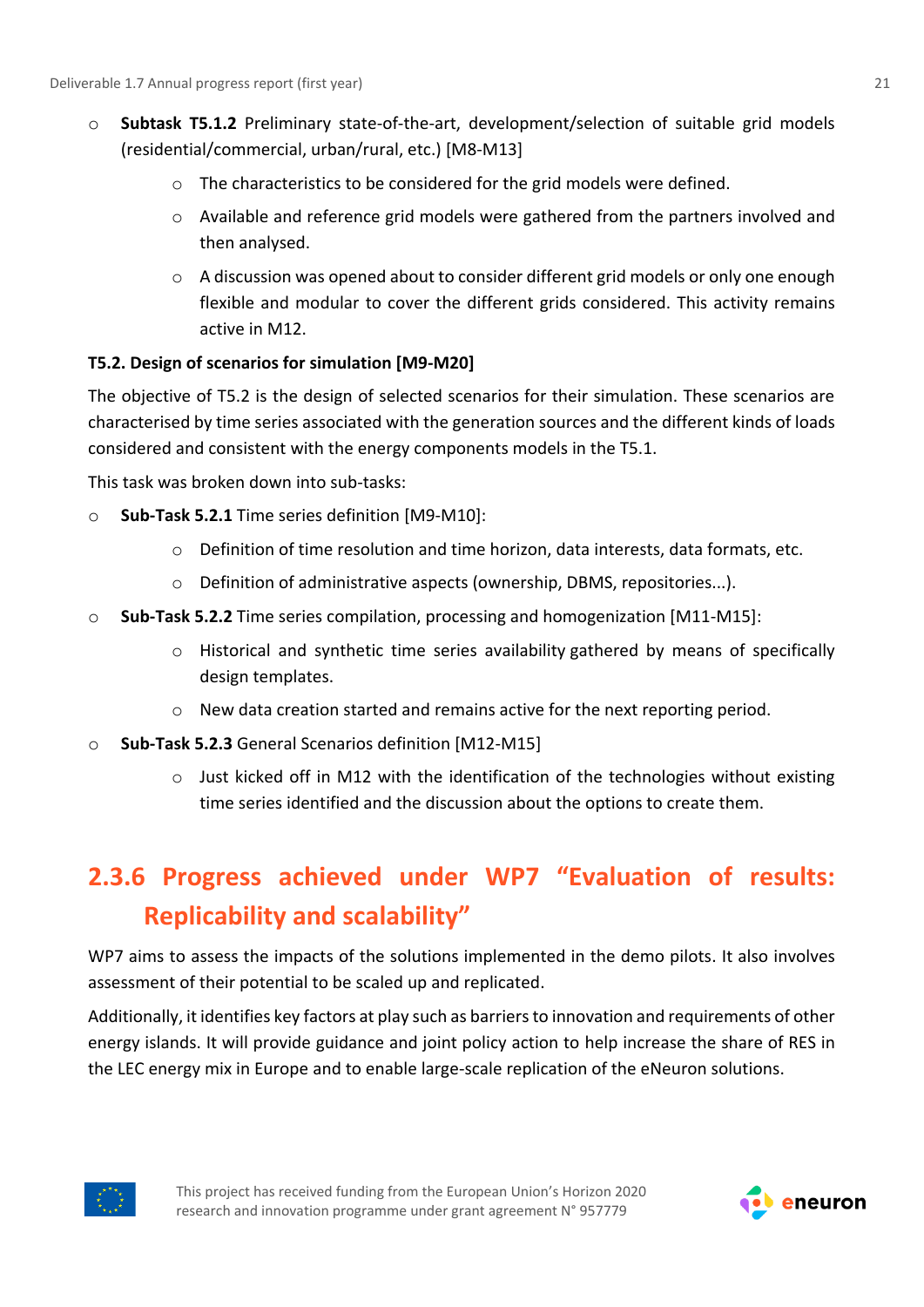- o **Subtask T5.1.2** Preliminary state-of-the-art, development/selection of suitable grid models (residential/commercial, urban/rural, etc.) [M8-M13]
	- o The characteristics to be considered for the grid models were defined.
	- o Available and reference grid models were gathered from the partners involved and then analysed.
	- $\circ$  A discussion was opened about to consider different grid models or only one enough flexible and modular to cover the different grids considered. This activity remains active in M12.

### **T5.2. Design of scenarios for simulation [M9-M20]**

The objective of T5.2 is the design of selected scenarios for their simulation. These scenarios are characterised by time series associated with the generation sources and the different kinds of loads considered and consistent with the energy components models in the T5.1.

This task was broken down into sub-tasks:

- o **Sub-Task 5.2.1** Time series definition [M9-M10]:
	- $\circ$  Definition of time resolution and time horizon, data interests, data formats, etc.
	- o Definition of administrative aspects (ownership, DBMS, repositories...).
- o **Sub-Task 5.2.2** Time series compilation, processing and homogenization [M11-M15]:
	- o Historical and synthetic time series availability gathered by means of specifically design templates.
	- $\circ$  New data creation started and remains active for the next reporting period.
- o **Sub-Task 5.2.3** General Scenarios definition [M12-M15]
	- o Just kicked off in M12 with the identification of the technologies without existing time series identified and the discussion about the options to create them.

### <span id="page-20-0"></span>**2.3.6 Progress achieved under WP7 "Evaluation of results: Replicability and scalability"**

WP7 aims to assess the impacts of the solutions implemented in the demo pilots. It also involves assessment of their potential to be scaled up and replicated.

Additionally, it identifies key factors at play such as barriers to innovation and requirements of other energy islands. It will provide guidance and joint policy action to help increase the share of RES in the LEC energy mix in Europe and to enable large-scale replication of the eNeuron solutions.



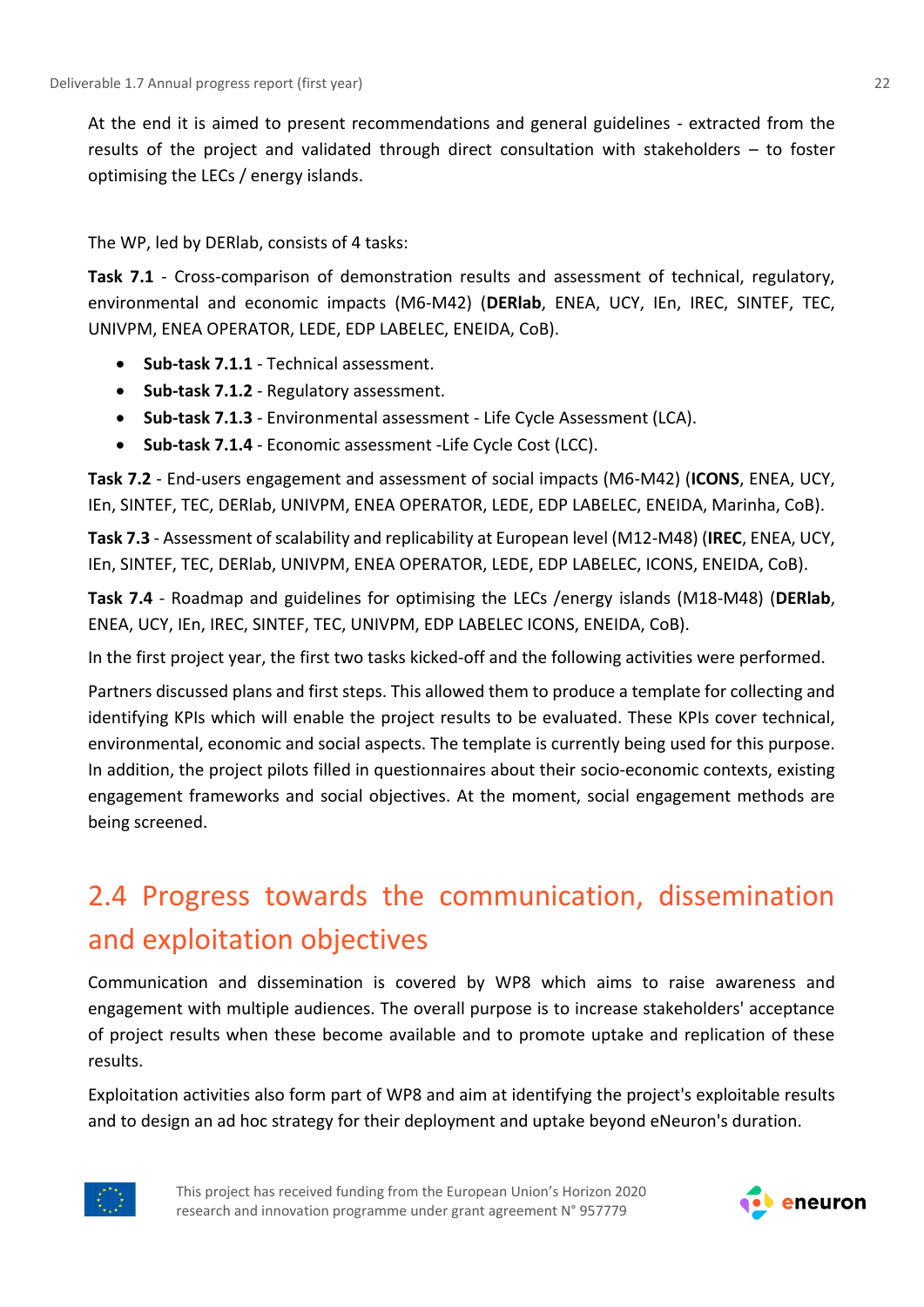At the end it is aimed to present recommendations and general guidelines - extracted from the results of the project and validated through direct consultation with stakeholders – to foster optimising the LECs / energy islands.

The WP, led by DERlab, consists of 4 tasks:

**Task 7.1** - Cross-comparison of demonstration results and assessment of technical, regulatory, environmental and economic impacts (M6-M42) (**DERlab**, ENEA, UCY, IEn, IREC, SINTEF, TEC, UNIVPM, ENEA OPERATOR, LEDE, EDP LABELEC, ENEIDA, CoB).

- **Sub-task 7.1.1**  Technical assessment.
- **Sub-task 7.1.2** Regulatory assessment.
- **Sub-task 7.1.3** Environmental assessment Life Cycle Assessment (LCA).
- **Sub-task 7.1.4** Economic assessment -Life Cycle Cost (LCC).

**Task 7.2** - End-users engagement and assessment of social impacts (M6-M42) (**ICONS**, ENEA, UCY, IEn, SINTEF, TEC, DERlab, UNIVPM, ENEA OPERATOR, LEDE, EDP LABELEC, ENEIDA, Marinha, CoB).

**Task 7.3** - Assessment of scalability and replicability at European level (M12-M48) (**IREC**, ENEA, UCY, IEn, SINTEF, TEC, DERlab, UNIVPM, ENEA OPERATOR, LEDE, EDP LABELEC, ICONS, ENEIDA, CoB).

**Task 7.4** - Roadmap and guidelines for optimising the LECs /energy islands (M18-M48) (**DERlab**, ENEA, UCY, IEn, IREC, SINTEF, TEC, UNIVPM, EDP LABELEC ICONS, ENEIDA, CoB).

In the first project year, the first two tasks kicked-off and the following activities were performed.

Partners discussed plans and first steps. This allowed them to produce a template for collecting and identifying KPIs which will enable the project results to be evaluated. These KPIs cover technical, environmental, economic and social aspects. The template is currently being used for this purpose. In addition, the project pilots filled in questionnaires about their socio-economic contexts, existing engagement frameworks and social objectives. At the moment, social engagement methods are being screened.

# <span id="page-21-0"></span>2.4 Progress towards the communication, dissemination and exploitation objectives

Communication and dissemination is covered by WP8 which aims to raise awareness and engagement with multiple audiences. The overall purpose is to increase stakeholders' acceptance of project results when these become available and to promote uptake and replication of these results.

Exploitation activities also form part of WP8 and aim at identifying the project's exploitable results and to design an ad hoc strategy for their deployment and uptake beyond eNeuron's duration.



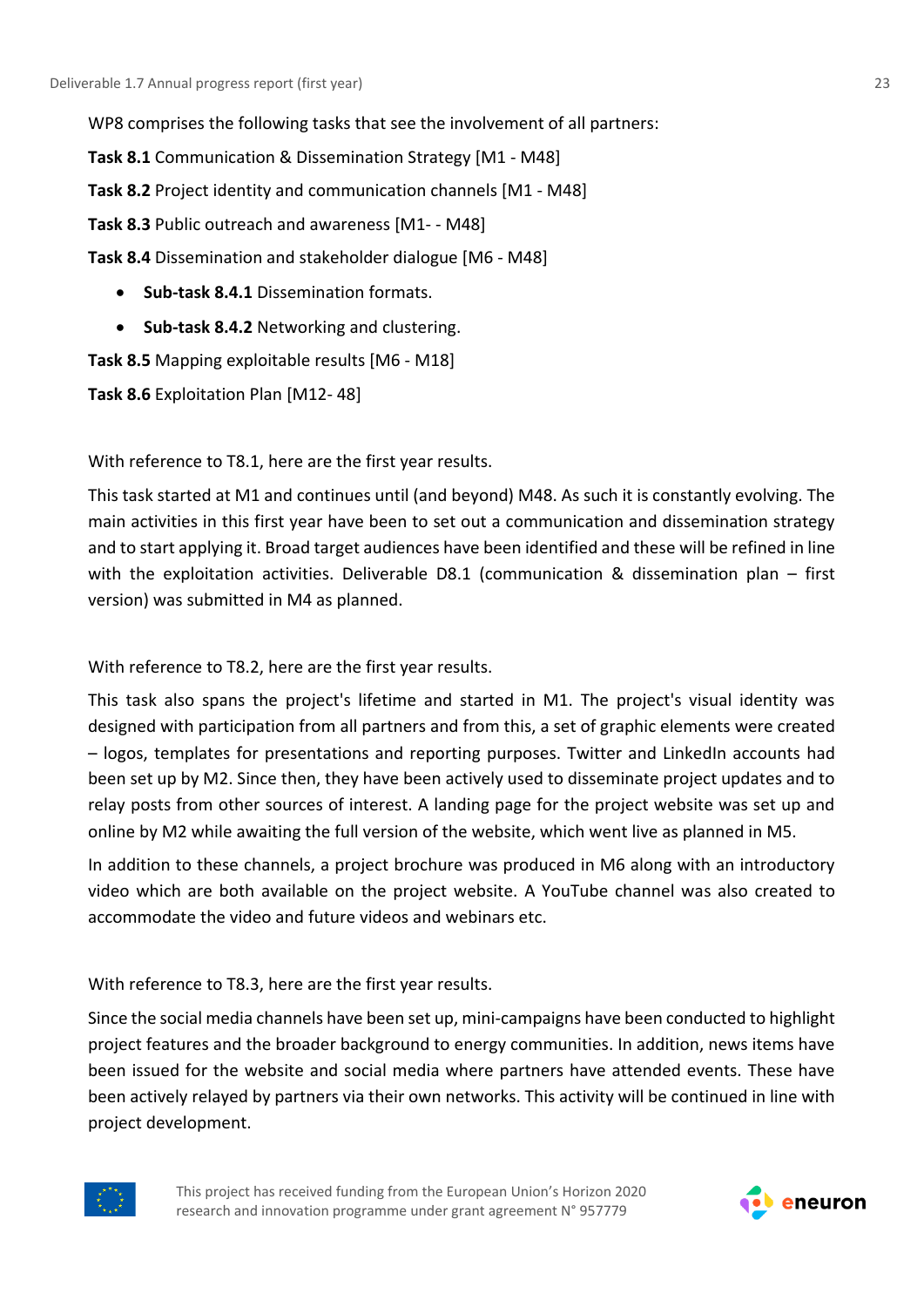WP8 comprises the following tasks that see the involvement of all partners:

**Task 8.1** Communication & Dissemination Strategy [M1 - M48]

**Task 8.2** Project identity and communication channels [M1 - M48]

**Task 8.3** Public outreach and awareness [M1- - M48]

**Task 8.4** Dissemination and stakeholder dialogue [M6 - M48]

- **Sub-task 8.4.1** Dissemination formats.
- **Sub-task 8.4.2** Networking and clustering.

**Task 8.5** Mapping exploitable results [M6 - M18]

**Task 8.6** Exploitation Plan [M12- 48]

With reference to T8.1, here are the first year results.

This task started at M1 and continues until (and beyond) M48. As such it is constantly evolving. The main activities in this first year have been to set out a communication and dissemination strategy and to start applying it. Broad target audiences have been identified and these will be refined in line with the exploitation activities. Deliverable D8.1 (communication & dissemination plan – first version) was submitted in M4 as planned.

With reference to T8.2, here are the first year results.

This task also spans the project's lifetime and started in M1. The project's visual identity was designed with participation from all partners and from this, a set of graphic elements were created – logos, templates for presentations and reporting purposes. Twitter and LinkedIn accounts had been set up by M2. Since then, they have been actively used to disseminate project updates and to relay posts from other sources of interest. A landing page for the project website was set up and online by M2 while awaiting the full version of the website, which went live as planned in M5.

In addition to these channels, a project brochure was produced in M6 along with an introductory video which are both available on the project website. A YouTube channel was also created to accommodate the video and future videos and webinars etc.

With reference to T8.3, here are the first year results.

Since the social media channels have been set up, mini-campaigns have been conducted to highlight project features and the broader background to energy communities. In addition, news items have been issued for the website and social media where partners have attended events. These have been actively relayed by partners via their own networks. This activity will be continued in line with project development.



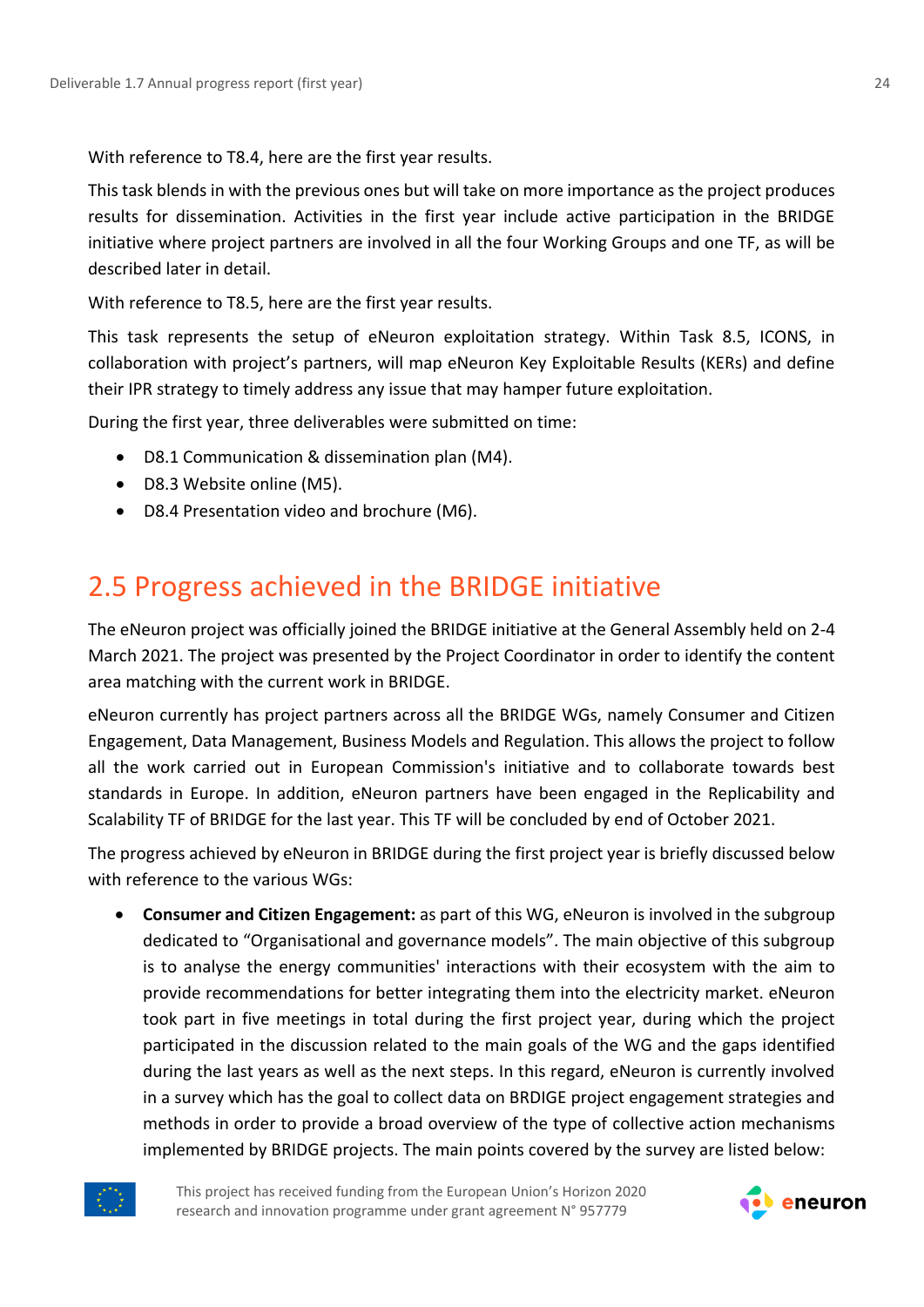With reference to T8.4, here are the first year results.

This task blends in with the previous ones but will take on more importance as the project produces results for dissemination. Activities in the first year include active participation in the BRIDGE initiative where project partners are involved in all the four Working Groups and one TF, as will be described later in detail.

With reference to T8.5, here are the first year results.

This task represents the setup of eNeuron exploitation strategy. Within Task 8.5, ICONS, in collaboration with project's partners, will map eNeuron Key Exploitable Results (KERs) and define their IPR strategy to timely address any issue that may hamper future exploitation.

During the first year, three deliverables were submitted on time:

- D8.1 Communication & dissemination plan (M4).
- D8.3 Website online (M5).
- D8.4 Presentation video and brochure (M6).

### <span id="page-23-0"></span>2.5 Progress achieved in the BRIDGE initiative

The eNeuron project was officially joined the BRIDGE initiative at the General Assembly held on 2-4 March 2021. The project was presented by the Project Coordinator in order to identify the content area matching with the current work in BRIDGE.

eNeuron currently has project partners across all the BRIDGE WGs, namely Consumer and Citizen Engagement, Data Management, Business Models and Regulation. This allows the project to follow all the work carried out in European Commission's initiative and to collaborate towards best standards in Europe. In addition, eNeuron partners have been engaged in the Replicability and Scalability TF of BRIDGE for the last year. This TF will be concluded by end of October 2021.

The progress achieved by eNeuron in BRIDGE during the first project year is briefly discussed below with reference to the various WGs:

• **Consumer and Citizen Engagement:** as part of this WG, eNeuron is involved in the subgroup dedicated to "Organisational and governance models". The main objective of this subgroup is to analyse the energy communities' interactions with their ecosystem with the aim to provide recommendations for better integrating them into the electricity market. eNeuron took part in five meetings in total during the first project year, during which the project participated in the discussion related to the main goals of the WG and the gaps identified during the last years as well as the next steps. In this regard, eNeuron is currently involved in a survey which has the goal to collect data on BRDIGE project engagement strategies and methods in order to provide a broad overview of the type of collective action mechanisms implemented by BRIDGE projects. The main points covered by the survey are listed below:



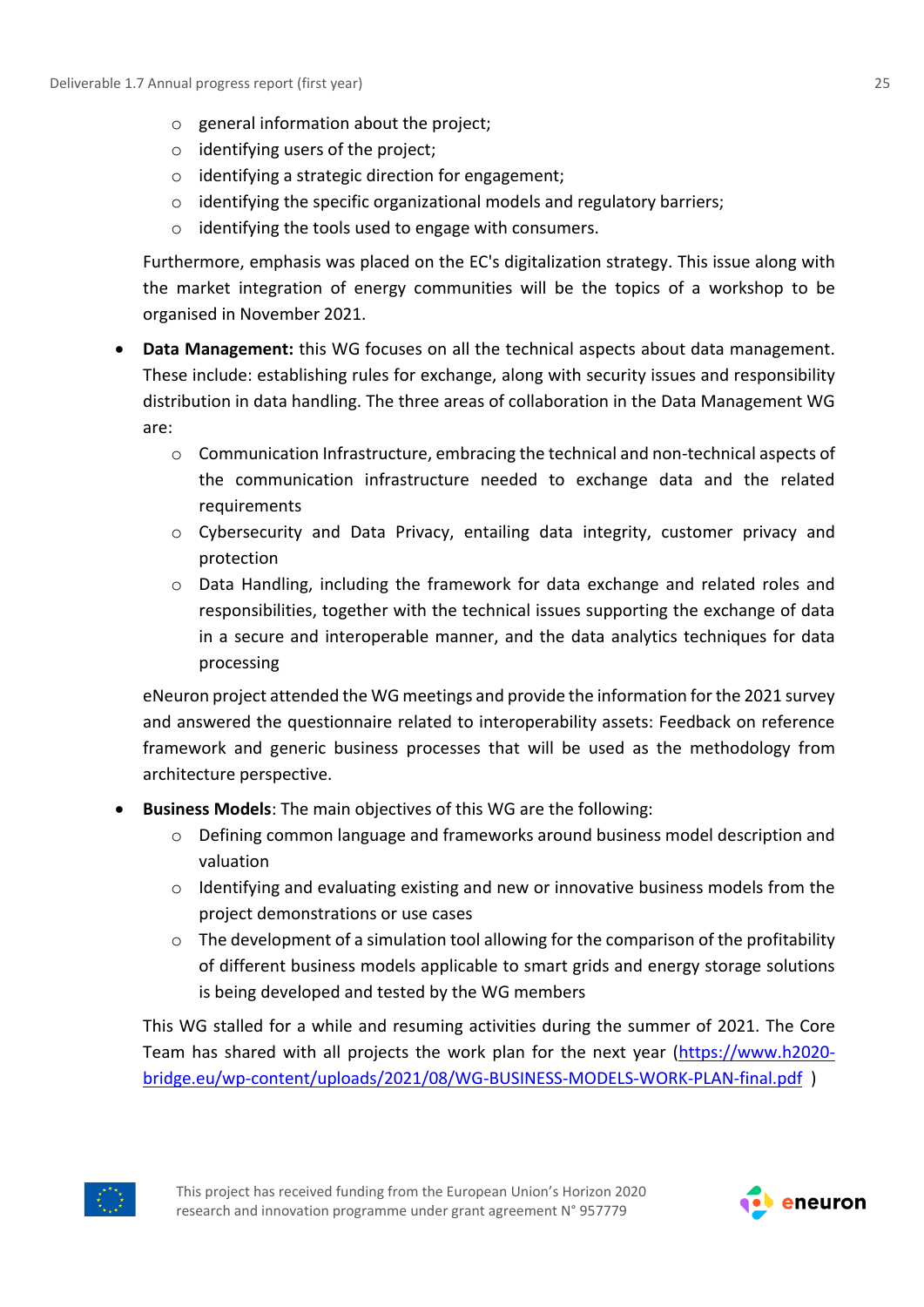- o general information about the project;
- $\circ$  identifying users of the project;
- o identifying a strategic direction for engagement;
- $\circ$  identifying the specific organizational models and regulatory barriers;
- o identifying the tools used to engage with consumers.

Furthermore, emphasis was placed on the EC's digitalization strategy. This issue along with the market integration of energy communities will be the topics of a workshop to be organised in November 2021.

- **Data Management:** this WG focuses on all the technical aspects about data management. These include: establishing rules for exchange, along with security issues and responsibility distribution in data handling. The three areas of collaboration in the Data Management WG are:
	- o Communication Infrastructure, embracing the technical and non-technical aspects of the communication infrastructure needed to exchange data and the related requirements
	- $\circ$  Cybersecurity and Data Privacy, entailing data integrity, customer privacy and protection
	- o Data Handling, including the framework for data exchange and related roles and responsibilities, together with the technical issues supporting the exchange of data in a secure and interoperable manner, and the data analytics techniques for data processing

eNeuron project attended the WG meetings and provide the information for the 2021 survey and answered the questionnaire related to interoperability assets: Feedback on reference framework and generic business processes that will be used as the methodology from architecture perspective.

- **Business Models**: The main objectives of this WG are the following:
	- o Defining common language and frameworks around business model description and valuation
	- o Identifying and evaluating existing and new or innovative business models from the project demonstrations or use cases
	- $\circ$  The development of a simulation tool allowing for the comparison of the profitability of different business models applicable to smart grids and energy storage solutions is being developed and tested by the WG members

This WG stalled for a while and resuming activities during the summer of 2021. The Core Team has shared with all projects the work plan for the next year [\(https://www.h2020](https://www.h2020-bridge.eu/wp-content/uploads/2021/08/WG-BUSINESS-MODELS-WORK-PLAN-final.pdf) [bridge.eu/wp-content/uploads/2021/08/WG-BUSINESS-MODELS-WORK-PLAN-final.pdf](https://www.h2020-bridge.eu/wp-content/uploads/2021/08/WG-BUSINESS-MODELS-WORK-PLAN-final.pdf) )



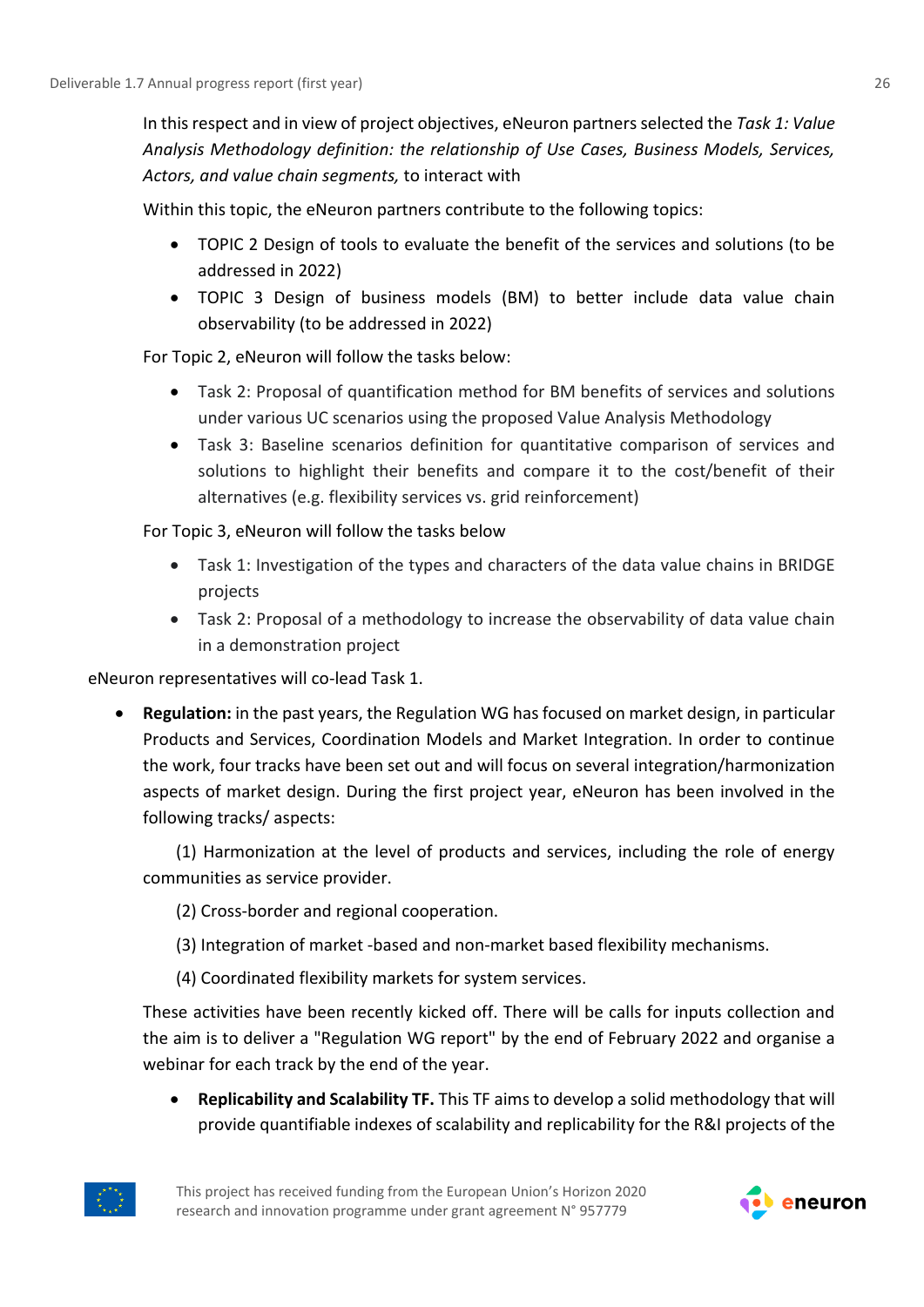In this respect and in view of project objectives, eNeuron partnersselected the *Task 1: Value Analysis Methodology definition: the relationship of Use Cases, Business Models, Services, Actors, and value chain segments,* to interact with

Within this topic, the eNeuron partners contribute to the following topics:

- TOPIC 2 Design of tools to evaluate the benefit of the services and solutions (to be addressed in 2022)
- TOPIC 3 Design of business models (BM) to better include data value chain observability (to be addressed in 2022)

For Topic 2, eNeuron will follow the tasks below:

- Task 2: Proposal of quantification method for BM benefits of services and solutions under various UC scenarios using the proposed Value Analysis Methodology
- Task 3: Baseline scenarios definition for quantitative comparison of services and solutions to highlight their benefits and compare it to the cost/benefit of their alternatives (e.g. flexibility services vs. grid reinforcement)

For Topic 3, eNeuron will follow the tasks below

- Task 1: Investigation of the types and characters of the data value chains in BRIDGE projects
- Task 2: Proposal of a methodology to increase the observability of data value chain in a demonstration project

eNeuron representatives will co-lead Task 1.

• **Regulation:** in the past years, the Regulation WG has focused on market design, in particular Products and Services, Coordination Models and Market Integration. In order to continue the work, four tracks have been set out and will focus on several integration/harmonization aspects of market design. During the first project year, eNeuron has been involved in the following tracks/ aspects:

(1) Harmonization at the level of products and services, including the role of energy communities as service provider.

- (2) Cross-border and regional cooperation.
- (3) Integration of market -based and non-market based flexibility mechanisms.
- (4) Coordinated flexibility markets for system services.

These activities have been recently kicked off. There will be calls for inputs collection and the aim is to deliver a "Regulation WG report" by the end of February 2022 and organise a webinar for each track by the end of the year.

• **Replicability and Scalability TF.** This TF aims to develop a solid methodology that will provide quantifiable indexes of scalability and replicability for the R&I projects of the



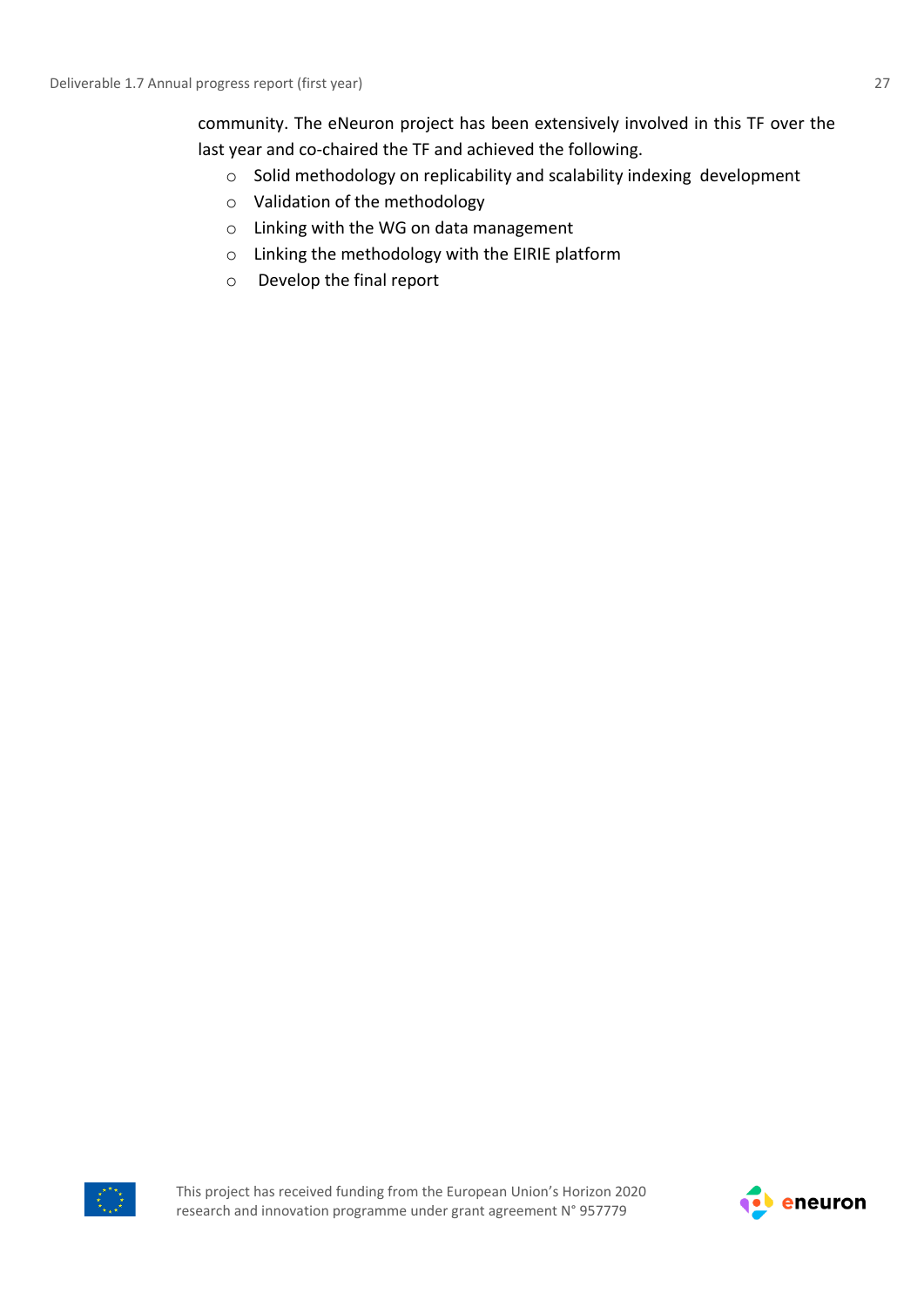community. The eNeuron project has been extensively involved in this TF over the last year and co-chaired the TF and achieved the following.

- o Solid methodology on replicability and scalability indexing development
- o Validation of the methodology
- o Linking with the WG on data management
- o Linking the methodology with the EIRIE platform
- o Develop the final report



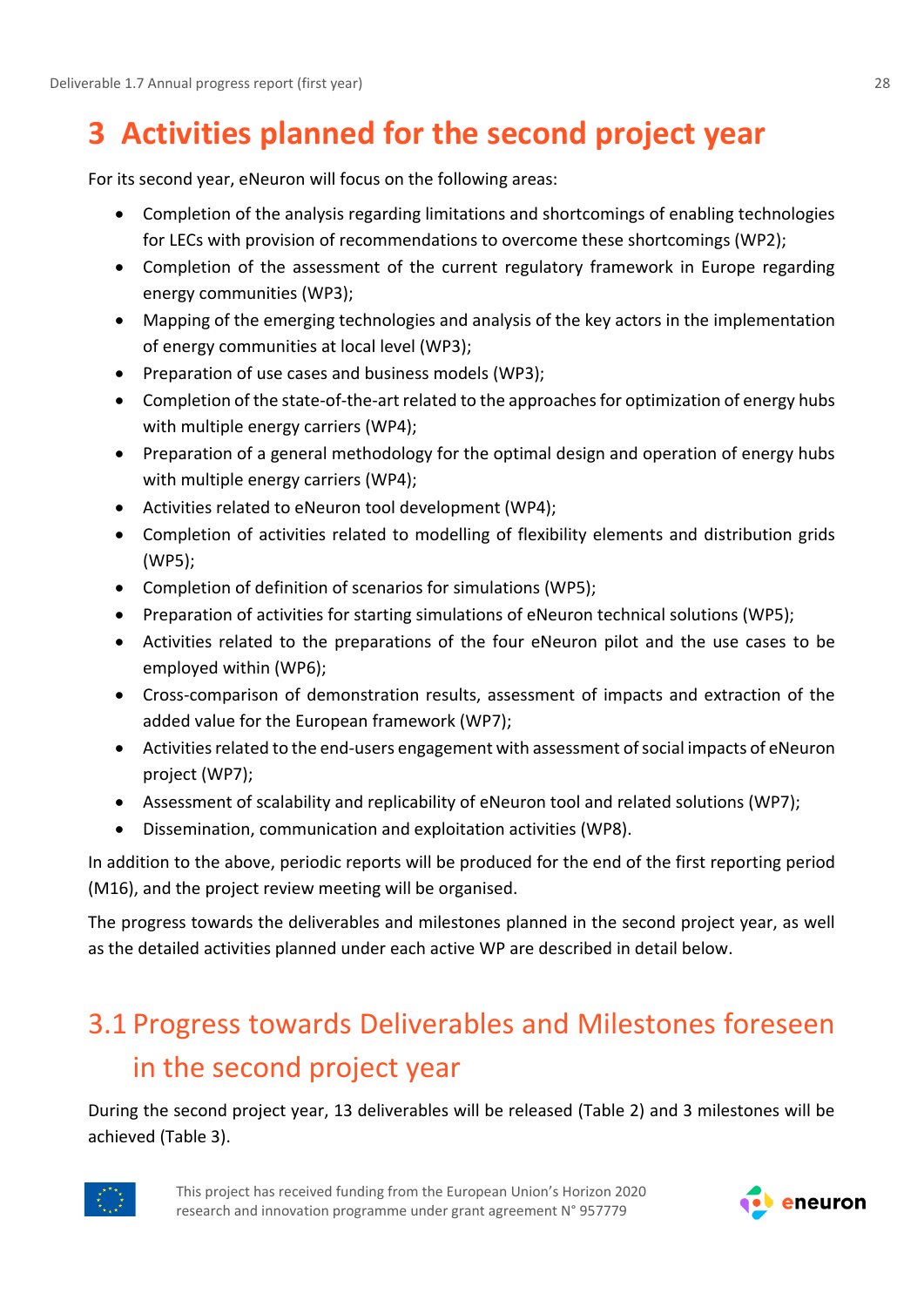# <span id="page-27-0"></span>**3 Activities planned for the second project year**

For its second year, eNeuron will focus on the following areas:

- Completion of the analysis regarding limitations and shortcomings of enabling technologies for LECs with provision of recommendations to overcome these shortcomings (WP2);
- Completion of the assessment of the current regulatory framework in Europe regarding energy communities (WP3);
- Mapping of the emerging technologies and analysis of the key actors in the implementation of energy communities at local level (WP3);
- Preparation of use cases and business models (WP3);
- Completion of the state-of-the-art related to the approaches for optimization of energy hubs with multiple energy carriers (WP4);
- Preparation of a general methodology for the optimal design and operation of energy hubs with multiple energy carriers (WP4);
- Activities related to eNeuron tool development (WP4);
- Completion of activities related to modelling of flexibility elements and distribution grids (WP5);
- Completion of definition of scenarios for simulations (WP5);
- Preparation of activities for starting simulations of eNeuron technical solutions (WP5);
- Activities related to the preparations of the four eNeuron pilot and the use cases to be employed within (WP6);
- Cross-comparison of demonstration results, assessment of impacts and extraction of the added value for the European framework (WP7);
- Activities related to the end-users engagement with assessment of social impacts of eNeuron project (WP7);
- Assessment of scalability and replicability of eNeuron tool and related solutions (WP7);
- Dissemination, communication and exploitation activities (WP8).

In addition to the above, periodic reports will be produced for the end of the first reporting period (M16), and the project review meeting will be organised.

The progress towards the deliverables and milestones planned in the second project year, as well as the detailed activities planned under each active WP are described in detail below.

# <span id="page-27-1"></span>3.1 Progress towards Deliverables and Milestones foreseen in the second project year

During the second project year, 13 deliverables will be released (Table 2) and 3 milestones will be achieved (Table 3).



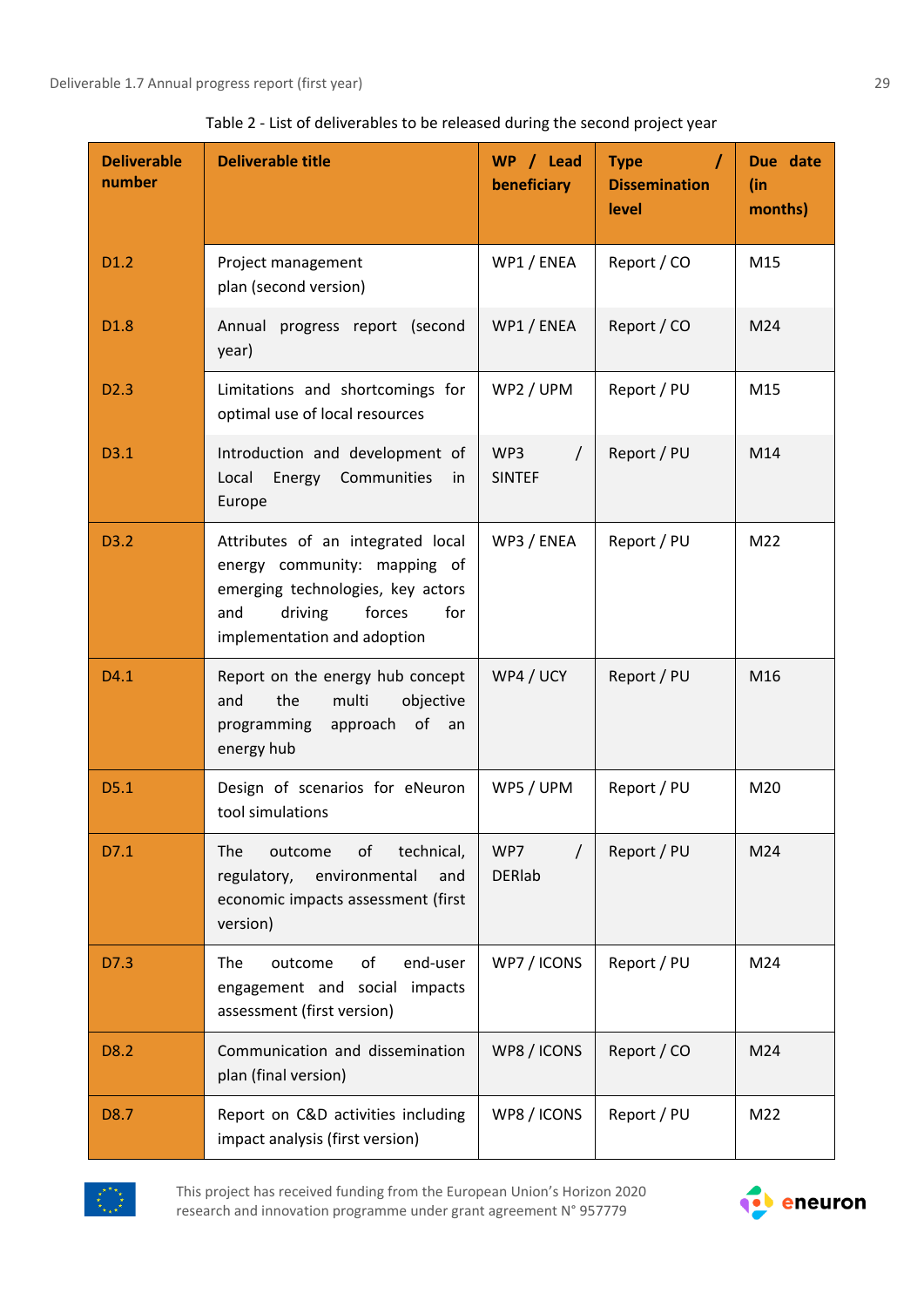| <b>Deliverable</b><br>number | <b>Deliverable title</b>                                                                                                                                                 | WP / Lead<br>beneficiary         | <b>Type</b><br><b>Dissemination</b><br>level | Due date<br>(in<br>months) |
|------------------------------|--------------------------------------------------------------------------------------------------------------------------------------------------------------------------|----------------------------------|----------------------------------------------|----------------------------|
| D <sub>1.2</sub>             | Project management<br>plan (second version)                                                                                                                              | WP1 / ENEA                       | Report / CO                                  | M15                        |
| D <sub>1.8</sub>             | Annual progress report (second<br>year)                                                                                                                                  | WP1 / ENEA                       | Report / CO                                  | M24                        |
| D <sub>2.3</sub>             | Limitations and shortcomings for<br>optimal use of local resources                                                                                                       | WP2 / UPM                        | Report / PU                                  | M15                        |
| D3.1                         | Introduction and development of<br>Communities<br>Local<br>Energy<br>in<br>Europe                                                                                        | WP3<br>$\prime$<br><b>SINTEF</b> | Report / PU                                  | M14                        |
| D3.2                         | Attributes of an integrated local<br>energy community: mapping of<br>emerging technologies, key actors<br>driving<br>forces<br>for<br>and<br>implementation and adoption | WP3 / ENEA                       | Report / PU                                  | M <sub>22</sub>            |
| D4.1                         | Report on the energy hub concept<br>the<br>multi<br>objective<br>and<br>of an<br>programming<br>approach<br>energy hub                                                   | WP4 / UCY                        | Report / PU                                  | M16                        |
| D5.1                         | Design of scenarios for eNeuron<br>tool simulations                                                                                                                      | WP5 / UPM                        | Report / PU                                  | M20                        |
| D7.1                         | technical,<br>The<br>outcome<br>οf<br>regulatory,<br>environmental<br>and<br>economic impacts assessment (first<br>version)                                              | WP7<br><b>DERIab</b>             | Report / PU                                  | M24                        |
| D7.3                         | of<br>end-user<br>The<br>outcome<br>engagement and social<br>impacts<br>assessment (first version)                                                                       | WP7 / ICONS                      | Report / PU                                  | M24                        |
| D8.2                         | Communication and dissemination<br>plan (final version)                                                                                                                  | WP8 / ICONS                      | Report / CO                                  | M24                        |
| D8.7                         | Report on C&D activities including<br>impact analysis (first version)                                                                                                    | WP8 / ICONS                      | Report / PU                                  | M22                        |



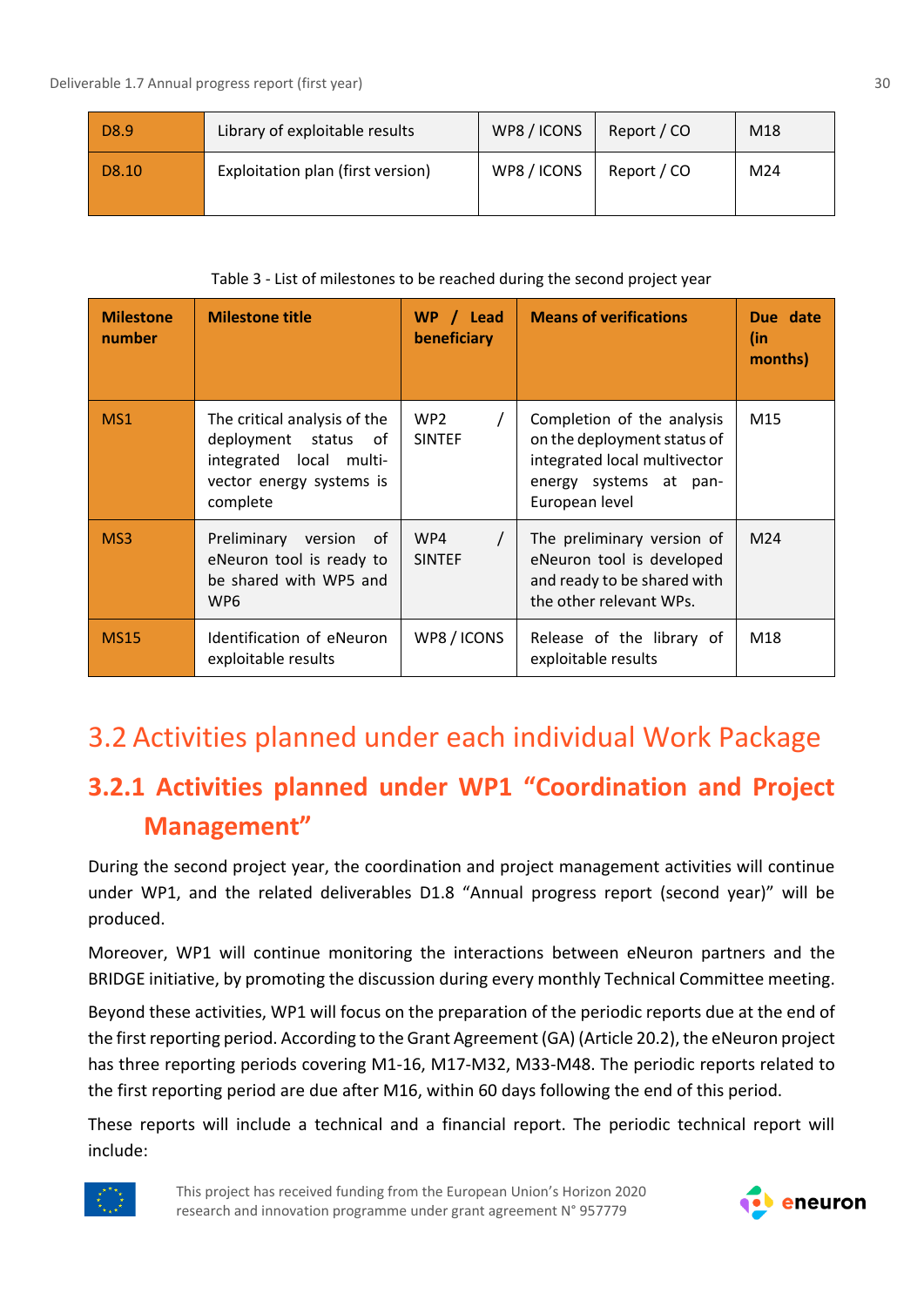| D8.9  | Library of exploitable results    | WP8 / ICONS | Report / CO | M18 |
|-------|-----------------------------------|-------------|-------------|-----|
| D8.10 | Exploitation plan (first version) | WP8 / ICONS | Report / CO | M24 |

Table 3 - List of milestones to be reached during the second project year

| <b>Milestone</b><br>number | <b>Milestone title</b>                                                                                                  | WP / Lead<br>beneficiary         | <b>Means of verifications</b>                                                                                                         | Due date<br>(in<br>months) |
|----------------------------|-------------------------------------------------------------------------------------------------------------------------|----------------------------------|---------------------------------------------------------------------------------------------------------------------------------------|----------------------------|
| MS1                        | The critical analysis of the<br>deployment status of<br>integrated local multi-<br>vector energy systems is<br>complete | WP <sub>2</sub><br><b>SINTEF</b> | Completion of the analysis<br>on the deployment status of<br>integrated local multivector<br>energy systems at pan-<br>European level | M15                        |
| MS3                        | Preliminary<br>version of<br>eNeuron tool is ready to<br>be shared with WP5 and<br>WP6                                  | WP4<br><b>SINTEF</b>             | The preliminary version of<br>eNeuron tool is developed<br>and ready to be shared with<br>the other relevant WPs.                     | M <sub>24</sub>            |
| <b>MS15</b>                | Identification of eNeuron<br>exploitable results                                                                        | WP8/ICONS                        | Release of the library of<br>exploitable results                                                                                      | M18                        |

## <span id="page-29-0"></span>3.2 Activities planned under each individual Work Package

### <span id="page-29-1"></span>**3.2.1 Activities planned under WP1 "Coordination and Project Management"**

During the second project year, the coordination and project management activities will continue under WP1, and the related deliverables D1.8 "Annual progress report (second year)" will be produced.

Moreover, WP1 will continue monitoring the interactions between eNeuron partners and the BRIDGE initiative, by promoting the discussion during every monthly Technical Committee meeting.

Beyond these activities, WP1 will focus on the preparation of the periodic reports due at the end of the first reporting period. According to the Grant Agreement (GA) (Article 20.2), the eNeuron project has three reporting periods covering M1-16, M17-M32, M33-M48. The periodic reports related to the first reporting period are due after M16, within 60 days following the end of this period.

These reports will include a technical and a financial report. The periodic technical report will include:



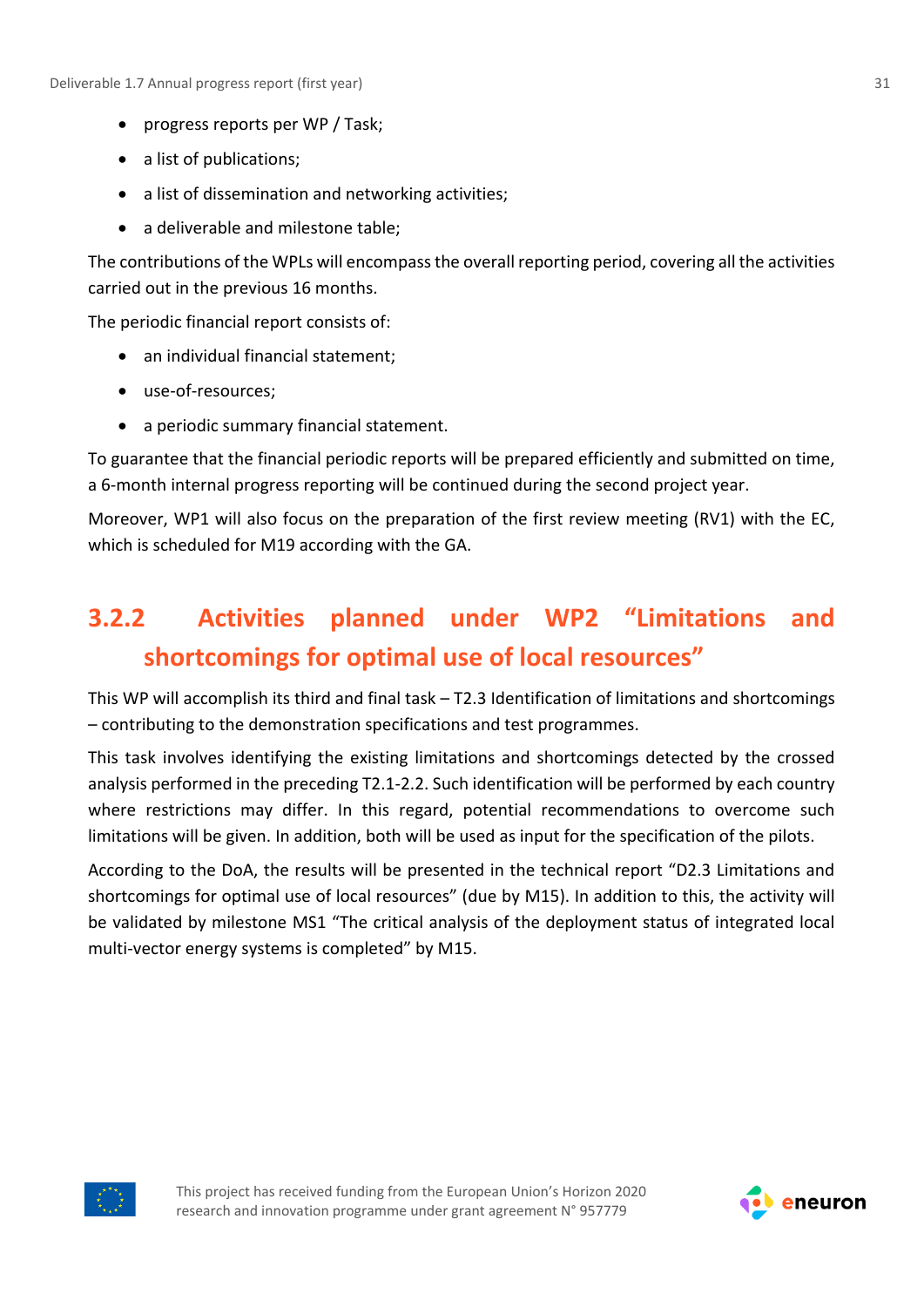- progress reports per WP / Task;
- a list of publications;
- a list of dissemination and networking activities;
- a deliverable and milestone table;

The contributions of the WPLs will encompass the overall reporting period, covering all the activities carried out in the previous 16 months.

The periodic financial report consists of:

- an individual financial statement;
- use-of-resources;
- a periodic summary financial statement.

To guarantee that the financial periodic reports will be prepared efficiently and submitted on time, a 6-month internal progress reporting will be continued during the second project year.

Moreover, WP1 will also focus on the preparation of the first review meeting (RV1) with the EC, which is scheduled for M19 according with the GA.

## <span id="page-30-0"></span>**3.2.2 Activities planned under WP2 "Limitations and shortcomings for optimal use of local resources"**

This WP will accomplish its third and final task – T2.3 Identification of limitations and shortcomings – contributing to the demonstration specifications and test programmes.

This task involves identifying the existing limitations and shortcomings detected by the crossed analysis performed in the preceding T2.1-2.2. Such identification will be performed by each country where restrictions may differ. In this regard, potential recommendations to overcome such limitations will be given. In addition, both will be used as input for the specification of the pilots.

According to the DoA, the results will be presented in the technical report "D2.3 Limitations and shortcomings for optimal use of local resources" (due by M15). In addition to this, the activity will be validated by milestone MS1 "The critical analysis of the deployment status of integrated local multi-vector energy systems is completed" by M15.



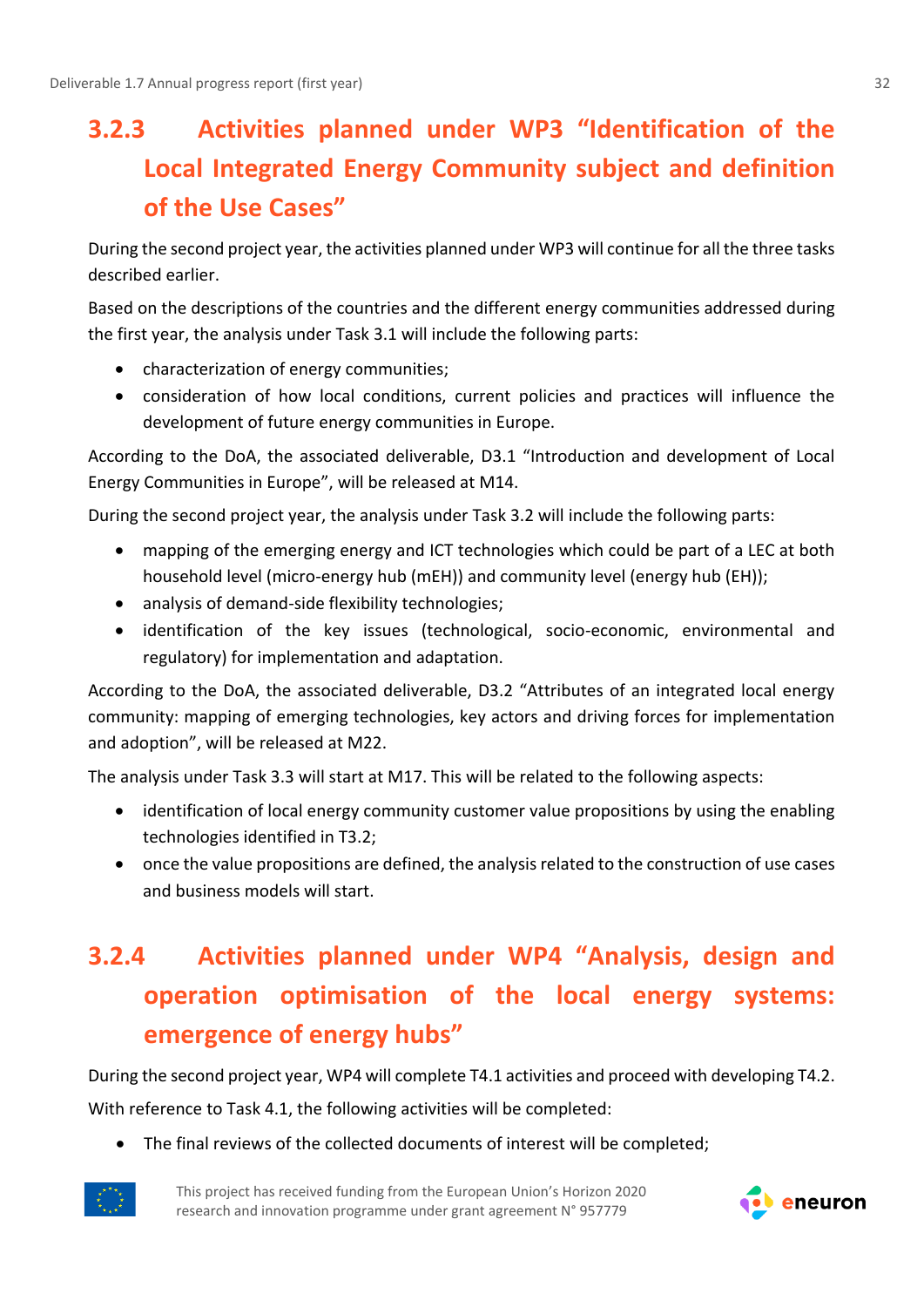# <span id="page-31-0"></span>**3.2.3 Activities planned under WP3 "Identification of the Local Integrated Energy Community subject and definition of the Use Cases"**

During the second project year, the activities planned under WP3 will continue for all the three tasks described earlier.

Based on the descriptions of the countries and the different energy communities addressed during the first year, the analysis under Task 3.1 will include the following parts:

- characterization of energy communities;
- consideration of how local conditions, current policies and practices will influence the development of future energy communities in Europe.

According to the DoA, the associated deliverable, D3.1 "Introduction and development of Local Energy Communities in Europe", will be released at M14.

During the second project year, the analysis under Task 3.2 will include the following parts:

- mapping of the emerging energy and ICT technologies which could be part of a LEC at both household level (micro-energy hub (mEH)) and community level (energy hub (EH));
- analysis of demand-side flexibility technologies;
- identification of the key issues (technological, socio-economic, environmental and regulatory) for implementation and adaptation.

According to the DoA, the associated deliverable, D3.2 "Attributes of an integrated local energy community: mapping of emerging technologies, key actors and driving forces for implementation and adoption", will be released at M22.

The analysis under Task 3.3 will start at M17. This will be related to the following aspects:

- identification of local energy community customer value propositions by using the enabling technologies identified in T3.2;
- once the value propositions are defined, the analysis related to the construction of use cases and business models will start.

# <span id="page-31-1"></span>**3.2.4 Activities planned under WP4 "Analysis, design and operation optimisation of the local energy systems: emergence of energy hubs"**

During the second project year, WP4 will complete T4.1 activities and proceed with developing T4.2.

With reference to Task 4.1, the following activities will be completed:

• The final reviews of the collected documents of interest will be completed;

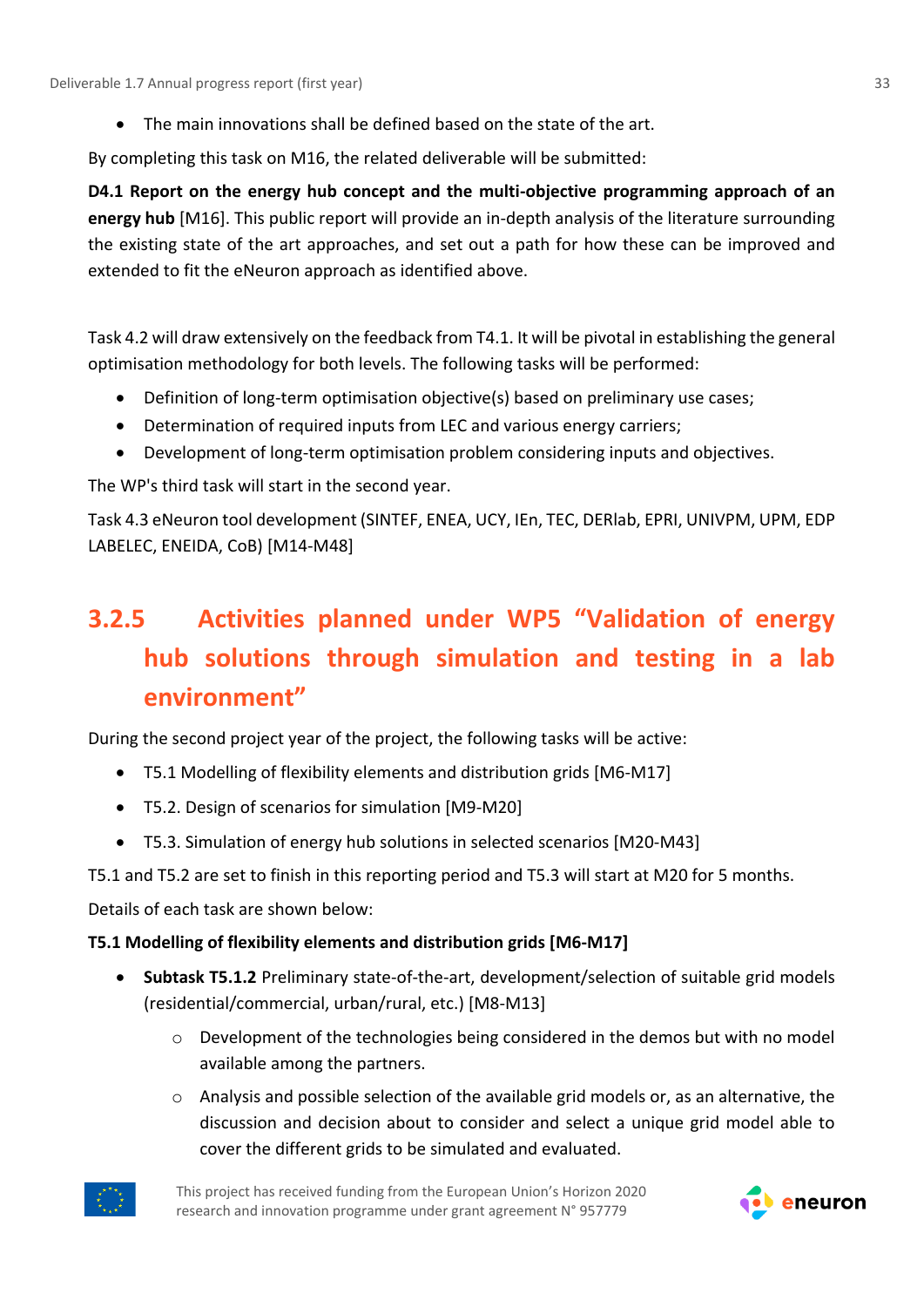• The main innovations shall be defined based on the state of the art.

By completing this task on M16, the related deliverable will be submitted:

**D4.1 Report on the energy hub concept and the multi-objective programming approach of an energy hub** [M16]. This public report will provide an in-depth analysis of the literature surrounding the existing state of the art approaches, and set out a path for how these can be improved and extended to fit the eNeuron approach as identified above.

Task 4.2 will draw extensively on the feedback from T4.1. It will be pivotal in establishing the general optimisation methodology for both levels. The following tasks will be performed:

- Definition of long-term optimisation objective(s) based on preliminary use cases;
- Determination of required inputs from LEC and various energy carriers;
- Development of long-term optimisation problem considering inputs and objectives.

The WP's third task will start in the second year.

Task 4.3 eNeuron tool development (SINTEF, ENEA, UCY, IEn, TEC, DERlab, EPRI, UNIVPM, UPM, EDP LABELEC, ENEIDA, CoB) [M14-M48]

# <span id="page-32-0"></span>**3.2.5 Activities planned under WP5 "Validation of energy hub solutions through simulation and testing in a lab environment"**

During the second project year of the project, the following tasks will be active:

- T5.1 Modelling of flexibility elements and distribution grids [M6-M17]
- T5.2. Design of scenarios for simulation [M9-M20]
- T5.3. Simulation of energy hub solutions in selected scenarios [M20-M43]

T5.1 and T5.2 are set to finish in this reporting period and T5.3 will start at M20 for 5 months.

Details of each task are shown below:

### **T5.1 Modelling of flexibility elements and distribution grids [M6-M17]**

- **Subtask T5.1.2** Preliminary state-of-the-art, development/selection of suitable grid models (residential/commercial, urban/rural, etc.) [M8-M13]
	- $\circ$  Development of the technologies being considered in the demos but with no model available among the partners.
	- $\circ$  Analysis and possible selection of the available grid models or, as an alternative, the discussion and decision about to consider and select a unique grid model able to cover the different grids to be simulated and evaluated.



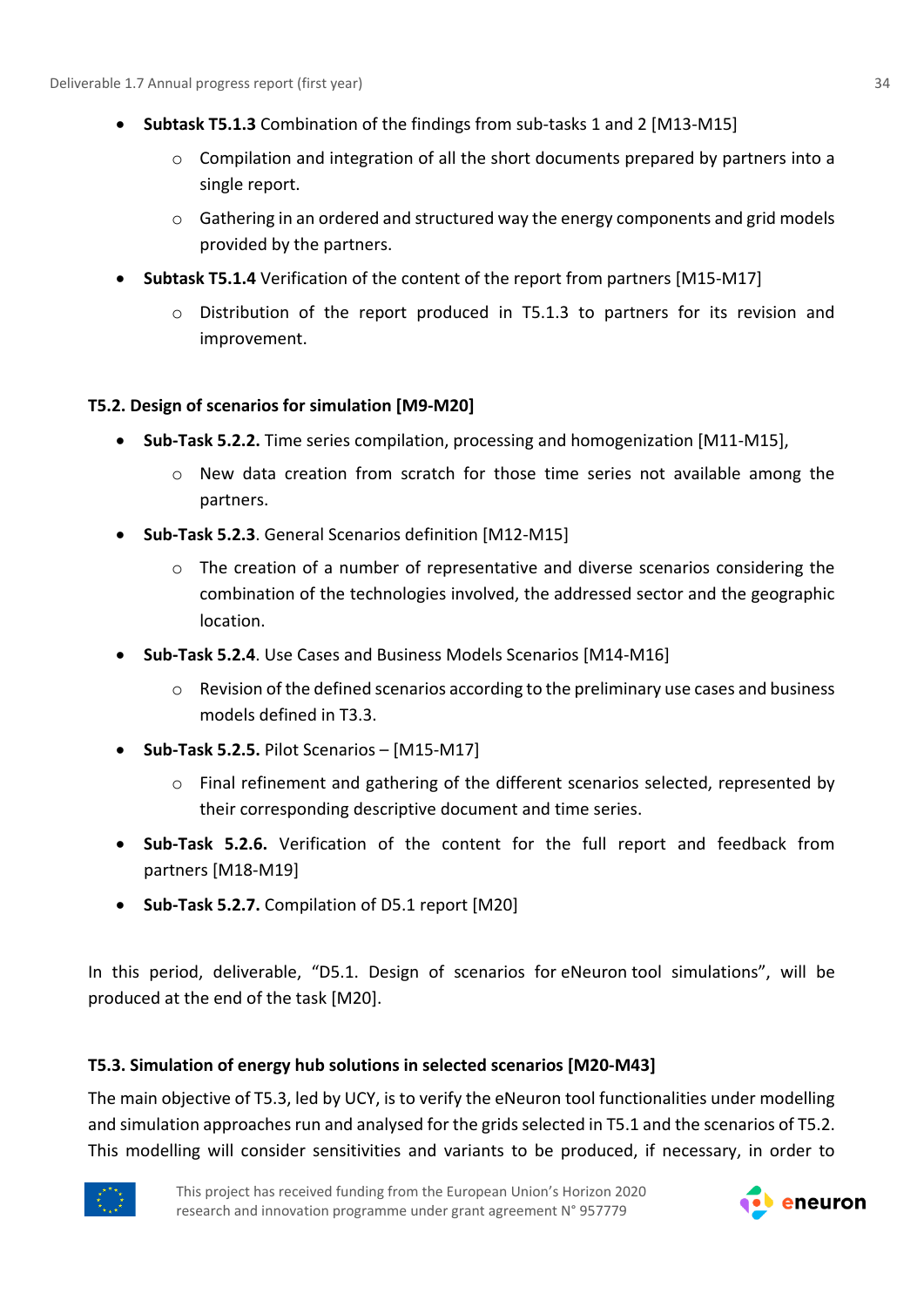- **Subtask T5.1.3** Combination of the findings from sub-tasks 1 and 2 [M13-M15]
	- o Compilation and integration of all the short documents prepared by partners into a single report.
	- $\circ$  Gathering in an ordered and structured way the energy components and grid models provided by the partners.
- **Subtask T5.1.4** Verification of the content of the report from partners [M15-M17]
	- $\circ$  Distribution of the report produced in T5.1.3 to partners for its revision and improvement.

### **T5.2. Design of scenarios for simulation [M9-M20]**

- **Sub-Task 5.2.2.** Time series compilation, processing and homogenization [M11-M15],
	- $\circ$  New data creation from scratch for those time series not available among the partners.
- **Sub-Task 5.2.3**. General Scenarios definition [M12-M15]
	- o The creation of a number of representative and diverse scenarios considering the combination of the technologies involved, the addressed sector and the geographic location.
- **Sub-Task 5.2.4**. Use Cases and Business Models Scenarios [M14-M16]
	- $\circ$  Revision of the defined scenarios according to the preliminary use cases and business models defined in T3.3.
- **Sub-Task 5.2.5.** Pilot Scenarios [M15-M17]
	- o Final refinement and gathering of the different scenarios selected, represented by their corresponding descriptive document and time series.
- **Sub-Task 5.2.6.** Verification of the content for the full report and feedback from partners [M18-M19]
- **Sub-Task 5.2.7.** Compilation of D5.1 report [M20]

In this period, deliverable, "D5.1. Design of scenarios for eNeuron tool simulations", will be produced at the end of the task [M20].

### **T5.3. Simulation of energy hub solutions in selected scenarios [M20-M43]**

The main objective of T5.3, led by UCY, is to verify the eNeuron tool functionalities under modelling and simulation approaches run and analysed for the grids selected in T5.1 and the scenarios of T5.2. This modelling will consider sensitivities and variants to be produced, if necessary, in order to



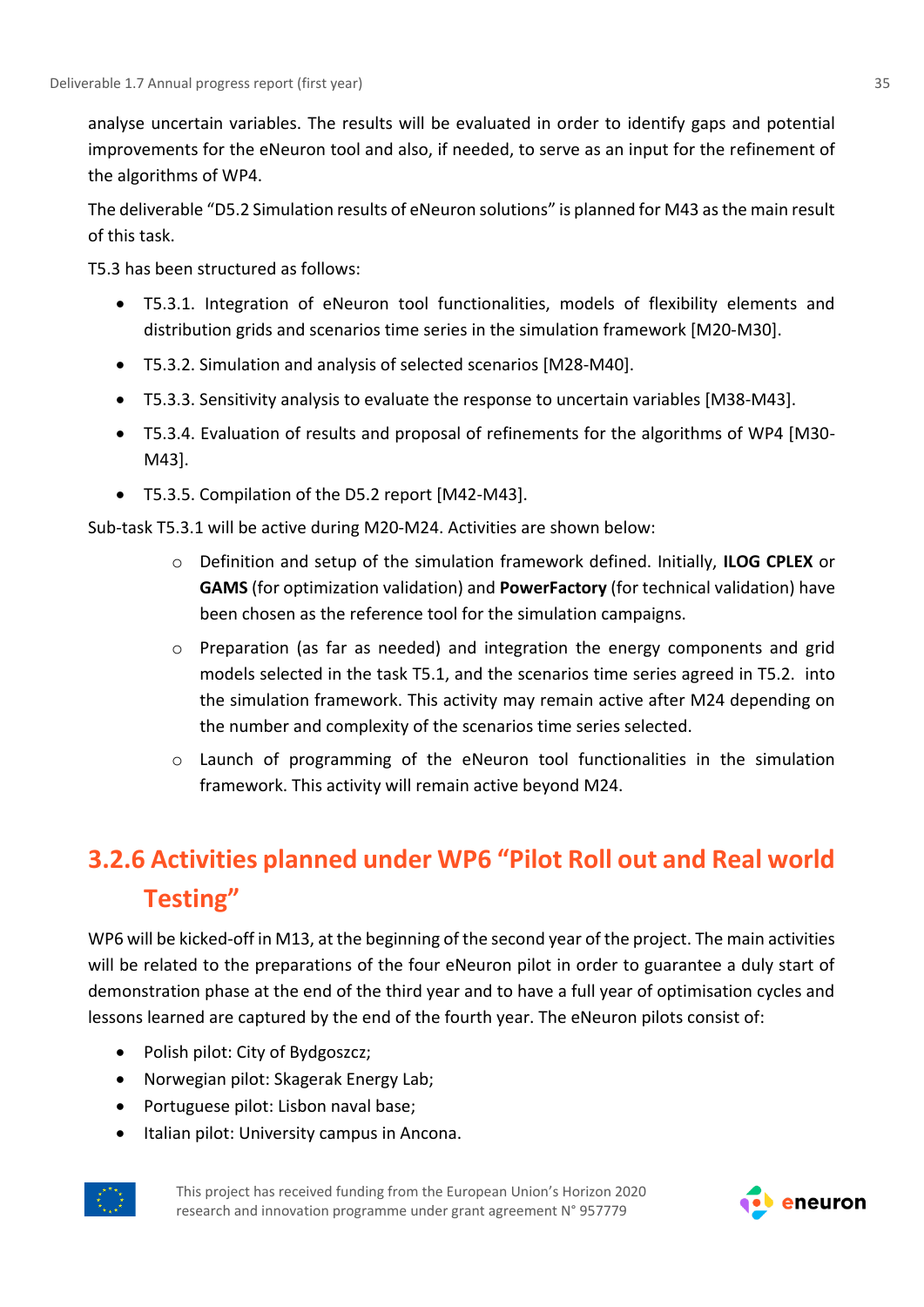analyse uncertain variables. The results will be evaluated in order to identify gaps and potential improvements for the eNeuron tool and also, if needed, to serve as an input for the refinement of the algorithms of WP4.

The deliverable "D5.2 Simulation results of eNeuron solutions" is planned for M43 as the main result of this task.

T5.3 has been structured as follows:

- T5.3.1. Integration of eNeuron tool functionalities, models of flexibility elements and distribution grids and scenarios time series in the simulation framework [M20-M30].
- T5.3.2. Simulation and analysis of selected scenarios [M28-M40].
- T5.3.3. Sensitivity analysis to evaluate the response to uncertain variables [M38-M43].
- T5.3.4. Evaluation of results and proposal of refinements for the algorithms of WP4 [M30- M43].
- T5.3.5. Compilation of the D5.2 report [M42-M43].

Sub-task T5.3.1 will be active during M20-M24. Activities are shown below:

- o Definition and setup of the simulation framework defined. Initially, **ILOG CPLEX** or **GAMS** (for optimization validation) and **PowerFactory** (for technical validation) have been chosen as the reference tool for the simulation campaigns.
- o Preparation (as far as needed) and integration the energy components and grid models selected in the task T5.1, and the scenarios time series agreed in T5.2. into the simulation framework. This activity may remain active after M24 depending on the number and complexity of the scenarios time series selected.
- $\circ$  Launch of programming of the eNeuron tool functionalities in the simulation framework. This activity will remain active beyond M24.

## <span id="page-34-0"></span>**3.2.6 Activities planned under WP6 "Pilot Roll out and Real world Testing"**

WP6 will be kicked-off in M13, at the beginning of the second year of the project. The main activities will be related to the preparations of the four eNeuron pilot in order to guarantee a duly start of demonstration phase at the end of the third year and to have a full year of optimisation cycles and lessons learned are captured by the end of the fourth year. The eNeuron pilots consist of:

- Polish pilot: City of Bydgoszcz;
- Norwegian pilot: Skagerak Energy Lab;
- Portuguese pilot: Lisbon naval base;
- Italian pilot: University campus in Ancona.



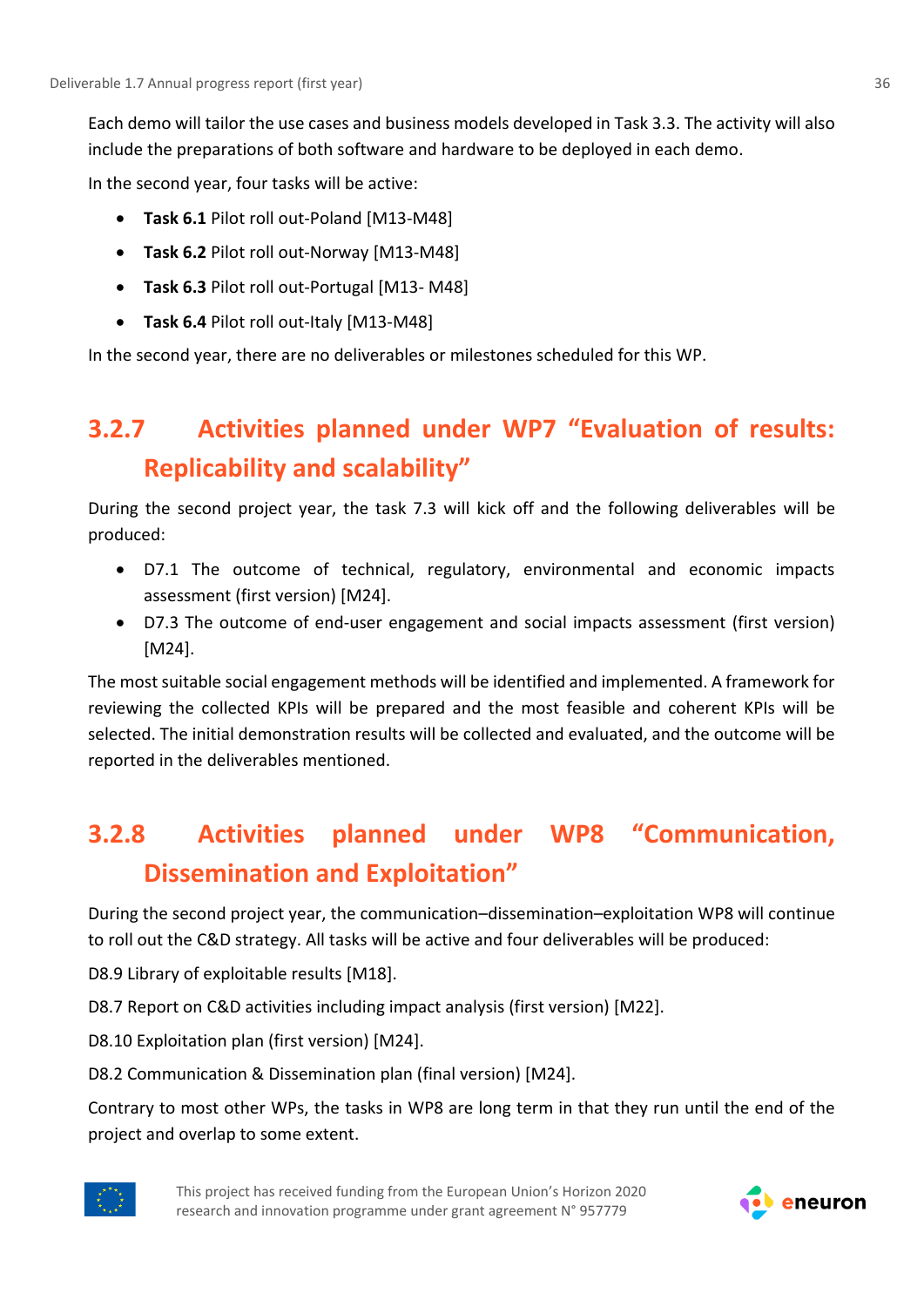Each demo will tailor the use cases and business models developed in Task 3.3. The activity will also include the preparations of both software and hardware to be deployed in each demo.

In the second year, four tasks will be active:

- **Task 6.1** Pilot roll out-Poland [M13-M48]
- **Task 6.2** Pilot roll out-Norway [M13-M48]
- **Task 6.3** Pilot roll out-Portugal [M13- M48]
- **Task 6.4** Pilot roll out-Italy [M13-M48]

In the second year, there are no deliverables or milestones scheduled for this WP.

### <span id="page-35-0"></span>**3.2.7 Activities planned under WP7 "Evaluation of results: Replicability and scalability"**

During the second project year, the task 7.3 will kick off and the following deliverables will be produced:

- D7.1 The outcome of technical, regulatory, environmental and economic impacts assessment (first version) [M24].
- D7.3 The outcome of end-user engagement and social impacts assessment (first version) [M24].

The most suitable social engagement methods will be identified and implemented. A framework for reviewing the collected KPIs will be prepared and the most feasible and coherent KPIs will be selected. The initial demonstration results will be collected and evaluated, and the outcome will be reported in the deliverables mentioned.

### <span id="page-35-1"></span>**3.2.8 Activities planned under WP8 "Communication, Dissemination and Exploitation"**

During the second project year, the communication–dissemination–exploitation WP8 will continue to roll out the C&D strategy. All tasks will be active and four deliverables will be produced:

D8.9 Library of exploitable results [M18].

D8.7 Report on C&D activities including impact analysis (first version) [M22].

D8.10 Exploitation plan (first version) [M24].

D8.2 Communication & Dissemination plan (final version) [M24].

Contrary to most other WPs, the tasks in WP8 are long term in that they run until the end of the project and overlap to some extent.



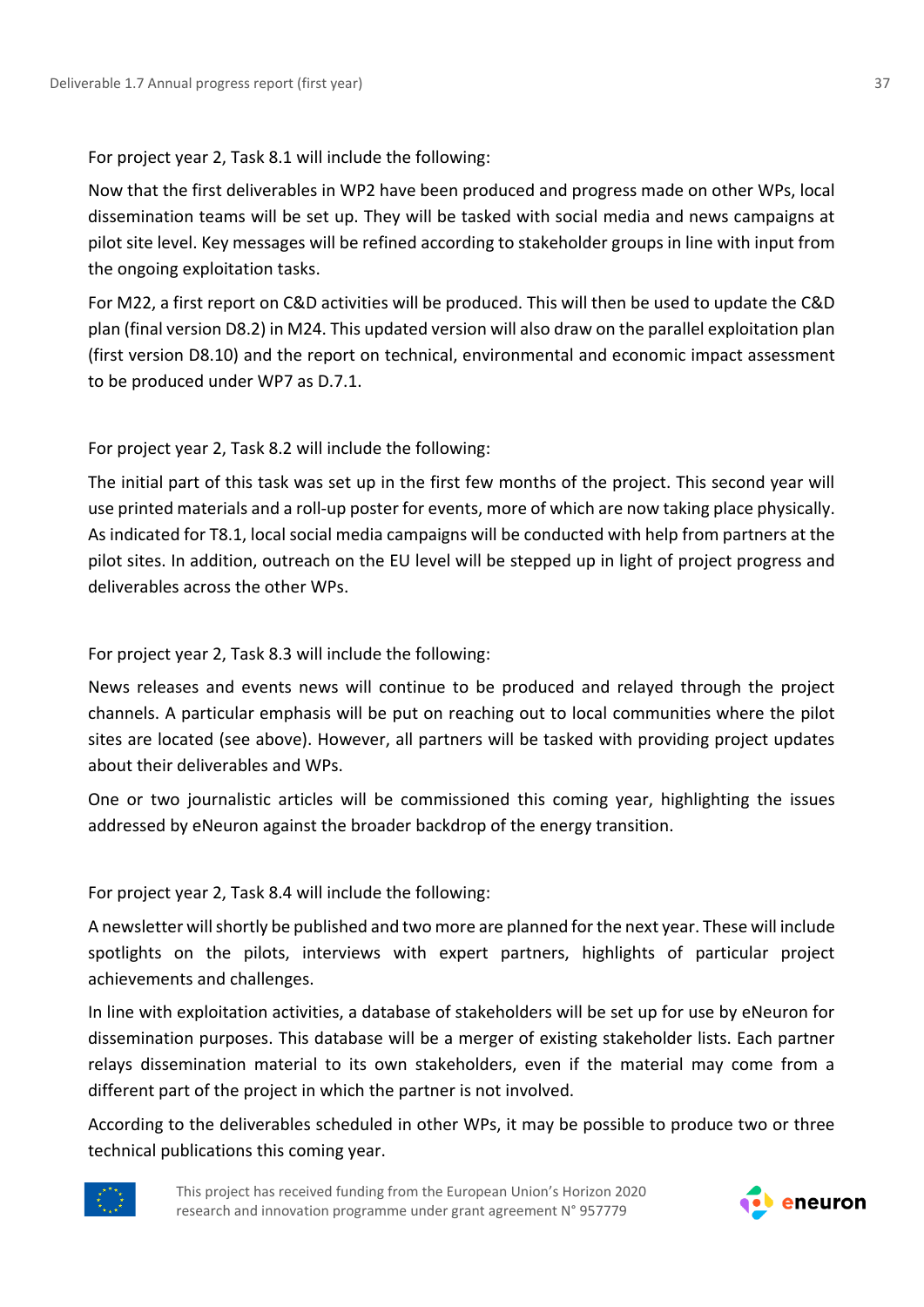For project year 2, Task 8.1 will include the following:

Now that the first deliverables in WP2 have been produced and progress made on other WPs, local dissemination teams will be set up. They will be tasked with social media and news campaigns at pilot site level. Key messages will be refined according to stakeholder groups in line with input from the ongoing exploitation tasks.

For M22, a first report on C&D activities will be produced. This will then be used to update the C&D plan (final version D8.2) in M24. This updated version will also draw on the parallel exploitation plan (first version D8.10) and the report on technical, environmental and economic impact assessment to be produced under WP7 as D.7.1.

For project year 2, Task 8.2 will include the following:

The initial part of this task was set up in the first few months of the project. This second year will use printed materials and a roll-up poster for events, more of which are now taking place physically. As indicated for T8.1, local social media campaigns will be conducted with help from partners at the pilot sites. In addition, outreach on the EU level will be stepped up in light of project progress and deliverables across the other WPs.

For project year 2, Task 8.3 will include the following:

News releases and events news will continue to be produced and relayed through the project channels. A particular emphasis will be put on reaching out to local communities where the pilot sites are located (see above). However, all partners will be tasked with providing project updates about their deliverables and WPs.

One or two journalistic articles will be commissioned this coming year, highlighting the issues addressed by eNeuron against the broader backdrop of the energy transition.

For project year 2, Task 8.4 will include the following:

A newsletter will shortly be published and two more are planned for the next year. These will include spotlights on the pilots, interviews with expert partners, highlights of particular project achievements and challenges.

In line with exploitation activities, a database of stakeholders will be set up for use by eNeuron for dissemination purposes. This database will be a merger of existing stakeholder lists. Each partner relays dissemination material to its own stakeholders, even if the material may come from a different part of the project in which the partner is not involved.

According to the deliverables scheduled in other WPs, it may be possible to produce two or three technical publications this coming year.



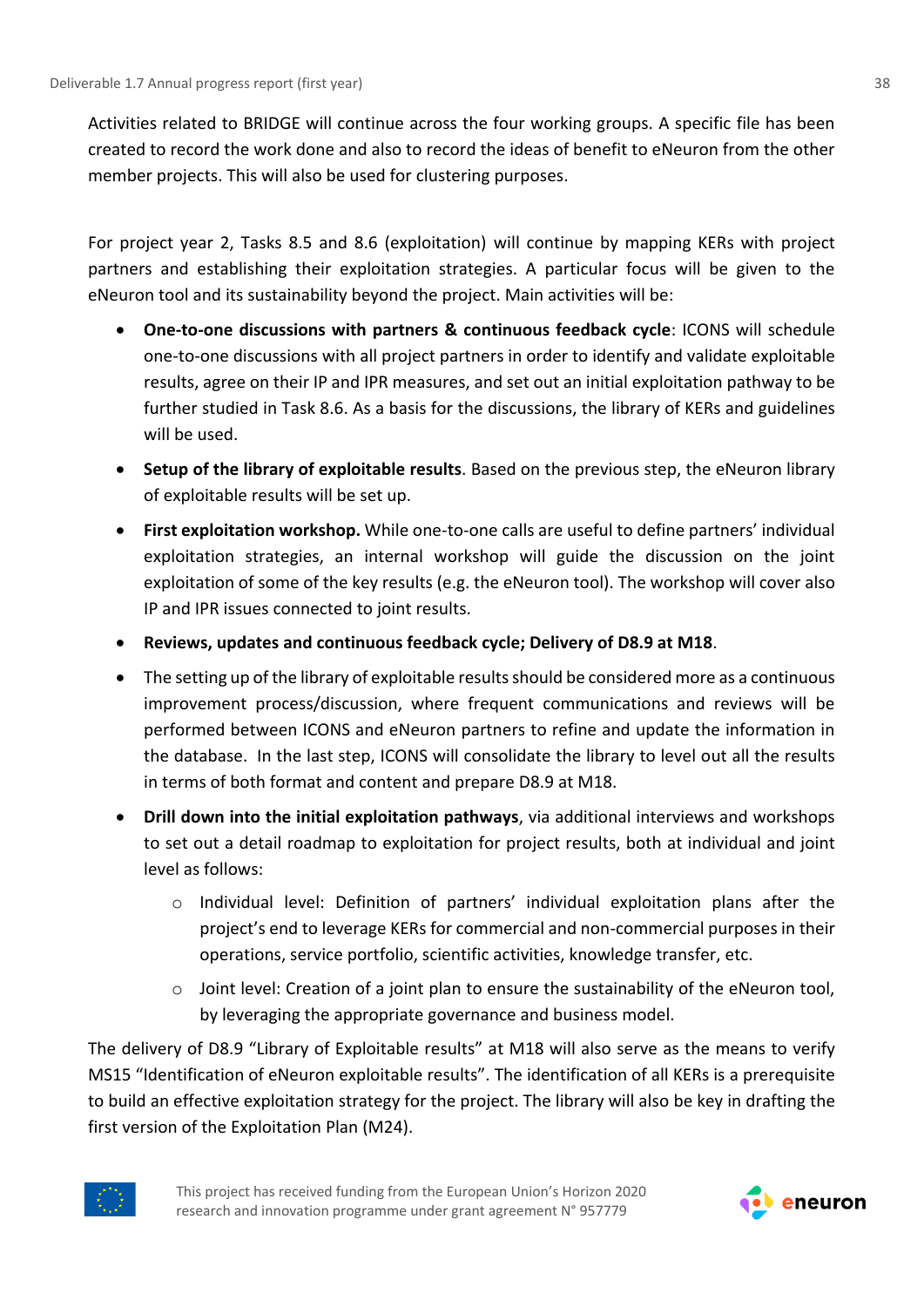Activities related to BRIDGE will continue across the four working groups. A specific file has been created to record the work done and also to record the ideas of benefit to eNeuron from the other member projects. This will also be used for clustering purposes.

For project year 2, Tasks 8.5 and 8.6 (exploitation) will continue by mapping KERs with project partners and establishing their exploitation strategies. A particular focus will be given to the eNeuron tool and its sustainability beyond the project. Main activities will be:

- **One-to-one discussions with partners & continuous feedback cycle**: ICONS will schedule one-to-one discussions with all project partners in order to identify and validate exploitable results, agree on their IP and IPR measures, and set out an initial exploitation pathway to be further studied in Task 8.6. As a basis for the discussions, the library of KERs and guidelines will be used.
- **Setup of the library of exploitable results**. Based on the previous step, the eNeuron library of exploitable results will be set up.
- **First exploitation workshop.** While one-to-one calls are useful to define partners' individual exploitation strategies, an internal workshop will guide the discussion on the joint exploitation of some of the key results (e.g. the eNeuron tool). The workshop will cover also IP and IPR issues connected to joint results.
- **Reviews, updates and continuous feedback cycle; Delivery of D8.9 at M18**.
- The setting up of the library of exploitable results should be considered more as a continuous improvement process/discussion, where frequent communications and reviews will be performed between ICONS and eNeuron partners to refine and update the information in the database. In the last step, ICONS will consolidate the library to level out all the results in terms of both format and content and prepare D8.9 at M18.
- **Drill down into the initial exploitation pathways**, via additional interviews and workshops to set out a detail roadmap to exploitation for project results, both at individual and joint level as follows:
	- o Individual level: Definition of partners' individual exploitation plans after the project's end to leverage KERs for commercial and non-commercial purposes in their operations, service portfolio, scientific activities, knowledge transfer, etc.
	- $\circ$  Joint level: Creation of a joint plan to ensure the sustainability of the eNeuron tool, by leveraging the appropriate governance and business model.

The delivery of D8.9 "Library of Exploitable results" at M18 will also serve as the means to verify MS15 "Identification of eNeuron exploitable results". The identification of all KERs is a prerequisite to build an effective exploitation strategy for the project. The library will also be key in drafting the first version of the Exploitation Plan (M24).



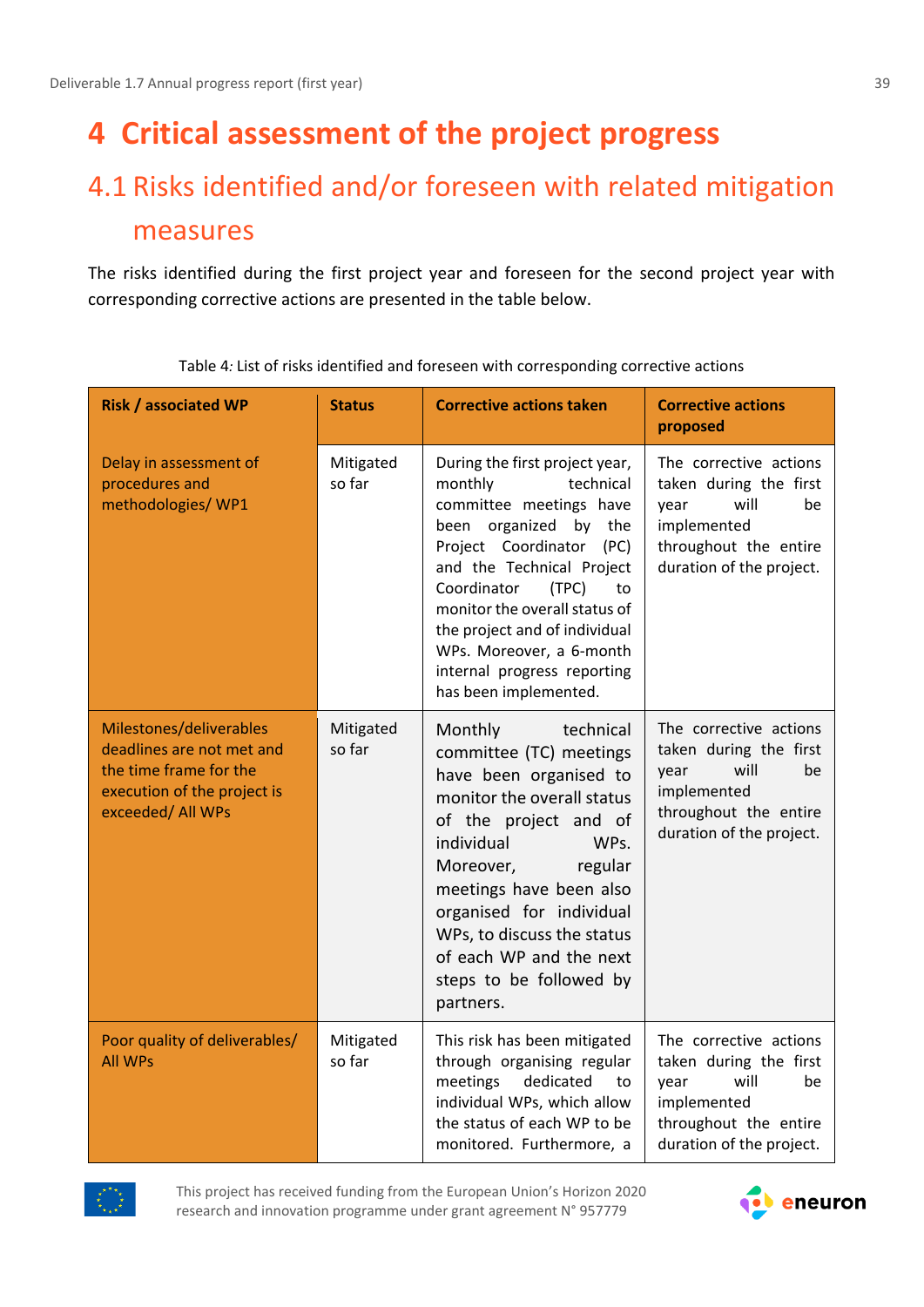# <span id="page-38-0"></span>**4 Critical assessment of the project progress**

# <span id="page-38-1"></span>4.1 Risks identified and/or foreseen with related mitigation measures

The risks identified during the first project year and foreseen for the second project year with corresponding corrective actions are presented in the table below.

| <b>Risk / associated WP</b>                                                                                                        | <b>Status</b>       | <b>Corrective actions taken</b>                                                                                                                                                                                                                                                                                                                               | <b>Corrective actions</b><br>proposed                                                                                                      |
|------------------------------------------------------------------------------------------------------------------------------------|---------------------|---------------------------------------------------------------------------------------------------------------------------------------------------------------------------------------------------------------------------------------------------------------------------------------------------------------------------------------------------------------|--------------------------------------------------------------------------------------------------------------------------------------------|
| Delay in assessment of<br>procedures and<br>methodologies/ WP1                                                                     | Mitigated<br>so far | During the first project year,<br>technical<br>monthly<br>committee meetings have<br>been organized<br>by the<br>Project Coordinator<br>(PC)<br>and the Technical Project<br>Coordinator<br>(TPC)<br>to<br>monitor the overall status of<br>the project and of individual<br>WPs. Moreover, a 6-month<br>internal progress reporting<br>has been implemented. | The corrective actions<br>taken during the first<br>will<br>be<br>year<br>implemented<br>throughout the entire<br>duration of the project. |
| Milestones/deliverables<br>deadlines are not met and<br>the time frame for the<br>execution of the project is<br>exceeded/ All WPs | Mitigated<br>so far | Monthly<br>technical<br>committee (TC) meetings<br>have been organised to<br>monitor the overall status<br>of the project and of<br>individual<br>WPs.<br>Moreover,<br>regular<br>meetings have been also<br>organised for individual<br>WPs, to discuss the status<br>of each WP and the next<br>steps to be followed by<br>partners.                        | The corrective actions<br>taken during the first<br>will<br>be<br>year<br>implemented<br>throughout the entire<br>duration of the project. |
| Poor quality of deliverables/<br><b>All WPs</b>                                                                                    | Mitigated<br>so far | This risk has been mitigated<br>through organising regular<br>dedicated<br>meetings<br>to<br>individual WPs, which allow<br>the status of each WP to be<br>monitored. Furthermore, a                                                                                                                                                                          | The corrective actions<br>taken during the first<br>will<br>be<br>year<br>implemented<br>throughout the entire<br>duration of the project. |

Table 4*:* List of risks identified and foreseen with corresponding corrective actions



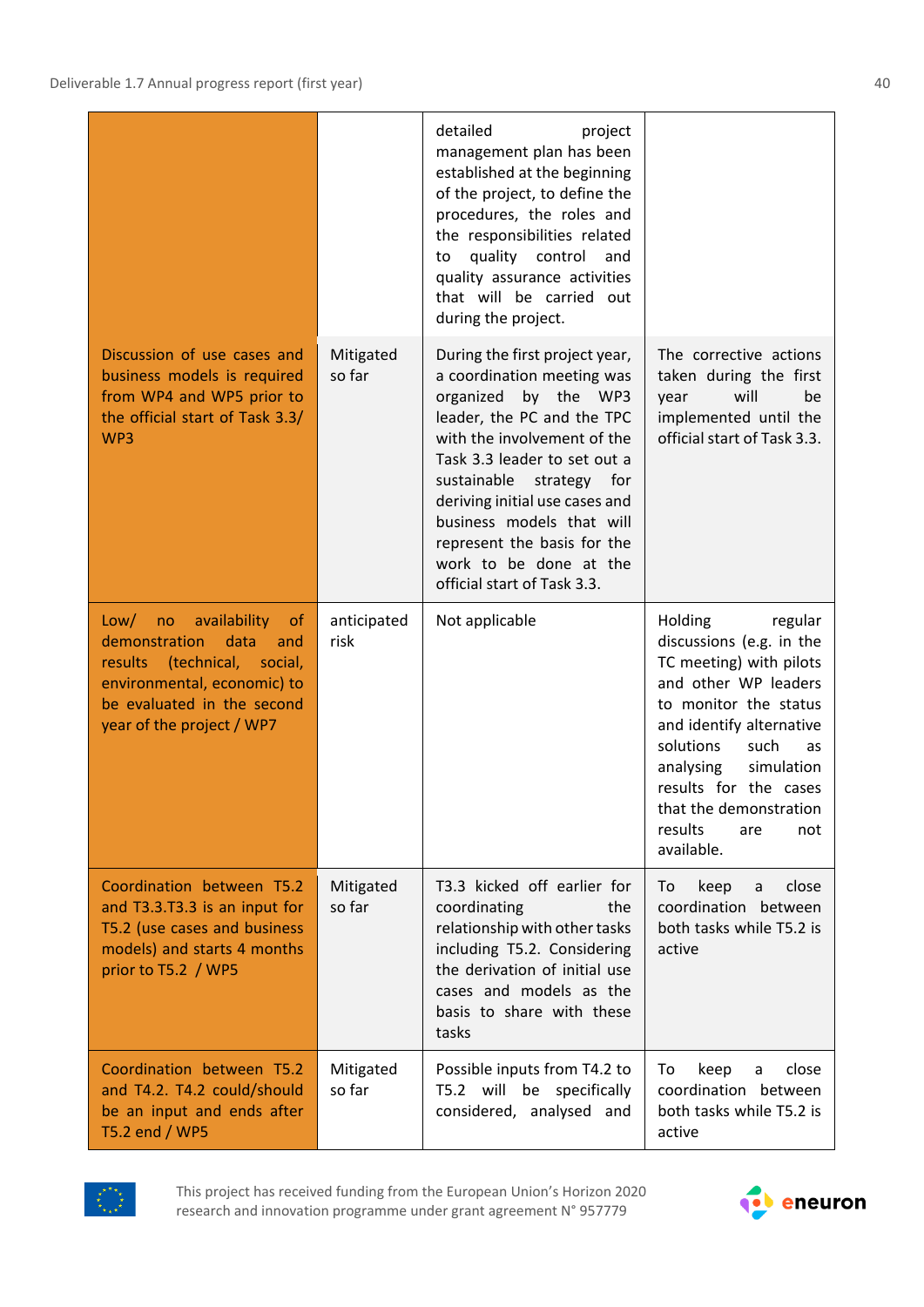|                                                                                                                                                                                                      |                     | detailed<br>project<br>management plan has been<br>established at the beginning<br>of the project, to define the<br>procedures, the roles and<br>the responsibilities related<br>quality control<br>and<br>to<br>quality assurance activities<br>that will be carried out<br>during the project.                                                                           |                                                                                                                                                                                                                                                                                                        |
|------------------------------------------------------------------------------------------------------------------------------------------------------------------------------------------------------|---------------------|----------------------------------------------------------------------------------------------------------------------------------------------------------------------------------------------------------------------------------------------------------------------------------------------------------------------------------------------------------------------------|--------------------------------------------------------------------------------------------------------------------------------------------------------------------------------------------------------------------------------------------------------------------------------------------------------|
| Discussion of use cases and<br>business models is required<br>from WP4 and WP5 prior to<br>the official start of Task 3.3/<br>WP3                                                                    | Mitigated<br>so far | During the first project year,<br>a coordination meeting was<br>organized<br>by the WP3<br>leader, the PC and the TPC<br>with the involvement of the<br>Task 3.3 leader to set out a<br>sustainable<br>strategy for<br>deriving initial use cases and<br>business models that will<br>represent the basis for the<br>work to be done at the<br>official start of Task 3.3. | The corrective actions<br>taken during the first<br>will<br>be<br>year<br>implemented until the<br>official start of Task 3.3.                                                                                                                                                                         |
| availability<br>Low/<br>no<br><sub>of</sub><br>demonstration<br>data<br>and<br>results (technical, social,<br>environmental, economic) to<br>be evaluated in the second<br>year of the project / WP7 | anticipated<br>risk | Not applicable                                                                                                                                                                                                                                                                                                                                                             | Holding<br>regular<br>discussions (e.g. in the<br>TC meeting) with pilots<br>and other WP leaders<br>to monitor the status<br>and identify alternative<br>solutions<br>such<br>as<br>analysing<br>simulation<br>results for the cases<br>that the demonstration<br>results<br>are<br>not<br>available. |
| Coordination between T5.2<br>and T3.3.T3.3 is an input for<br>T5.2 (use cases and business<br>models) and starts 4 months<br>prior to T5.2 / WP5                                                     | Mitigated<br>so far | T3.3 kicked off earlier for<br>coordinating<br>the<br>relationship with other tasks<br>including T5.2. Considering<br>the derivation of initial use<br>cases and models as the<br>basis to share with these<br>tasks                                                                                                                                                       | keep<br>close<br>To<br>a<br>coordination between<br>both tasks while T5.2 is<br>active                                                                                                                                                                                                                 |
| Coordination between T5.2<br>and T4.2. T4.2 could/should<br>be an input and ends after<br>T5.2 end / WP5                                                                                             | Mitigated<br>so far | Possible inputs from T4.2 to<br>T5.2 will be specifically<br>considered, analysed and                                                                                                                                                                                                                                                                                      | close<br>keep<br>To<br>a<br>coordination between<br>both tasks while T5.2 is<br>active                                                                                                                                                                                                                 |



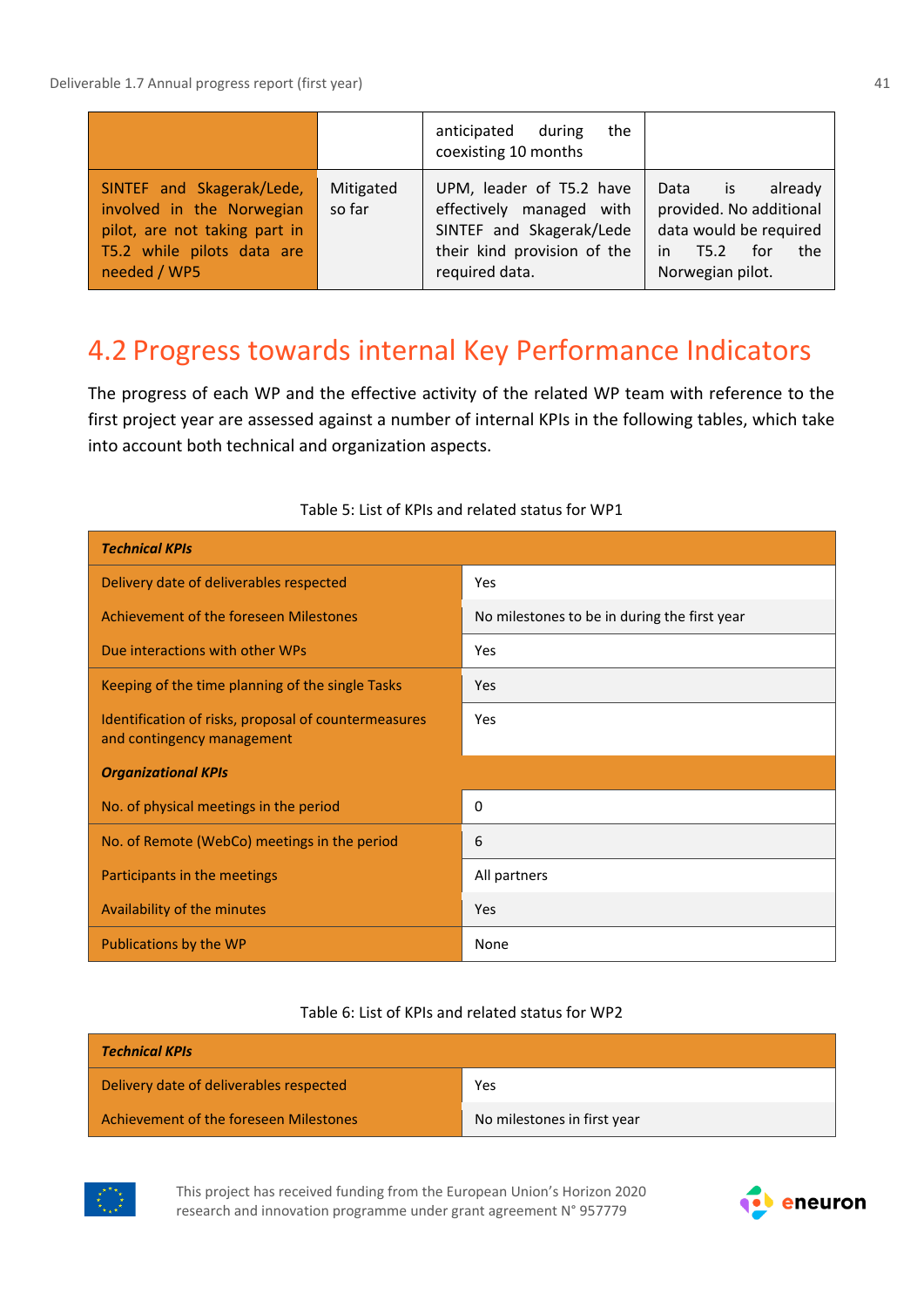|                                                                                                                                       |                     | anticipated during<br>the<br>coexisting 10 months                                                                                 |                                                                                                                             |
|---------------------------------------------------------------------------------------------------------------------------------------|---------------------|-----------------------------------------------------------------------------------------------------------------------------------|-----------------------------------------------------------------------------------------------------------------------------|
| SINTEF and Skagerak/Lede,<br>involved in the Norwegian<br>pilot, are not taking part in<br>T5.2 while pilots data are<br>needed / WP5 | Mitigated<br>so far | UPM, leader of T5.2 have<br>effectively managed with<br>SINTEF and Skagerak/Lede<br>their kind provision of the<br>required data. | already<br>Data<br>is.<br>provided. No additional<br>data would be required<br>for<br>T5.2<br>in<br>the<br>Norwegian pilot. |

### <span id="page-40-0"></span>4.2 Progress towards internal Key Performance Indicators

The progress of each WP and the effective activity of the related WP team with reference to the first project year are assessed against a number of internal KPIs in the following tables, which take into account both technical and organization aspects.

| <b>Technical KPIs</b>                                                              |                                              |
|------------------------------------------------------------------------------------|----------------------------------------------|
| Delivery date of deliverables respected                                            | Yes                                          |
| Achievement of the foreseen Milestones                                             | No milestones to be in during the first year |
| Due interactions with other WPs                                                    | Yes                                          |
| Keeping of the time planning of the single Tasks                                   | Yes                                          |
| Identification of risks, proposal of countermeasures<br>and contingency management | Yes                                          |
| <b>Organizational KPIs</b>                                                         |                                              |
| No. of physical meetings in the period                                             | 0                                            |
| No. of Remote (WebCo) meetings in the period                                       | 6                                            |
| Participants in the meetings                                                       | All partners                                 |
| Availability of the minutes                                                        | Yes                                          |
| Publications by the WP                                                             | None                                         |

#### Table 5: List of KPIs and related status for WP1

#### Table 6: List of KPIs and related status for WP2

| <b>Technical KPIs</b>                   |                             |
|-----------------------------------------|-----------------------------|
| Delivery date of deliverables respected | Yes                         |
| Achievement of the foreseen Milestones  | No milestones in first year |



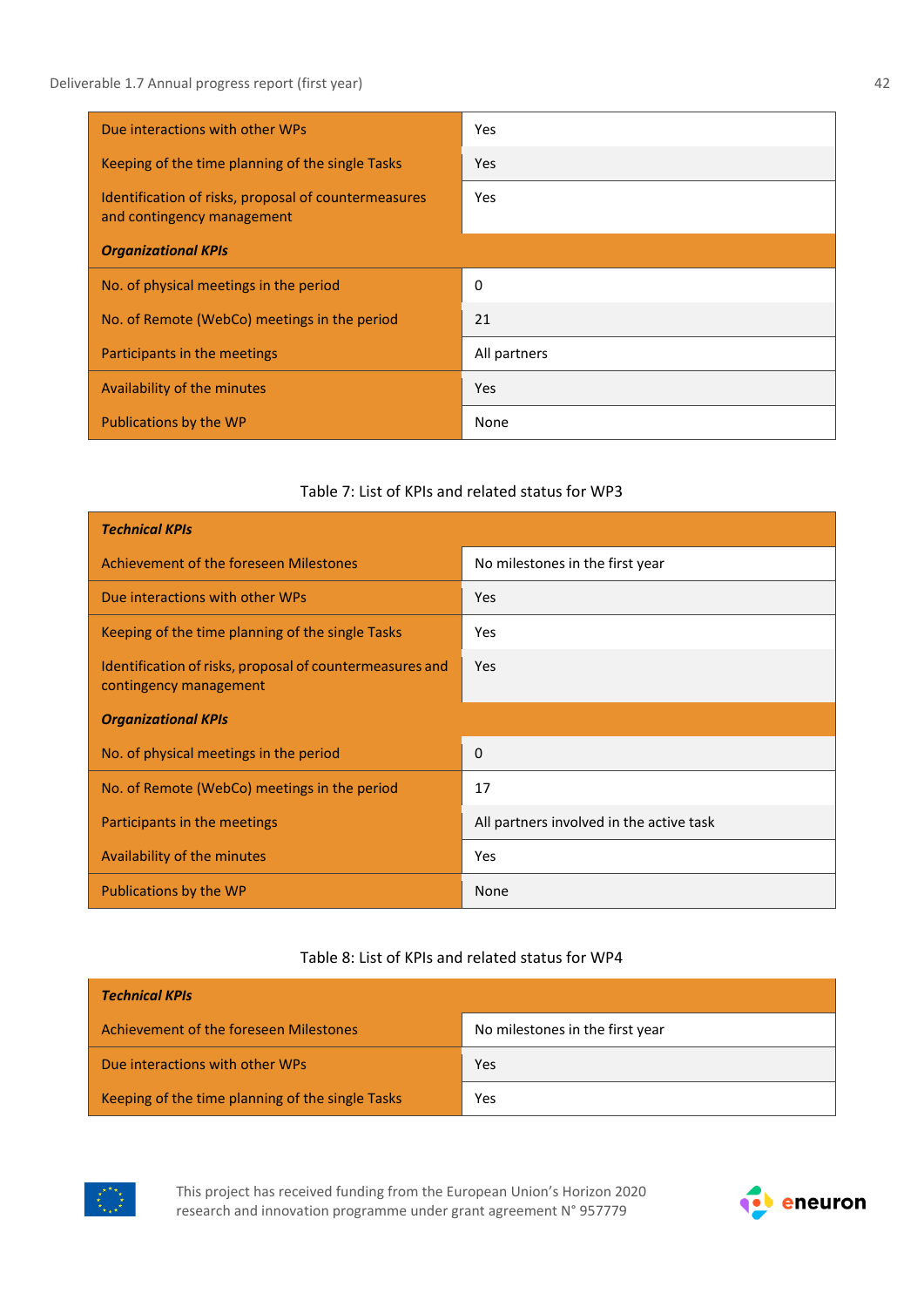| Due interactions with other WPs                                                    | <b>Yes</b>   |
|------------------------------------------------------------------------------------|--------------|
| Keeping of the time planning of the single Tasks                                   | Yes          |
| Identification of risks, proposal of countermeasures<br>and contingency management | Yes          |
| <b>Organizational KPIs</b>                                                         |              |
| No. of physical meetings in the period                                             | 0            |
| No. of Remote (WebCo) meetings in the period                                       | 21           |
| Participants in the meetings                                                       | All partners |
| Availability of the minutes                                                        | <b>Yes</b>   |
| Publications by the WP                                                             | None         |

#### Table 7: List of KPIs and related status for WP3

| <b>Technical KPIs</b>                                                              |                                          |
|------------------------------------------------------------------------------------|------------------------------------------|
| Achievement of the foreseen Milestones                                             | No milestones in the first year          |
| Due interactions with other WPs                                                    | Yes                                      |
| Keeping of the time planning of the single Tasks                                   | Yes                                      |
| Identification of risks, proposal of countermeasures and<br>contingency management | Yes                                      |
| <b>Organizational KPIs</b>                                                         |                                          |
| No. of physical meetings in the period                                             | $\Omega$                                 |
| No. of Remote (WebCo) meetings in the period                                       | 17                                       |
| Participants in the meetings                                                       | All partners involved in the active task |
| Availability of the minutes                                                        | Yes                                      |
| Publications by the WP                                                             | None                                     |

#### Table 8: List of KPIs and related status for WP4

| <b>Technical KPIs</b>                            |                                 |
|--------------------------------------------------|---------------------------------|
| Achievement of the foreseen Milestones           | No milestones in the first year |
| Due interactions with other WPs                  | Yes                             |
| Keeping of the time planning of the single Tasks | Yes                             |



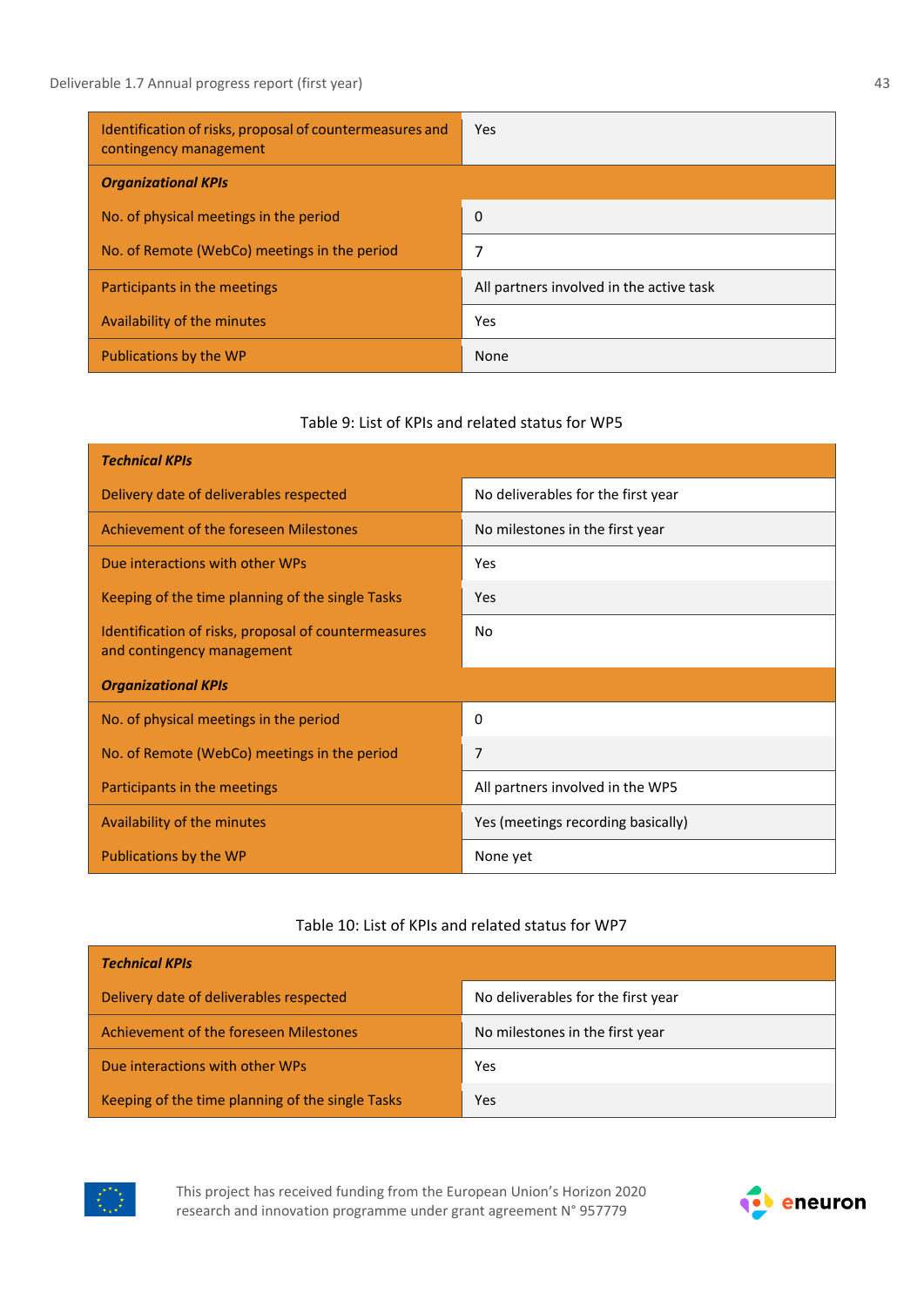| Identification of risks, proposal of countermeasures and<br>contingency management | Yes                                      |
|------------------------------------------------------------------------------------|------------------------------------------|
| <b>Organizational KPIs</b>                                                         |                                          |
| No. of physical meetings in the period                                             | 0                                        |
| No. of Remote (WebCo) meetings in the period                                       |                                          |
| Participants in the meetings                                                       | All partners involved in the active task |
| Availability of the minutes                                                        | Yes                                      |
| Publications by the WP                                                             | None                                     |

#### Table 9: List of KPIs and related status for WP5

| <b>Technical KPIs</b>                                                              |                                    |
|------------------------------------------------------------------------------------|------------------------------------|
| Delivery date of deliverables respected                                            | No deliverables for the first year |
| Achievement of the foreseen Milestones                                             | No milestones in the first year    |
| Due interactions with other WPs                                                    | Yes                                |
| Keeping of the time planning of the single Tasks                                   | <b>Yes</b>                         |
| Identification of risks, proposal of countermeasures<br>and contingency management | No                                 |
| <b>Organizational KPIs</b>                                                         |                                    |
| No. of physical meetings in the period                                             | 0                                  |
| No. of Remote (WebCo) meetings in the period                                       | 7                                  |
| Participants in the meetings                                                       | All partners involved in the WP5   |
| Availability of the minutes                                                        | Yes (meetings recording basically) |
| Publications by the WP                                                             | None yet                           |

#### Table 10: List of KPIs and related status for WP7

| <b>Technical KPIs</b>                            |                                    |
|--------------------------------------------------|------------------------------------|
| Delivery date of deliverables respected          | No deliverables for the first year |
| Achievement of the foreseen Milestones           | No milestones in the first year    |
| Due interactions with other WPs                  | Yes                                |
| Keeping of the time planning of the single Tasks | Yes                                |



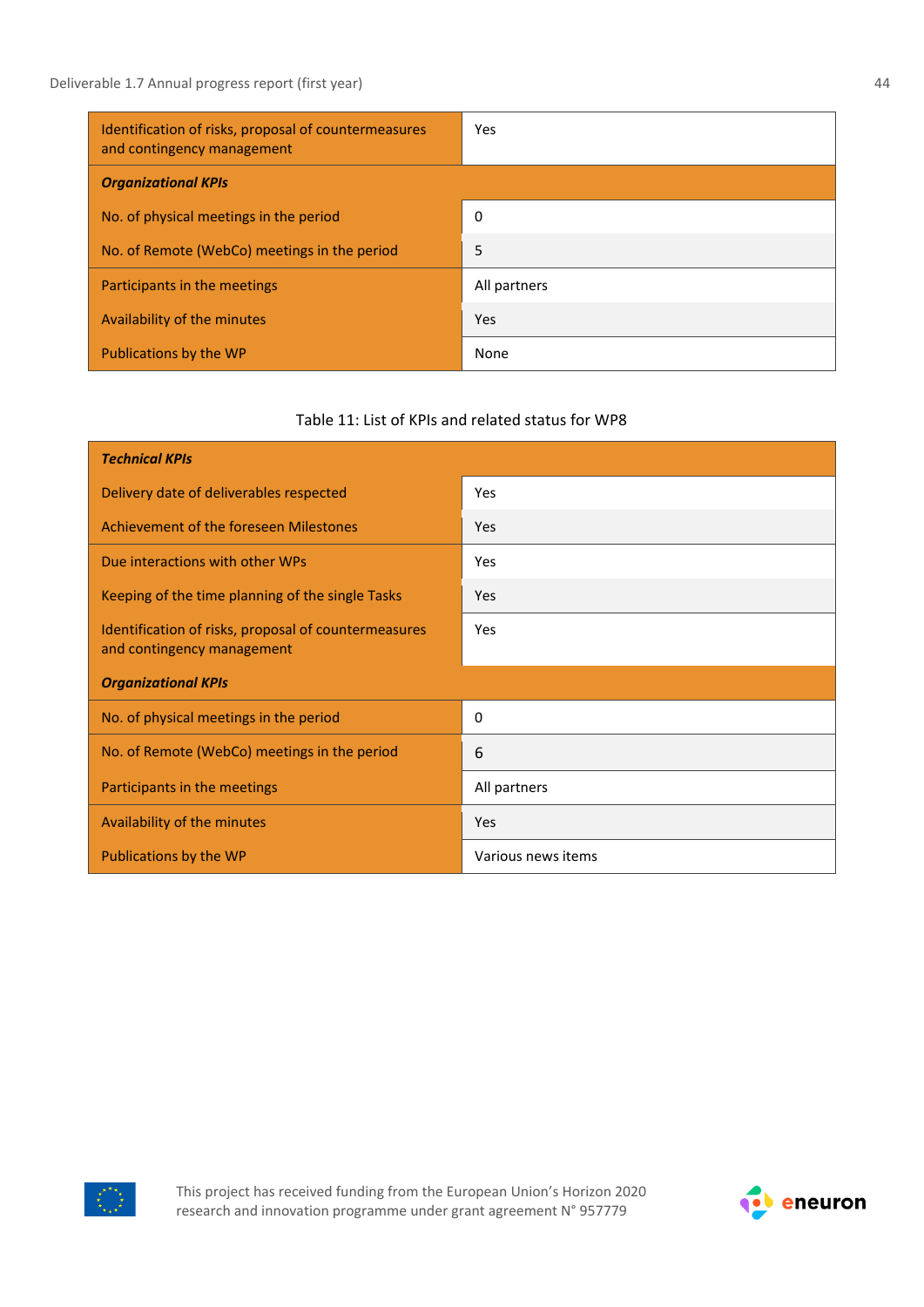| Identification of risks, proposal of countermeasures<br>and contingency management | Yes          |
|------------------------------------------------------------------------------------|--------------|
| <b>Organizational KPIs</b>                                                         |              |
| No. of physical meetings in the period                                             | 0            |
| No. of Remote (WebCo) meetings in the period                                       | 5            |
| Participants in the meetings                                                       | All partners |
| Availability of the minutes                                                        | Yes          |
| Publications by the WP                                                             | None         |

#### Table 11: List of KPIs and related status for WP8

| <b>Technical KPIs</b>                                                              |                    |
|------------------------------------------------------------------------------------|--------------------|
| Delivery date of deliverables respected                                            | Yes                |
| Achievement of the foreseen Milestones                                             | Yes                |
| Due interactions with other WPs                                                    | Yes                |
| Keeping of the time planning of the single Tasks                                   | Yes                |
| Identification of risks, proposal of countermeasures<br>and contingency management | Yes                |
| <b>Organizational KPIs</b>                                                         |                    |
| No. of physical meetings in the period                                             | 0                  |
| No. of Remote (WebCo) meetings in the period                                       | 6                  |
| Participants in the meetings                                                       | All partners       |
| Availability of the minutes                                                        | Yes                |
| Publications by the WP                                                             | Various news items |



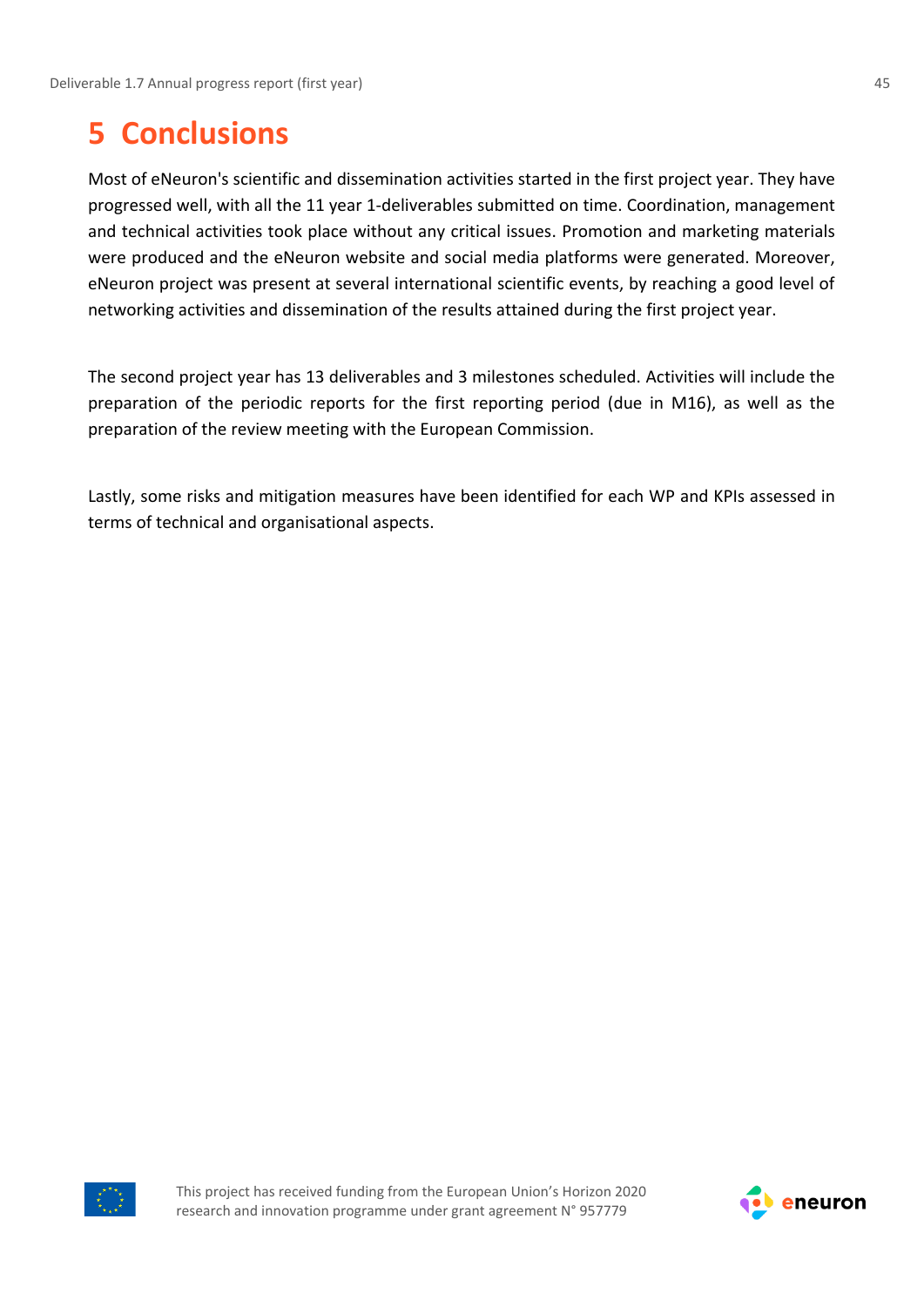## <span id="page-44-0"></span>**5 Conclusions**

Most of eNeuron's scientific and dissemination activities started in the first project year. They have progressed well, with all the 11 year 1-deliverables submitted on time. Coordination, management and technical activities took place without any critical issues. Promotion and marketing materials were produced and the eNeuron website and social media platforms were generated. Moreover, eNeuron project was present at several international scientific events, by reaching a good level of networking activities and dissemination of the results attained during the first project year.

The second project year has 13 deliverables and 3 milestones scheduled. Activities will include the preparation of the periodic reports for the first reporting period (due in M16), as well as the preparation of the review meeting with the European Commission.

Lastly, some risks and mitigation measures have been identified for each WP and KPIs assessed in terms of technical and organisational aspects.



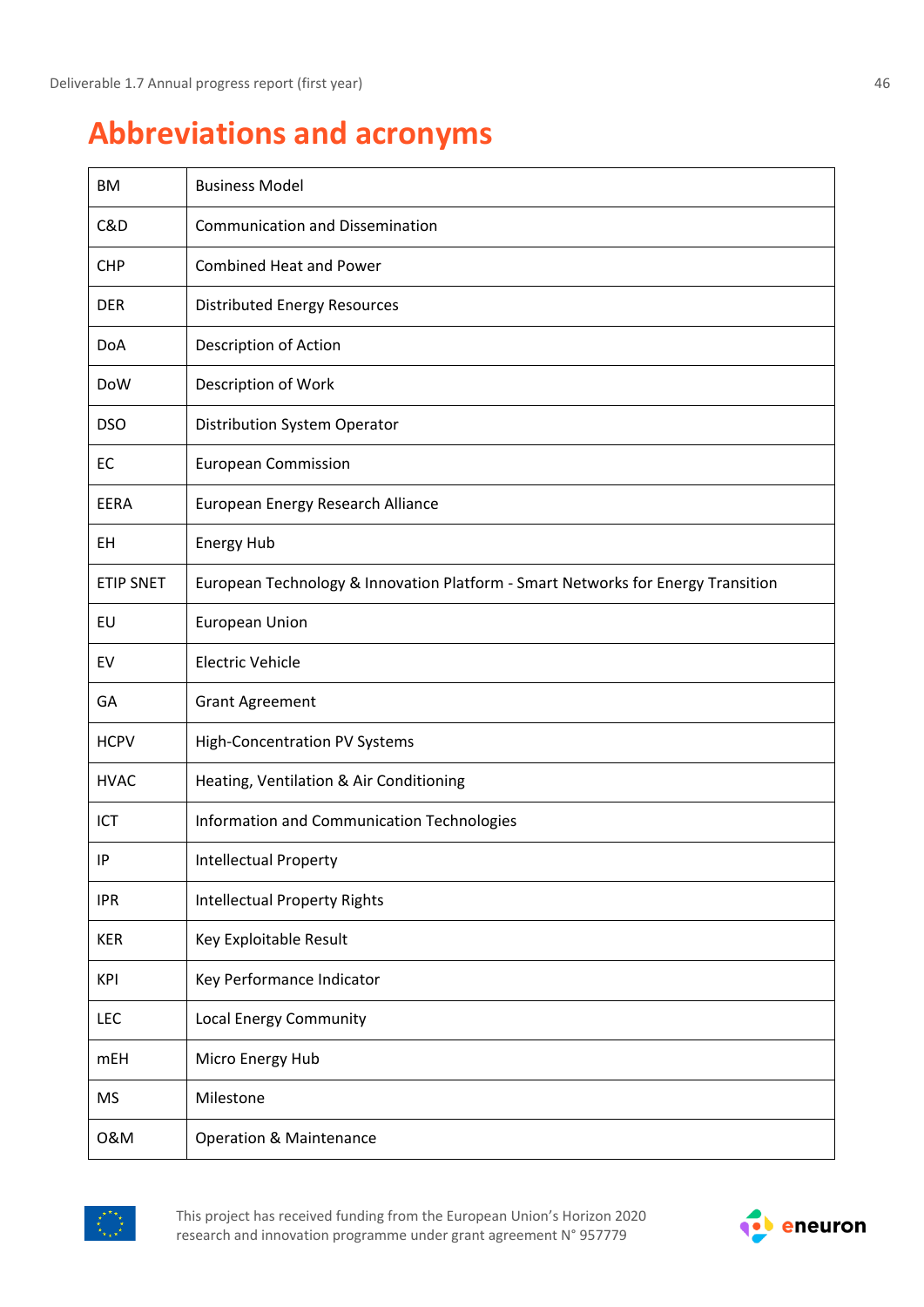# <span id="page-45-0"></span>**Abbreviations and acronyms**

| BM               | <b>Business Model</b>                                                            |
|------------------|----------------------------------------------------------------------------------|
| C&D              | <b>Communication and Dissemination</b>                                           |
| <b>CHP</b>       | <b>Combined Heat and Power</b>                                                   |
| <b>DER</b>       | <b>Distributed Energy Resources</b>                                              |
| DoA              | Description of Action                                                            |
| DoW              | Description of Work                                                              |
| <b>DSO</b>       | Distribution System Operator                                                     |
| EC               | <b>European Commission</b>                                                       |
| <b>EERA</b>      | European Energy Research Alliance                                                |
| EH               | <b>Energy Hub</b>                                                                |
| <b>ETIP SNET</b> | European Technology & Innovation Platform - Smart Networks for Energy Transition |
| EU               | <b>European Union</b>                                                            |
| EV               | <b>Electric Vehicle</b>                                                          |
| GA               | <b>Grant Agreement</b>                                                           |
| <b>HCPV</b>      | <b>High-Concentration PV Systems</b>                                             |
| <b>HVAC</b>      | Heating, Ventilation & Air Conditioning                                          |
| ICT              | Information and Communication Technologies                                       |
| IP               | <b>Intellectual Property</b>                                                     |
| <b>IPR</b>       | <b>Intellectual Property Rights</b>                                              |
| <b>KER</b>       | Key Exploitable Result                                                           |
| <b>KPI</b>       | Key Performance Indicator                                                        |
| LEC              | <b>Local Energy Community</b>                                                    |
| <b>mEH</b>       | Micro Energy Hub                                                                 |
| <b>MS</b>        | Milestone                                                                        |
| 0&M              | <b>Operation &amp; Maintenance</b>                                               |



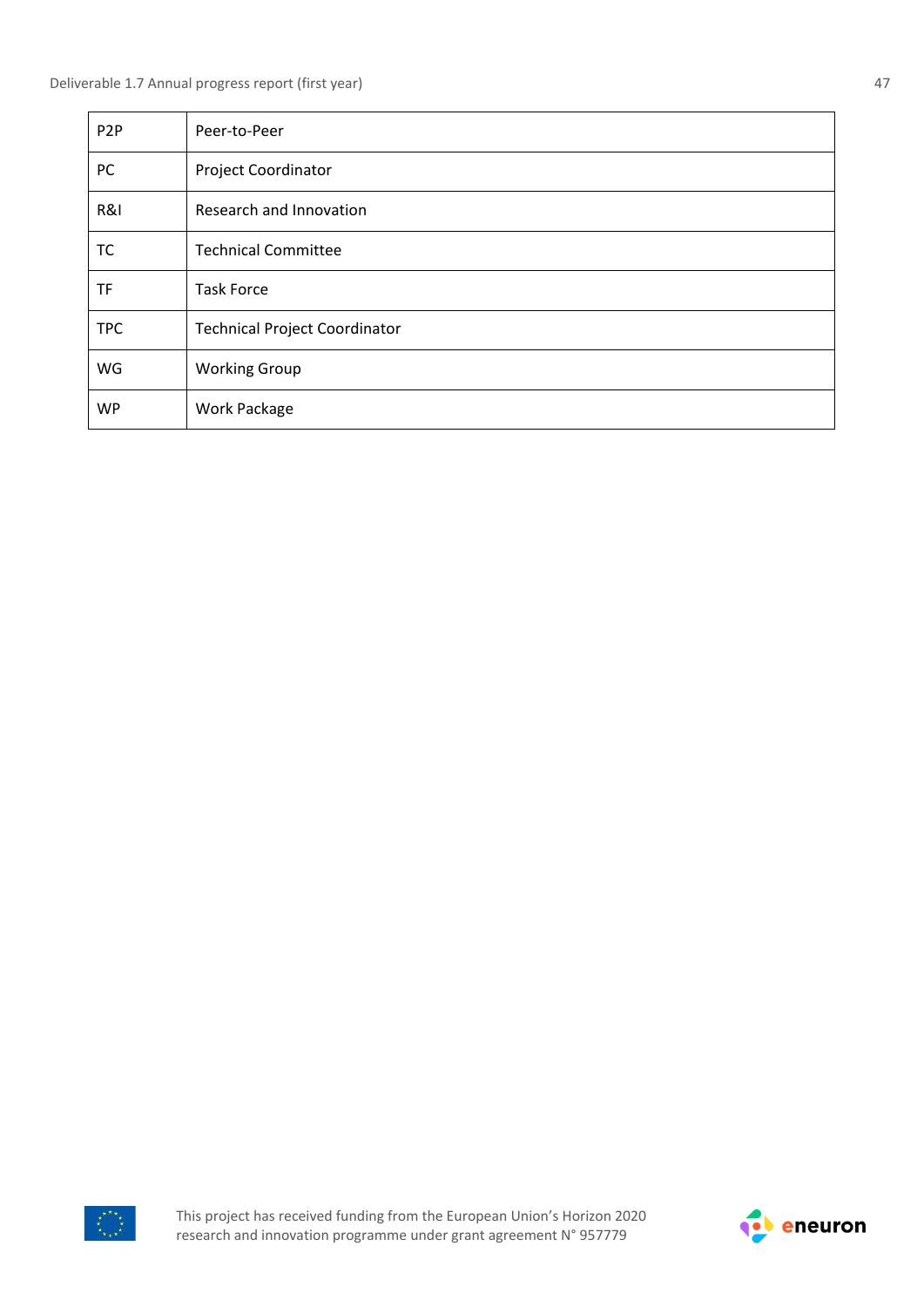| P <sub>2</sub> P | Peer-to-Peer                         |
|------------------|--------------------------------------|
| PC               | <b>Project Coordinator</b>           |
| R&I              | Research and Innovation              |
| TC               | <b>Technical Committee</b>           |
| <b>TF</b>        | <b>Task Force</b>                    |
| <b>TPC</b>       | <b>Technical Project Coordinator</b> |
| WG               | <b>Working Group</b>                 |
| <b>WP</b>        | Work Package                         |